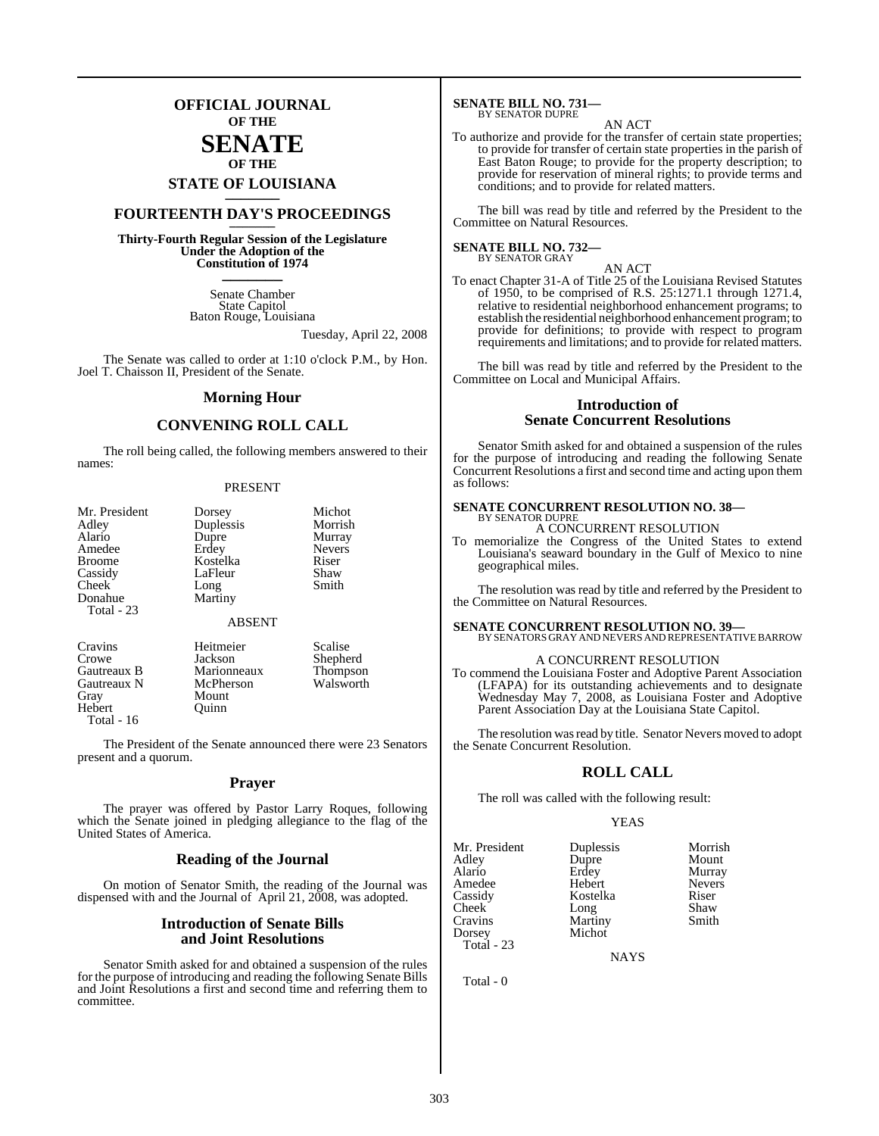## **OFFICIAL JOURNAL OF THE**

### **SENATE OF THE**

# **STATE OF LOUISIANA \_\_\_\_\_\_\_**

## **FOURTEENTH DAY'S PROCEEDINGS \_\_\_\_\_\_\_**

**Thirty-Fourth Regular Session of the Legislature Under the Adoption of the Constitution of 1974 \_\_\_\_\_\_\_**

> Senate Chamber State Capitol Baton Rouge, Louisiana

> > Tuesday, April 22, 2008

The Senate was called to order at 1:10 o'clock P.M., by Hon. Joel T. Chaisson II, President of the Senate.

#### **Morning Hour**

#### **CONVENING ROLL CALL**

The roll being called, the following members answered to their names:

#### PRESENT

| Mr. President | Dorsey        | Michot        |
|---------------|---------------|---------------|
| Adley         | Duplessis     | Morrish       |
| Alario        | Dupre         | Murray        |
| Amedee        | Erdey         | <b>Nevers</b> |
| <b>Broome</b> | Kostelka      | Riser         |
| Cassidy       | LaFleur       | Shaw          |
| Cheek         | Long          | Smith         |
| Donahue       | Martiny       |               |
| Total - 23    |               |               |
|               | <b>ABSENT</b> |               |
| Cravins       | Heitmeier     | Scalise       |
| Crowe         | Jackson       | Shepherd      |
| Gautreaux B   | Marionneaux   | Thompson      |
| Gautreaux N   | McPherson     | Walsworth     |
| Grav          | Mount         |               |

Mount<br>Ouinn

Hebert Total - 16

The President of the Senate announced there were 23 Senators present and a quorum.

#### **Prayer**

The prayer was offered by Pastor Larry Roques, following which the Senate joined in pledging allegiance to the flag of the United States of America.

#### **Reading of the Journal**

On motion of Senator Smith, the reading of the Journal was dispensed with and the Journal of April 21, 2008, was adopted.

#### **Introduction of Senate Bills and Joint Resolutions**

Senator Smith asked for and obtained a suspension of the rules for the purpose of introducing and reading the following Senate Bills and Joint Resolutions a first and second time and referring them to committee.

## **SENATE BILL NO. 731—** BY SENATOR DUPRE

AN ACT

To authorize and provide for the transfer of certain state properties; to provide for transfer of certain state properties in the parish of East Baton Rouge; to provide for the property description; to provide for reservation of mineral rights; to provide terms and conditions; and to provide for related matters.

The bill was read by title and referred by the President to the Committee on Natural Resources.

## **SENATE BILL NO. 732—** BY SENATOR GRAY

AN ACT To enact Chapter 31-A of Title 25 of the Louisiana Revised Statutes of 1950, to be comprised of R.S. 25:1271.1 through 1271.4, relative to residential neighborhood enhancement programs; to establish the residential neighborhood enhancement program; to provide for definitions; to provide with respect to program requirements and limitations; and to provide for related matters.

The bill was read by title and referred by the President to the Committee on Local and Municipal Affairs.

#### **Introduction of Senate Concurrent Resolutions**

Senator Smith asked for and obtained a suspension of the rules for the purpose of introducing and reading the following Senate Concurrent Resolutions a first and second time and acting upon them as follows:

#### **SENATE CONCURRENT RESOLUTION NO. 38—** BY SENATOR DUPRE

A CONCURRENT RESOLUTION

To memorialize the Congress of the United States to extend Louisiana's seaward boundary in the Gulf of Mexico to nine geographical miles.

The resolution was read by title and referred by the President to the Committee on Natural Resources.

**SENATE CONCURRENT RESOLUTION NO. 39—** BY SENATORSGRAY AND NEVERSAND REPRESENTATIVEBARROW

#### A CONCURRENT RESOLUTION

To commend the Louisiana Foster and Adoptive Parent Association (LFAPA) for its outstanding achievements and to designate Wednesday May 7, 2008, as Louisiana Foster and Adoptive Parent Association Day at the Louisiana State Capitol.

The resolution was read by title. Senator Nevers moved to adopt the Senate Concurrent Resolution.

#### **ROLL CALL**

The roll was called with the following result:

#### YEAS

| Mr. President | Duplessis | Morrish       |
|---------------|-----------|---------------|
| Adley         | Dupre     | Mount         |
| Alario        | Erdey     | Murray        |
| Amedee        | Hebert    | <b>Nevers</b> |
| Cassidy       | Kostelka  | Riser         |
| Cheek         | Long      | Shaw          |
| Cravins       | Martiny   | Smith         |
| Dorsey        | Michot    |               |
| Total - 23    |           |               |

NAYS

Total - 0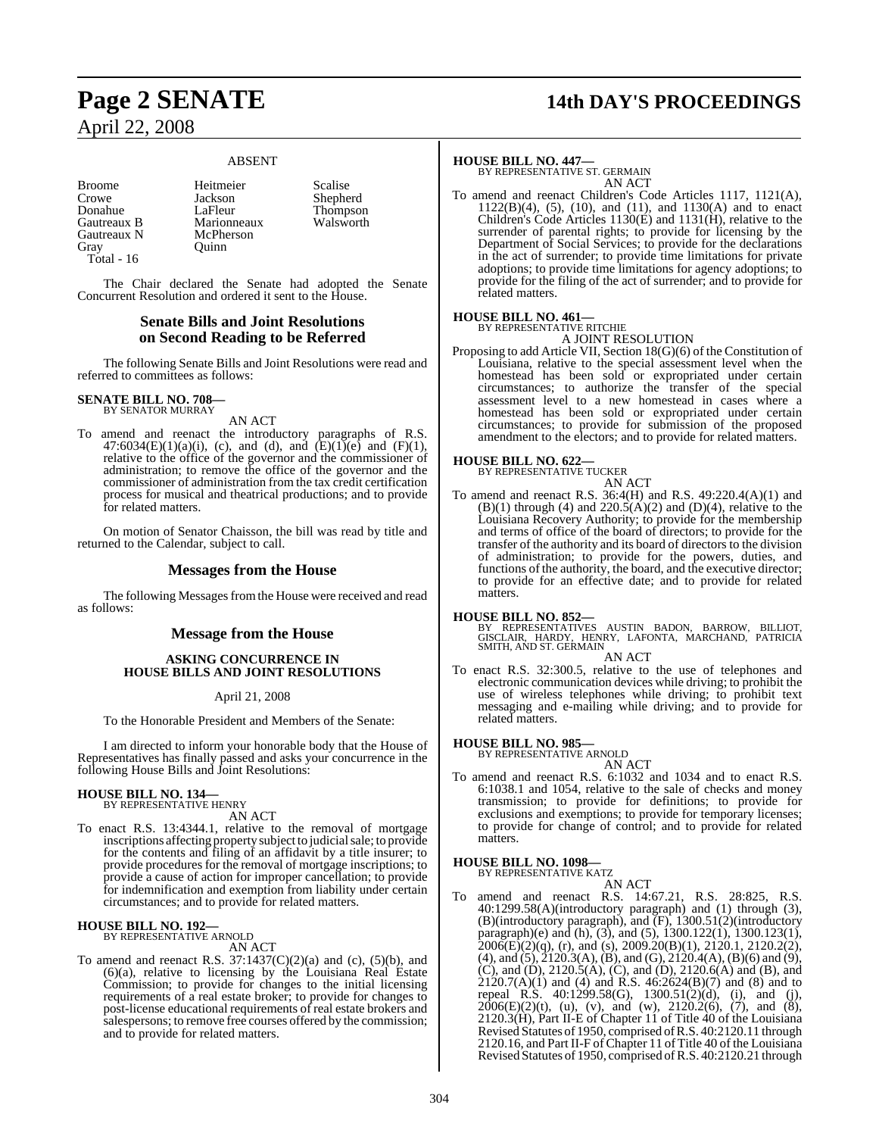#### ABSENT

Broome Heitmeier Scalise<br>Crowe Jackson Shephe Crowe Jackson Shepherd<br>
Donahue LaFleur Thompson Donahue LaFleur Thompson<br>
Gautreaux B Marionneaux Walsworth Gautreaux N<br>Gray Total - 16

Marionneaux<br>McPherson

Ouinn<sub>1</sub>

The Chair declared the Senate had adopted the Senate Concurrent Resolution and ordered it sent to the House.

#### **Senate Bills and Joint Resolutions on Second Reading to be Referred**

The following Senate Bills and Joint Resolutions were read and referred to committees as follows:

## **SENATE BILL NO. 708—** BY SENATOR MURRAY

AN ACT

To amend and reenact the introductory paragraphs of R.S. 47:6034(E)(1)(a)(i), (c), and (d), and (E)(1)(e) and (F)(1), relative to the office of the governor and the commissioner of administration; to remove the office of the governor and the commissioner of administration from the tax credit certification process for musical and theatrical productions; and to provide for related matters.

On motion of Senator Chaisson, the bill was read by title and returned to the Calendar, subject to call.

#### **Messages from the House**

The following Messages from the House were received and read as follows:

#### **Message from the House**

#### **ASKING CONCURRENCE IN HOUSE BILLS AND JOINT RESOLUTIONS**

#### April 21, 2008

To the Honorable President and Members of the Senate:

I am directed to inform your honorable body that the House of Representatives has finally passed and asks your concurrence in the following House Bills and Joint Resolutions:

## **HOUSE BILL NO. 134—** BY REPRESENTATIVE HENRY

AN ACT

To enact R.S. 13:4344.1, relative to the removal of mortgage inscriptions affecting property subject to judicial sale; to provide for the contents and filing of an affidavit by a title insurer; to provide procedures for the removal of mortgage inscriptions; to provide a cause of action for improper cancellation; to provide for indemnification and exemption from liability under certain circumstances; and to provide for related matters.

## **HOUSE BILL NO. 192—** BY REPRESENTATIVE ARNOLD

- AN ACT
- To amend and reenact R.S.  $37:1437(C)(2)(a)$  and (c), (5)(b), and (6)(a), relative to licensing by the Louisiana Real Estate Commission; to provide for changes to the initial licensing requirements of a real estate broker; to provide for changes to post-license educational requirements of real estate brokers and salespersons; to remove free courses offered by the commission; and to provide for related matters.

## **Page 2 SENATE 14th DAY'S PROCEEDINGS**

**HOUSE BILL NO. 447—** BY REPRESENTATIVE ST. GERMAIN AN ACT

To amend and reenact Children's Code Articles 1117, 1121(A), 1122(B)(4), (5), (10), and (11), and 1130(A) and to enact Children's Code Articles 1130(E) and 1131(H), relative to the surrender of parental rights; to provide for licensing by the Department of Social Services; to provide for the declarations in the act of surrender; to provide time limitations for private adoptions; to provide time limitations for agency adoptions; to provide for the filing of the act of surrender; and to provide for related matters.

#### **HOUSE BILL NO. 461—** BY REPRESENTATIVE RITCHIE

A JOINT RESOLUTION

Proposing to add Article VII, Section 18(G)(6) of the Constitution of Louisiana, relative to the special assessment level when the homestead has been sold or expropriated under certain circumstances; to authorize the transfer of the special assessment level to a new homestead in cases where a homestead has been sold or expropriated under certain circumstances; to provide for submission of the proposed amendment to the electors; and to provide for related matters.



To amend and reenact R.S. 36:4(H) and R.S. 49:220.4(A)(1) and  $(B)(1)$  through (4) and  $220.5(A)(2)$  and  $(D)(4)$ , relative to the Louisiana Recovery Authority; to provide for the membership and terms of office of the board of directors; to provide for the transfer of the authority and its board of directors to the division of administration; to provide for the powers, duties, and functions of the authority, the board, and the executive director; to provide for an effective date; and to provide for related matters.

#### **HOUSE BILL NO. 852—**

BY REPRESENTATIVES AUSTIN BADON, BARROW, BILLIOT,<br>GISCLAIR, HARDY, HENRY, LAFONTA, MARCHAND, PATRICIA<br>SMITH,AND ST. GERMAIN AN ACT

To enact R.S. 32:300.5, relative to the use of telephones and electronic communication devices while driving; to prohibit the use of wireless telephones while driving; to prohibit text messaging and e-mailing while driving; and to provide for related matters.

**HOUSE BILL NO. 985—** BY REPRESENTATIVE ARNOLD

- AN ACT
- To amend and reenact R.S. 6:1032 and 1034 and to enact R.S. 6:1038.1 and 1054, relative to the sale of checks and money transmission; to provide for definitions; to provide for exclusions and exemptions; to provide for temporary licenses; to provide for change of control; and to provide for related matters.

#### **HOUSE BILL NO. 1098—** BY REPRESENTATIVE KATZ

- AN ACT
- To amend and reenact R.S. 14:67.21, R.S. 28:825, R.S. 40:1299.58(A)(introductory paragraph) and (1) through (3), (B)(introductory paragraph), and (F), 1300.51(2)(introductory paragraph)(e) and (h), (3), and (5), 1300.122(1), 1300.123(1),  $2006(E)(2)(q)$ , (r), and (s),  $2009.20(B)(1)$ ,  $2120.1$ ,  $2120.2(2)$ , (4), and (5), 2120.3(A), (B), and (G), 2120.4(A), (B)(6) and (9), (C), and (D), 2120.5(A), (C), and (D), 2120.6(A) and (B), and 2120.7(A)(1) and (4) and R.S. 46:2624(B)(7) and (8) and to repeal  $R.S.$  40:1299.58(G), 1300.51(2)(d), (i), and (j),  $2006(E)(2)(t)$ , (u), (v), and (w),  $2120.2(6)$ , (7), and (8), 2120.3(H), Part II-E of Chapter 11 of Title 40 of the Louisiana Revised Statutes of 1950, comprised ofR.S. 40:2120.11 through 2120.16, and Part II-F ofChapter 11 of Title 40 of the Louisiana Revised Statutes of 1950, comprised of R.S. 40:2120.21 through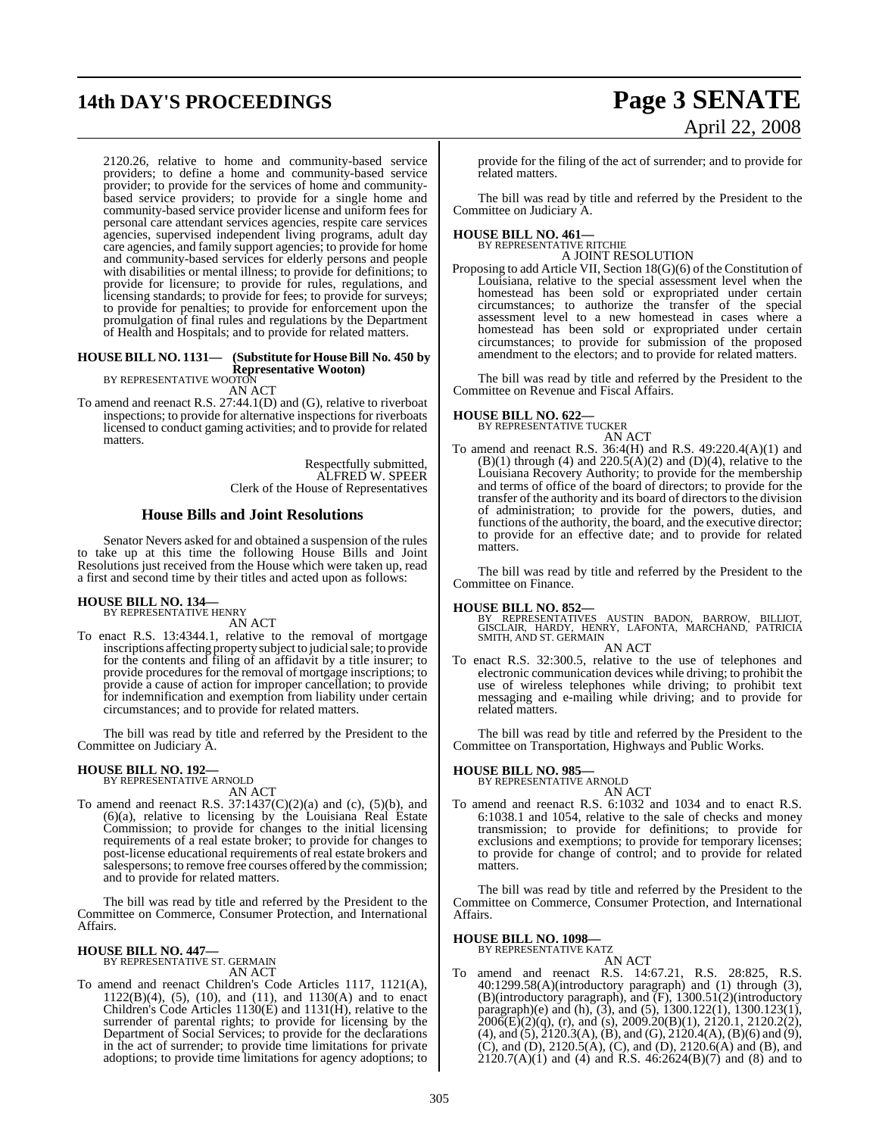# **14th DAY'S PROCEEDINGS Page 3 SENATE**

# April 22, 2008

2120.26, relative to home and community-based service providers; to define a home and community-based service provider; to provide for the services of home and communitybased service providers; to provide for a single home and community-based service provider license and uniform fees for personal care attendant services agencies, respite care services agencies, supervised independent living programs, adult day care agencies, and family support agencies; to provide for home and community-based services for elderly persons and people with disabilities or mental illness; to provide for definitions; to provide for licensure; to provide for rules, regulations, and licensing standards; to provide for fees; to provide for surveys; to provide for penalties; to provide for enforcement upon the promulgation of final rules and regulations by the Department of Health and Hospitals; and to provide for related matters.

#### **HOUSE BILL NO. 1131— (Substitute for HouseBill No. 450 by Representative Wooton)**

BY REPRESENTATIVE WOOTON

AN ACT

To amend and reenact R.S. 27:44.1(D) and (G), relative to riverboat inspections; to provide for alternative inspections for riverboats licensed to conduct gaming activities; and to provide for related matters.

> Respectfully submitted, ALFRED W. SPEER Clerk of the House of Representatives

### **House Bills and Joint Resolutions**

Senator Nevers asked for and obtained a suspension of the rules to take up at this time the following House Bills and Joint Resolutions just received from the House which were taken up, read a first and second time by their titles and acted upon as follows:

#### **HOUSE BILL NO. 134—** BY REPRESENTATIVE HENRY

AN ACT

To enact R.S. 13:4344.1, relative to the removal of mortgage inscriptions affecting property subject to judicial sale; to provide for the contents and filing of an affidavit by a title insurer; to provide procedures for the removal of mortgage inscriptions; to provide a cause of action for improper cancellation; to provide for indemnification and exemption from liability under certain circumstances; and to provide for related matters.

The bill was read by title and referred by the President to the Committee on Judiciary A.

## **HOUSE BILL NO. 192—** BY REPRESENTATIVE ARNOLD

AN ACT

To amend and reenact R.S.  $37:1437(C)(2)(a)$  and (c),  $(5)(b)$ , and (6)(a), relative to licensing by the Louisiana Real Estate Commission; to provide for changes to the initial licensing requirements of a real estate broker; to provide for changes to post-license educational requirements of real estate brokers and salespersons; to remove free courses offered by the commission; and to provide for related matters.

The bill was read by title and referred by the President to the Committee on Commerce, Consumer Protection, and International Affairs.

#### **HOUSE BILL NO. 447—**

BY REPRESENTATIVE ST. GERMAIN AN ACT

To amend and reenact Children's Code Articles 1117, 1121(A),  $1122(B)(4)$ , (5), (10), and (11), and 1130(A) and to enact Children's Code Articles 1130(E) and 1131(H), relative to the surrender of parental rights; to provide for licensing by the Department of Social Services; to provide for the declarations in the act of surrender; to provide time limitations for private adoptions; to provide time limitations for agency adoptions; to

provide for the filing of the act of surrender; and to provide for related matters.

The bill was read by title and referred by the President to the Committee on Judiciary A.

## **HOUSE BILL NO. 461—** BY REPRESENTATIVE RITCHIE

A JOINT RESOLUTION

Proposing to add Article VII, Section 18(G)(6) of the Constitution of Louisiana, relative to the special assessment level when the homestead has been sold or expropriated under certain circumstances; to authorize the transfer of the special assessment level to a new homestead in cases where a homestead has been sold or expropriated under certain circumstances; to provide for submission of the proposed amendment to the electors; and to provide for related matters.

The bill was read by title and referred by the President to the Committee on Revenue and Fiscal Affairs.

## **HOUSE BILL NO. 622—** BY REPRESENTATIVE TUCKER

AN ACT

To amend and reenact R.S. 36:4(H) and R.S. 49:220.4(A)(1) and  $(B)(1)$  through (4) and  $220.5(A)(2)$  and  $(D)(4)$ , relative to the Louisiana Recovery Authority; to provide for the membership and terms of office of the board of directors; to provide for the transfer of the authority and its board of directors to the division of administration; to provide for the powers, duties, and functions of the authority, the board, and the executive director; to provide for an effective date; and to provide for related matters.

The bill was read by title and referred by the President to the Committee on Finance.

**HOUSE BILL NO. 852—**<br>BY REPRESENTATIVES AUSTIN BADON, BARROW, BILLIOT, GISCLAIR, HARPY, HENRY, LAFONTA, MARCHAND, PATRICIA<br>SMITH, AND ST. GERMAIN AN ACT

To enact R.S. 32:300.5, relative to the use of telephones and electronic communication devices while driving; to prohibit the use of wireless telephones while driving; to prohibit text messaging and e-mailing while driving; and to provide for related matters.

The bill was read by title and referred by the President to the Committee on Transportation, Highways and Public Works.

## **HOUSE BILL NO. 985—** BY REPRESENTATIVE ARNOLD

AN ACT To amend and reenact R.S. 6:1032 and 1034 and to enact R.S. 6:1038.1 and 1054, relative to the sale of checks and money transmission; to provide for definitions; to provide for exclusions and exemptions; to provide for temporary licenses; to provide for change of control; and to provide for related matters.

The bill was read by title and referred by the President to the Committee on Commerce, Consumer Protection, and International Affairs.

#### **HOUSE BILL NO. 1098**

BY REPRESENTATIVE KATZ AN ACT

amend and reenact R.S. 14:67.21, R.S. 28:825, R.S. 40:1299.58(A)(introductory paragraph) and (1) through (3), (B)(introductory paragraph), and (F), 1300.51(2)(introductory paragraph)(e) and (h), (3), and (5), 1300.122(1), 1300.123(1),  $2006(E)(2)(q)$ , (r), and (s), 2009.20(B)(1), 2120.1, 2120.2(2), (4), and (5), 2120.3(A), (B), and (G), 2120.4(A), (B)(6) and (9), (C), and (D), 2120.5(A), (C), and (D), 2120.6(A) and (B), and 2120.7(A)(1) and (4) and R.S. 46:2624(B)(7) and (8) and to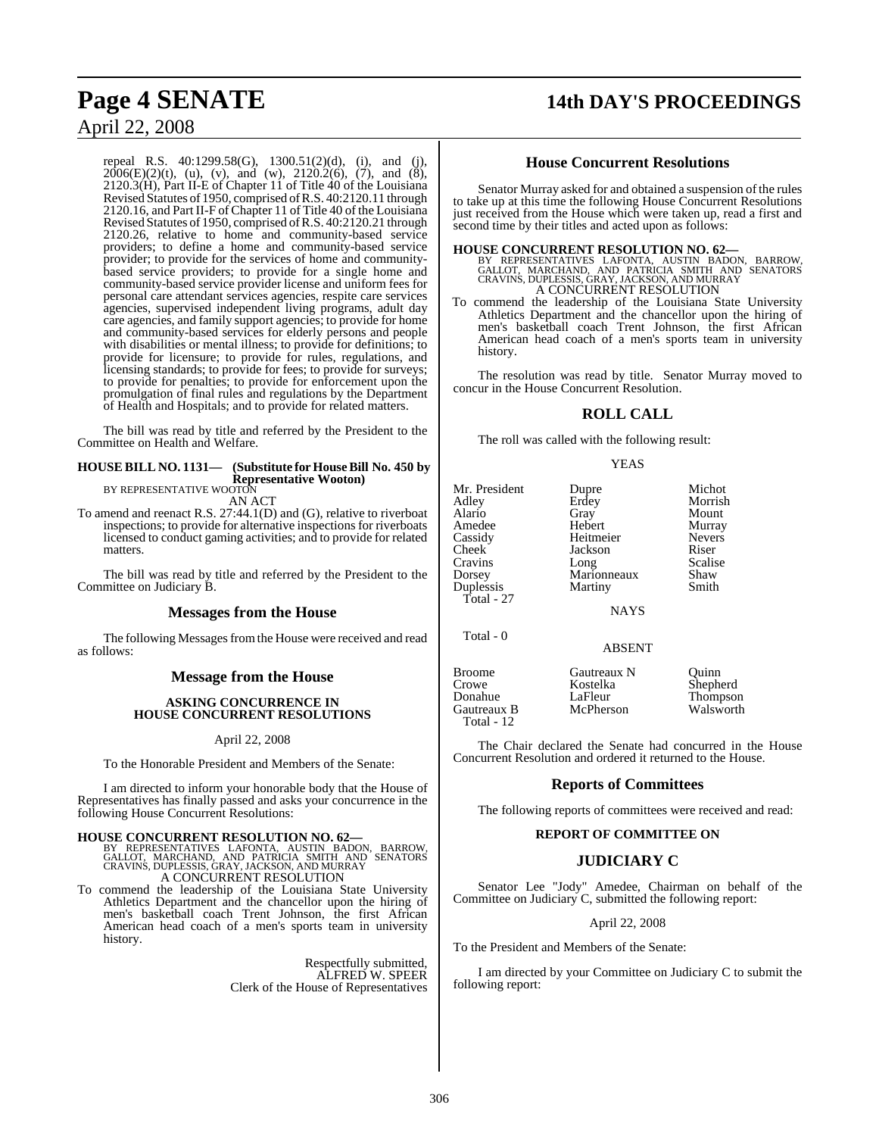## **Page 4 SENATE 14th DAY'S PROCEEDINGS**

## April 22, 2008

repeal R.S. 40:1299.58(G), 1300.51(2)(d), (i), and (j),  $2006(E)(2)(t)$ , (u), (v), and (w),  $2120.2(6)$ , (7), and (8), 2120.3(H), Part II-E of Chapter 11 of Title 40 of the Louisiana Revised Statutes of 1950, comprised ofR.S. 40:2120.11 through 2120.16, and Part II-F of Chapter 11 of Title 40 of the Louisiana Revised Statutes of 1950, comprised ofR.S. 40:2120.21 through 2120.26, relative to home and community-based service providers; to define a home and community-based service provider; to provide for the services of home and communitybased service providers; to provide for a single home and community-based service provider license and uniform fees for personal care attendant services agencies, respite care services agencies, supervised independent living programs, adult day care agencies, and family support agencies; to provide for home and community-based services for elderly persons and people with disabilities or mental illness; to provide for definitions; to provide for licensure; to provide for rules, regulations, and licensing standards; to provide for fees; to provide for surveys; to provide for penalties; to provide for enforcement upon the promulgation of final rules and regulations by the Department of Health and Hospitals; and to provide for related matters.

The bill was read by title and referred by the President to the Committee on Health and Welfare.

## **HOUSE BILL NO. 1131— (Substitute for HouseBill No. 450 by Representative Wooton)** BY REPRESENTATIVE WOOTON

AN ACT

To amend and reenact R.S. 27:44.1(D) and (G), relative to riverboat inspections; to provide for alternative inspections for riverboats licensed to conduct gaming activities; and to provide for related matters.

The bill was read by title and referred by the President to the Committee on Judiciary B.

#### **Messages from the House**

The following Messages from the House were received and read as follows:

#### **Message from the House**

#### **ASKING CONCURRENCE IN HOUSE CONCURRENT RESOLUTIONS**

#### April 22, 2008

To the Honorable President and Members of the Senate:

I am directed to inform your honorable body that the House of Representatives has finally passed and asks your concurrence in the following House Concurrent Resolutions:

**HOUSE CONCURRENT RESOLUTION NO. 62—**<br>BY REPRESENTATIVES LAFONTA, AUSTIN BADON, BARROW,<br>GALLOT, MARCHAND, AND PATRICIA SMITH AND SENATORS<br>CRAVINS, DUPLESSIS, GRAY, JACKSON, AND MURRAY A CONCURRENT RESOLUTION

To commend the leadership of the Louisiana State University Athletics Department and the chancellor upon the hiring of men's basketball coach Trent Johnson, the first African American head coach of a men's sports team in university history.

> Respectfully submitted, ALFRED W. SPEER Clerk of the House of Representatives

#### **House Concurrent Resolutions**

Senator Murray asked for and obtained a suspension of the rules to take up at this time the following House Concurrent Resolutions just received from the House which were taken up, read a first and second time by their titles and acted upon as follows:

**HOUSE CONCURRENT RESOLUTION NO. 62—**<br>BY REPRESENTATIVES LAFONTA, AUSTIN BADON, BARROW,<br>GALLOT, MARCHAND, AND PATRICIA SMITH AND SENATORS<br>CRAVINS, DUPLESSIS, GRAY, JACKSON, AND MURRAY<br>A CONCURRENT RESOLUTION

To commend the leadership of the Louisiana State University Athletics Department and the chancellor upon the hiring of men's basketball coach Trent Johnson, the first African American head coach of a men's sports team in university history.

The resolution was read by title. Senator Murray moved to concur in the House Concurrent Resolution.

### **ROLL CALL**

The roll was called with the following result:

#### YEAS

|             | Michot                        |
|-------------|-------------------------------|
|             | Morrish                       |
| Gray        | Mount                         |
| Hebert      | Murray                        |
| Heitmeier   | <b>Nevers</b>                 |
| Jackson     | Riser                         |
| Long        | Scalise                       |
|             | Shaw                          |
| Martiny     | Smith                         |
|             |                               |
| <b>NAYS</b> |                               |
|             | Dupre<br>Erdey<br>Marionneaux |

Total - 0

ABSENT

| <b>Broome</b> | Gautreaux N | Ouinn     |
|---------------|-------------|-----------|
| Crowe         | Kostelka    | Shepherd  |
| Donahue       | LaFleur     | Thompson  |
| Gautreaux B   | McPherson   | Walsworth |
| Total - $12$  |             |           |

Walsworth

The Chair declared the Senate had concurred in the House Concurrent Resolution and ordered it returned to the House.

#### **Reports of Committees**

The following reports of committees were received and read:

#### **REPORT OF COMMITTEE ON**

#### **JUDICIARY C**

Senator Lee "Jody" Amedee, Chairman on behalf of the Committee on Judiciary C, submitted the following report:

#### April 22, 2008

To the President and Members of the Senate:

I am directed by your Committee on Judiciary C to submit the following report: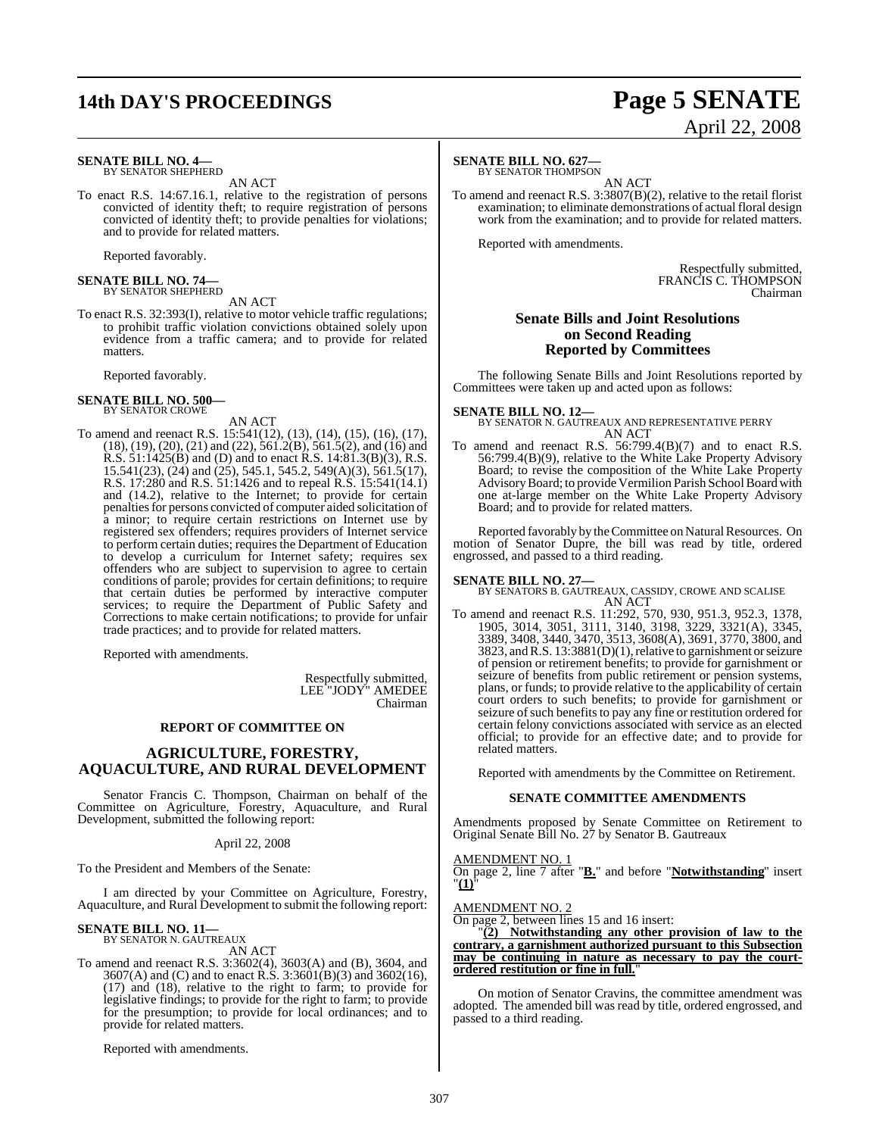# **14th DAY'S PROCEEDINGS Page 5 SENATE**

#### **SENATE BILL NO. 4—** BY SENATOR SHEPHERD

AN ACT

To enact R.S. 14:67.16.1, relative to the registration of persons convicted of identity theft; to require registration of persons convicted of identity theft; to provide penalties for violations; and to provide for related matters.

evidence from a traffic camera; and to provide for related

Reported favorably.

## **SENATE BILL NO. 74—** BY SENATOR SHEPHERD

AN ACT To enact R.S. 32:393(I), relative to motor vehicle traffic regulations; to prohibit traffic violation convictions obtained solely upon

Reported favorably.

matters.

#### **SENATE BILL NO. 500—** BY SENATOR CROWE

- AN ACT
- To amend and reenact R.S. 15:541(12), (13), (14), (15), (16), (17), (18), (19), (20), (21) and (22), 561.2(B), 561.5(2), and (16) and R.S. 51:1425(B) and (D) and to enact R.S. 14:81.3(B)(3), R.S. 15.541(23), (24) and (25), 545.1, 545.2, 549(A)(3), 561.5(17), R.S. 17:280 and R.S. 51:1426 and to repeal R.S. 15:541(14.1) and (14.2), relative to the Internet; to provide for certain penaltiesfor persons convicted of computer aided solicitation of a minor; to require certain restrictions on Internet use by registered sex offenders; requires providers of Internet service to perform certain duties; requires the Department of Education to develop a curriculum for Internet safety; requires sex offenders who are subject to supervision to agree to certain conditions of parole; provides for certain definitions; to require that certain duties be performed by interactive computer services; to require the Department of Public Safety and Corrections to make certain notifications; to provide for unfair trade practices; and to provide for related matters.

Reported with amendments.

Respectfully submitted, LEE "JODY" AMEDEE Chairman

#### **REPORT OF COMMITTEE ON**

#### **AGRICULTURE, FORESTRY, AQUACULTURE, AND RURAL DEVELOPMENT**

Senator Francis C. Thompson, Chairman on behalf of the Committee on Agriculture, Forestry, Aquaculture, and Rural Development, submitted the following report:

April 22, 2008

To the President and Members of the Senate:

I am directed by your Committee on Agriculture, Forestry, Aquaculture, and Rural Development to submit the following report:

## **SENATE BILL NO. 11—** BY SENATOR N. GAUTREAUX

AN ACT

To amend and reenact R.S. 3:3602(4), 3603(A) and (B), 3604, and 3607(A) and (C) and to enact R.S. 3:3601(B)(3) and 3602(16), (17) and (18), relative to the right to farm; to provide for legislative findings; to provide for the right to farm; to provide for the presumption; to provide for local ordinances; and to provide for related matters.

Reported with amendments.

#### **SENATE BILL NO. 627—** BY SENATOR THOMPSON

AN ACT

To amend and reenact R.S. 3:3807(B)(2), relative to the retail florist examination; to eliminate demonstrations of actual floral design work from the examination; and to provide for related matters.

Reported with amendments.

Respectfully submitted, FRANCIS C. THOMPSON Chairman

#### **Senate Bills and Joint Resolutions on Second Reading Reported by Committees**

The following Senate Bills and Joint Resolutions reported by Committees were taken up and acted upon as follows:

**SENATE BILL NO. 12—** BY SENATOR N. GAUTREAUX AND REPRESENTATIVE PERRY AN ACT

To amend and reenact R.S. 56:799.4(B)(7) and to enact R.S. 56:799.4(B)(9), relative to the White Lake Property Advisory Board; to revise the composition of the White Lake Property Advisory Board; to provide Vermilion Parish School Board with one at-large member on the White Lake Property Advisory Board; and to provide for related matters.

Reported favorably by the Committee on Natural Resources. On motion of Senator Dupre, the bill was read by title, ordered engrossed, and passed to a third reading.

**SENATE BILL NO. 27—** BY SENATORS B. GAUTREAUX, CASSIDY, CROWE AND SCALISE AN ACT

To amend and reenact R.S. 11:292, 570, 930, 951.3, 952.3, 1378, 1905, 3014, 3051, 3111, 3140, 3198, 3229, 3321(A), 3345, 3389, 3408, 3440, 3470, 3513, 3608(A), 3691, 3770, 3800, and 3823, andR.S. 13:3881(D)(1),relative to garnishment or seizure of pension or retirement benefits; to provide for garnishment or seizure of benefits from public retirement or pension systems, plans, or funds; to provide relative to the applicability of certain court orders to such benefits; to provide for garnishment or seizure of such benefits to pay any fine or restitution ordered for certain felony convictions associated with service as an elected official; to provide for an effective date; and to provide for related matters.

Reported with amendments by the Committee on Retirement.

#### **SENATE COMMITTEE AMENDMENTS**

Amendments proposed by Senate Committee on Retirement to Original Senate Bill No. 27 by Senator B. Gautreaux

AMENDMENT NO. 1 On page 2, line 7 after "**B.**" and before "**Notwithstanding**" insert "**(1)**"

AMENDMENT NO. 2

On page 2, between lines 15 and 16 insert:

"**(2) Notwithstanding any other provision of law to the contrary, a garnishment authorized pursuant to this Subsection may be continuing in nature as necessary to pay the courtordered restitution or fine in full.**"

On motion of Senator Cravins, the committee amendment was adopted. The amended bill was read by title, ordered engrossed, and passed to a third reading.

# April 22, 2008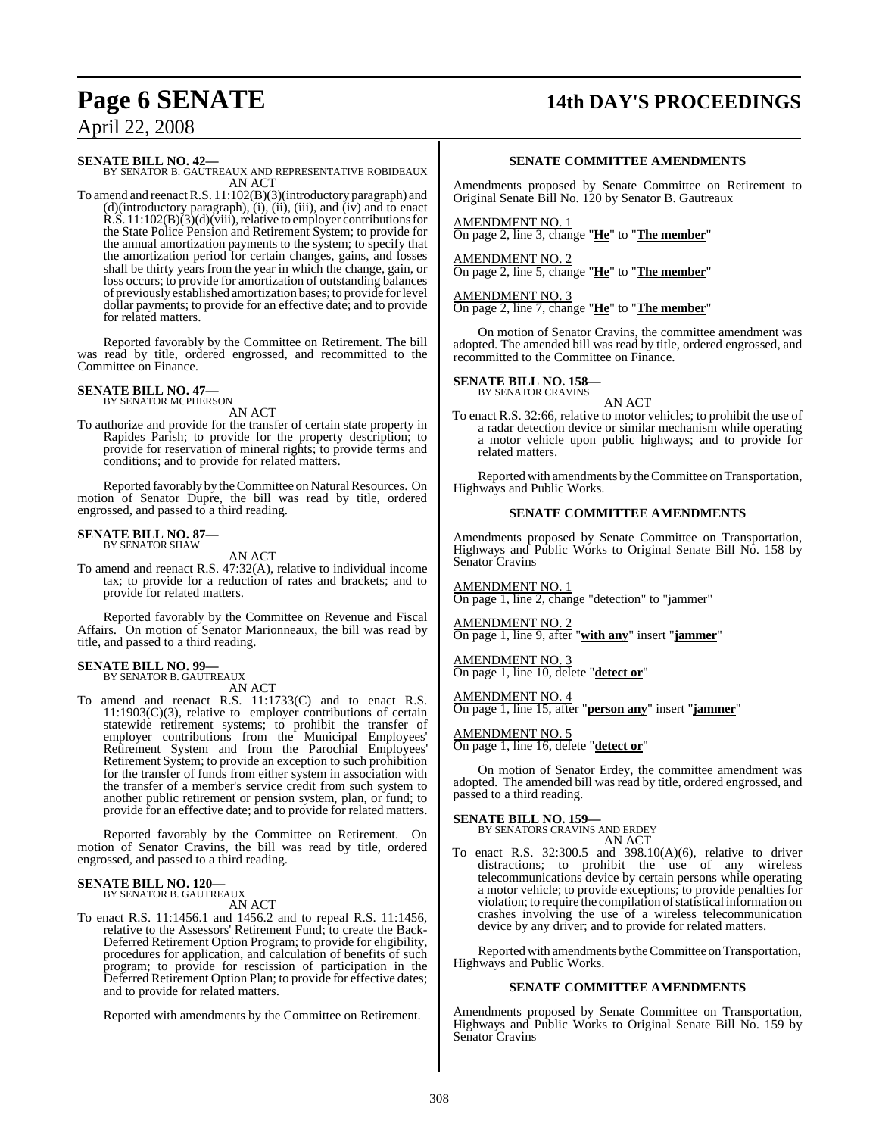# **Page 6 SENATE 14th DAY'S PROCEEDINGS**

## April 22, 2008

**SENATE BILL NO. 42—** BY SENATOR B. GAUTREAUX AND REPRESENTATIVE ROBIDEAUX AN ACT

To amend and reenactR.S. 11:102(B)(3)(introductory paragraph) and  $(d)$ (introductory paragraph),  $(i)$ ,  $(ii)$ ,  $(iii)$ , and  $(iv)$  and to enact  $R.S. 11:102(B)(3)(d)(\overline{viii})$ , relative to employer contributions for the State Police Pension and Retirement System; to provide for the annual amortization payments to the system; to specify that the amortization period for certain changes, gains, and losses shall be thirty years from the year in which the change, gain, or loss occurs; to provide for amortization of outstanding balances of previously established amortization bases; to provide for level dollar payments; to provide for an effective date; and to provide for related matters.

Reported favorably by the Committee on Retirement. The bill was read by title, ordered engrossed, and recommitted to the Committee on Finance.

#### **SENATE BILL NO. 47—** BY SENATOR MCPHERSON

AN ACT

To authorize and provide for the transfer of certain state property in Rapides Parish; to provide for the property description; to provide for reservation of mineral rights; to provide terms and conditions; and to provide for related matters.

Reported favorably by the Committee on Natural Resources. On motion of Senator Dupre, the bill was read by title, ordered engrossed, and passed to a third reading.

#### **SENATE BILL NO. 87—** BY SENATOR SHAW

AN ACT

To amend and reenact R.S. 47:32(A), relative to individual income tax; to provide for a reduction of rates and brackets; and to provide for related matters.

Reported favorably by the Committee on Revenue and Fiscal Affairs. On motion of Senator Marionneaux, the bill was read by title, and passed to a third reading.

#### **SENATE BILL NO. 99—** BY SENATOR B. GAUTREAUX

AN ACT

To amend and reenact R.S. 11:1733(C) and to enact R.S. 11:1903(C)(3), relative to employer contributions of certain statewide retirement systems; to prohibit the transfer of employer contributions from the Municipal Employees' Retirement System and from the Parochial Employees' Retirement System; to provide an exception to such prohibition for the transfer of funds from either system in association with the transfer of a member's service credit from such system to another public retirement or pension system, plan, or fund; to provide for an effective date; and to provide for related matters.

Reported favorably by the Committee on Retirement. On motion of Senator Cravins, the bill was read by title, ordered engrossed, and passed to a third reading.

## **SENATE BILL NO. 120—** BY SENATOR B. GAUTREAUX

AN ACT

To enact R.S. 11:1456.1 and 1456.2 and to repeal R.S. 11:1456, relative to the Assessors' Retirement Fund; to create the Back-Deferred Retirement Option Program; to provide for eligibility, procedures for application, and calculation of benefits of such program; to provide for rescission of participation in the Deferred Retirement Option Plan; to provide for effective dates; and to provide for related matters.

Reported with amendments by the Committee on Retirement.

#### **SENATE COMMITTEE AMENDMENTS**

Amendments proposed by Senate Committee on Retirement to Original Senate Bill No. 120 by Senator B. Gautreaux

AMENDMENT NO. 1 On page 2, line 3, change "**He**" to "**The member**"

AMENDMENT NO. 2 On page 2, line 5, change "**He**" to "**The member**"

AMENDMENT NO. 3 On page 2, line 7, change "**He**" to "**The member**"

On motion of Senator Cravins, the committee amendment was adopted. The amended bill was read by title, ordered engrossed, and recommitted to the Committee on Finance.

**SENATE BILL NO. 158—** BY SENATOR CRAVINS

AN ACT

To enact R.S. 32:66, relative to motor vehicles; to prohibit the use of a radar detection device or similar mechanism while operating a motor vehicle upon public highways; and to provide for related matters.

Reported with amendments by the Committee on Transportation, Highways and Public Works.

#### **SENATE COMMITTEE AMENDMENTS**

Amendments proposed by Senate Committee on Transportation, Highways and Public Works to Original Senate Bill No. 158 by Senator Cravins

AMENDMENT NO. 1 On page 1, line 2, change "detection" to "jammer"

AMENDMENT NO. 2 On page 1, line 9, after "**with any**" insert "**jammer**"

AMENDMENT NO. 3 On page 1, line 10, delete "**detect or**"

AMENDMENT NO. 4

On page 1, line 15, after "**person any**" insert "**jammer**"

AMENDMENT NO. 5

On page 1, line 16, delete "**detect or**"

On motion of Senator Erdey, the committee amendment was adopted. The amended bill was read by title, ordered engrossed, and passed to a third reading.

## **SENATE BILL NO. 159—** BY SENATORS CRAVINS AND ERDEY

AN ACT

To enact R.S. 32:300.5 and 398.10(A)(6), relative to driver distractions; to prohibit the use of any wireless telecommunications device by certain persons while operating a motor vehicle; to provide exceptions; to provide penalties for violation; to require the compilation of statistical information on crashes involving the use of a wireless telecommunication device by any driver; and to provide for related matters.

Reported with amendments by the Committee on Transportation, Highways and Public Works.

#### **SENATE COMMITTEE AMENDMENTS**

Amendments proposed by Senate Committee on Transportation, Highways and Public Works to Original Senate Bill No. 159 by Senator Cravins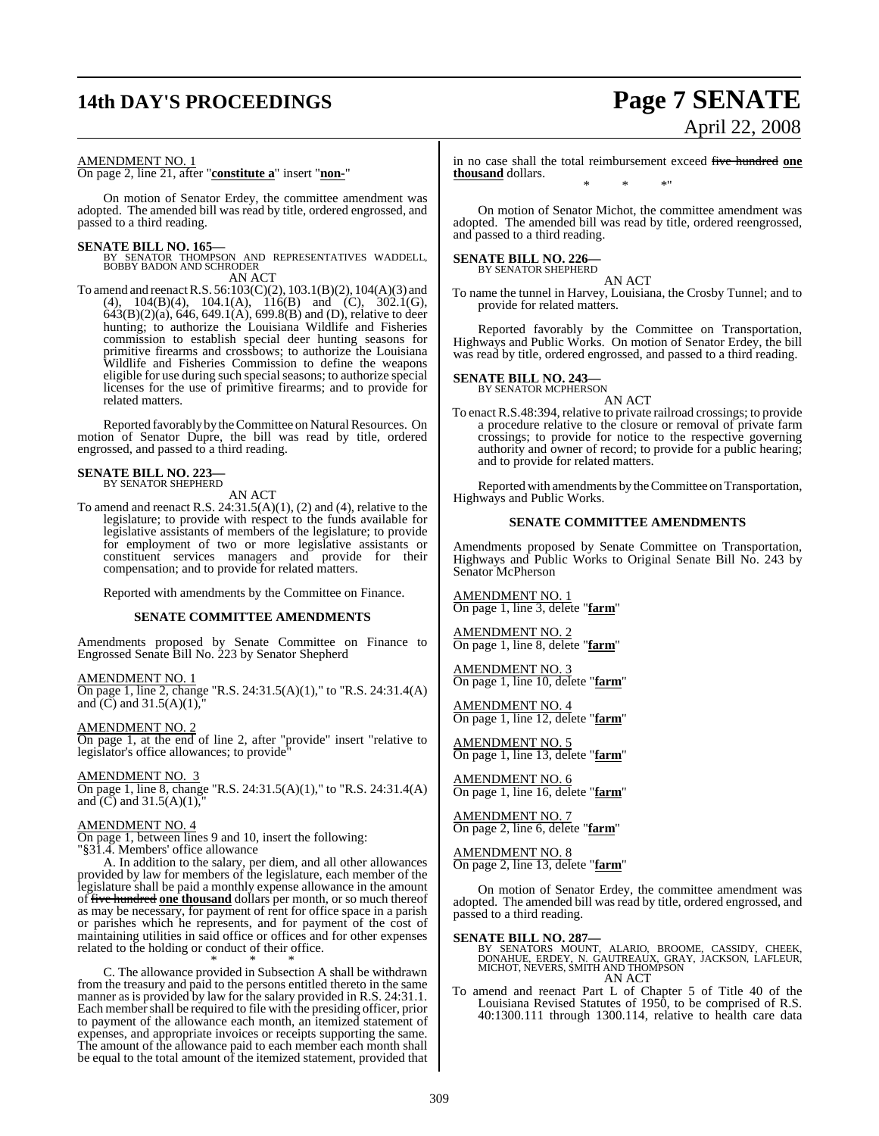## **14th DAY'S PROCEEDINGS Page 7 SENATE**

# April 22, 2008

#### AMENDMENT NO. 1

On page 2, line 21, after "**constitute a**" insert "**non-**"

On motion of Senator Erdey, the committee amendment was adopted. The amended bill was read by title, ordered engrossed, and passed to a third reading.

**SENATE BILL NO. 165—** BY SENATOR THOMPSON AND REPRESENTATIVES WADDELL, BOBBY BADON AND SCHRODER

AN ACT To amend and reenactR.S. 56:103(C)(2), 103.1(B)(2), 104(A)(3) and (4),  $104(B)(4)$ ,  $104.1(A)$ ,  $116(B)$  and (C),  $302.1(G)$ , 643(B)(2)(a), 646, 649.1(A), 699.8(B) and (D), relative to deer hunting; to authorize the Louisiana Wildlife and Fisheries commission to establish special deer hunting seasons for primitive firearms and crossbows; to authorize the Louisiana Wildlife and Fisheries Commission to define the weapons eligible for use during such special seasons; to authorize special licenses for the use of primitive firearms; and to provide for related matters.

Reported favorably by the Committee on Natural Resources. On motion of Senator Dupre, the bill was read by title, ordered engrossed, and passed to a third reading.

# **SENATE BILL NO. 223—** BY SENATOR SHEPHERD

AN ACT

To amend and reenact R.S. 24:31.5(A)(1), (2) and (4), relative to the legislature; to provide with respect to the funds available for legislative assistants of members of the legislature; to provide for employment of two or more legislative assistants or constituent services managers and provide for their compensation; and to provide for related matters.

Reported with amendments by the Committee on Finance.

#### **SENATE COMMITTEE AMENDMENTS**

Amendments proposed by Senate Committee on Finance to Engrossed Senate Bill No. 223 by Senator Shepherd

#### AMENDMENT NO. 1

On page 1, line 2, change "R.S. 24:31.5(A)(1)," to "R.S. 24:31.4(A) and  $\tilde{C}$ ) and 31.5(A)(1),

AMENDMENT NO. 2 On page 1, at the end of line 2, after "provide" insert "relative to legislator's office allowances; to provide"

#### AMENDMENT NO. 3

On page 1, line 8, change "R.S. 24:31.5(A)(1)," to "R.S. 24:31.4(A) and  $(C)$  and  $31.5(A)(1)$ ,

#### AMENDMENT NO. 4

On page 1, between lines 9 and 10, insert the following: "§31.4. Members' office allowance

A. In addition to the salary, per diem, and all other allowances provided by law for members of the legislature, each member of the legislature shall be paid a monthly expense allowance in the amount of five hundred **one thousand** dollars per month, or so much thereof as may be necessary, for payment of rent for office space in a parish or parishes which he represents, and for payment of the cost of maintaining utilities in said office or offices and for other expenses related to the holding or conduct of their office.

\* \* \* C. The allowance provided in Subsection A shall be withdrawn from the treasury and paid to the persons entitled thereto in the same manner as is provided by law for the salary provided in R.S. 24:31.1. Each member shall be required to file with the presiding officer, prior to payment of the allowance each month, an itemized statement of expenses, and appropriate invoices or receipts supporting the same. The amount of the allowance paid to each member each month shall be equal to the total amount of the itemized statement, provided that

in no case shall the total reimbursement exceed five hundred **one thousand** dollars. \* \* \*"

On motion of Senator Michot, the committee amendment was adopted. The amended bill was read by title, ordered reengrossed, and passed to a third reading.

## **SENATE BILL NO. 226—** BY SENATOR SHEPHERD

AN ACT

To name the tunnel in Harvey, Louisiana, the Crosby Tunnel; and to provide for related matters.

Reported favorably by the Committee on Transportation, Highways and Public Works. On motion of Senator Erdey, the bill was read by title, ordered engrossed, and passed to a third reading.

## **SENATE BILL NO. 243—**<br>BY SENATOR MCPHERSON

AN ACT

To enact R.S.48:394, relative to private railroad crossings; to provide a procedure relative to the closure or removal of private farm crossings; to provide for notice to the respective governing authority and owner of record; to provide for a public hearing; and to provide for related matters.

Reported with amendments by the Committee on Transportation, Highways and Public Works.

#### **SENATE COMMITTEE AMENDMENTS**

Amendments proposed by Senate Committee on Transportation, Highways and Public Works to Original Senate Bill No. 243 by Senator McPherson

AMENDMENT NO. 1 On page 1, line 3, delete "**farm**"

AMENDMENT NO. 2 On page 1, line 8, delete "**farm**"

AMENDMENT NO. 3 On page 1, line 10, delete "**farm**"

AMENDMENT NO. 4 On page 1, line 12, delete "**farm**"

AMENDMENT NO. 5 On page 1, line 13, delete "**farm**"

AMENDMENT NO. 6 On page 1, line 16, delete "**farm**"

AMENDMENT NO. 7 On page 2, line 6, delete "**farm**"

AMENDMENT NO. 8 On page 2, line 13, delete "**farm**"

On motion of Senator Erdey, the committee amendment was adopted. The amended bill was read by title, ordered engrossed, and passed to a third reading.

**SENATE BILL NO. 287—**<br>BY SENATORS MOUNT, ALARIO, BROOME, CASSIDY, CHEEK,<br>DONAHUE, ERDEY, N. GAUTREAUX, GRAY, JACKSON, LAFLEUR,<br>MICHOT, NEVERS, SMITH AND THOMPSON AN ACT

To amend and reenact Part L of Chapter 5 of Title 40 of the Louisiana Revised Statutes of 1950, to be comprised of R.S. 40:1300.111 through 1300.114, relative to health care data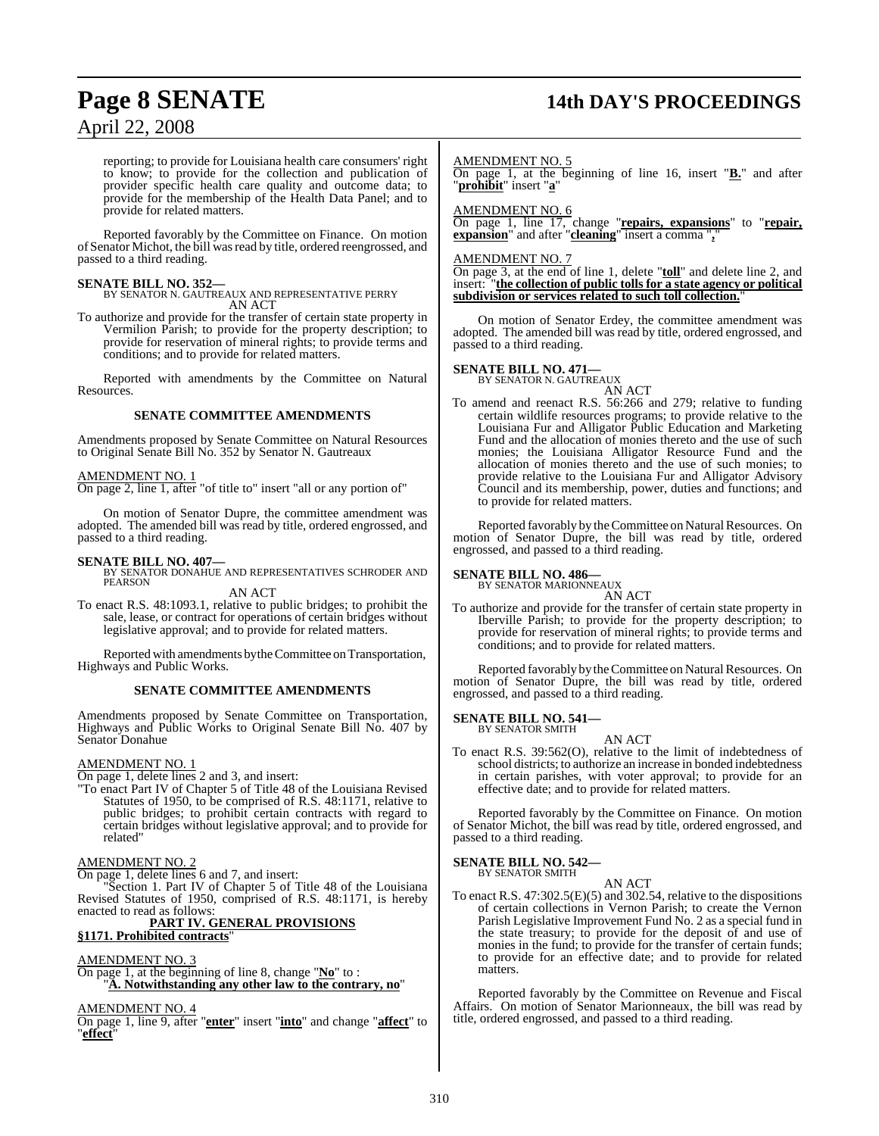# **Page 8 SENATE 14th DAY'S PROCEEDINGS**

reporting; to provide for Louisiana health care consumers' right to know; to provide for the collection and publication of provider specific health care quality and outcome data; to provide for the membership of the Health Data Panel; and to provide for related matters.

Reported favorably by the Committee on Finance. On motion of Senator Michot, the bill wasread by title, ordered reengrossed, and passed to a third reading.

#### **SENATE BILL NO. 352—**

BY SENATOR N. GAUTREAUX AND REPRESENTATIVE PERRY AN ACT

To authorize and provide for the transfer of certain state property in Vermilion Parish; to provide for the property description; to provide for reservation of mineral rights; to provide terms and conditions; and to provide for related matters.

Reported with amendments by the Committee on Natural **Resources** 

#### **SENATE COMMITTEE AMENDMENTS**

Amendments proposed by Senate Committee on Natural Resources to Original Senate Bill No. 352 by Senator N. Gautreaux

#### AMENDMENT NO. 1

On page 2, line 1, after "of title to" insert "all or any portion of"

On motion of Senator Dupre, the committee amendment was adopted. The amended bill was read by title, ordered engrossed, and passed to a third reading.

**SENATE BILL NO. 407—** BY SENATOR DONAHUE AND REPRESENTATIVES SCHRODER AND PEARSON

AN ACT To enact R.S. 48:1093.1, relative to public bridges; to prohibit the sale, lease, or contract for operations of certain bridges without legislative approval; and to provide for related matters.

Reported with amendments by the Committee on Transportation, Highways and Public Works.

#### **SENATE COMMITTEE AMENDMENTS**

Amendments proposed by Senate Committee on Transportation, Highways and Public Works to Original Senate Bill No. 407 by Senator Donahue

#### AMENDMENT NO. 1

On page 1, delete lines 2 and 3, and insert:

"To enact Part IV of Chapter 5 of Title 48 of the Louisiana Revised Statutes of 1950, to be comprised of R.S. 48:1171, relative to public bridges; to prohibit certain contracts with regard to certain bridges without legislative approval; and to provide for related"

#### AMENDMENT NO. 2

On page 1, delete lines 6 and 7, and insert:

Section 1. Part IV of Chapter 5 of Title 48 of the Louisiana Revised Statutes of 1950, comprised of R.S. 48:1171, is hereby enacted to read as follows:

#### **PART IV. GENERAL PROVISIONS**

**§1171. Prohibited contracts**"

#### AMENDMENT NO. 3

On page 1, at the beginning of line 8, change "**No**" to : "**A. Notwithstanding any other law to the contrary, no**"

#### AMENDMENT NO. 4

On page 1, line 9, after "**enter**" insert "**into**" and change "**affect**" to "**effect**"

#### AMENDMENT NO. 5

On page 1, at the beginning of line 16, insert "**B.**" and after "**prohibit**" insert "**a**"

#### AMENDMENT NO. 6

On page 1, line 17, change "**repairs, expansions**" to "**repair, expansion**" and after "**cleaning**" insert a comma "**,**"

#### AMENDMENT NO. 7

On page 3, at the end of line 1, delete "**toll**" and delete line 2, and insert: "**the collection of public tolls for a state agency or political subdivision or services related to such toll collection.**"

On motion of Senator Erdey, the committee amendment was adopted. The amended bill was read by title, ordered engrossed, and passed to a third reading.

#### **SENATE BILL NO. 471—** BY SENATOR N. GAUTREAUX

AN ACT

To amend and reenact R.S. 56:266 and 279; relative to funding certain wildlife resources programs; to provide relative to the Louisiana Fur and Alligator Public Education and Marketing Fund and the allocation of monies thereto and the use of such monies; the Louisiana Alligator Resource Fund and the allocation of monies thereto and the use of such monies; to provide relative to the Louisiana Fur and Alligator Advisory Council and its membership, power, duties and functions; and to provide for related matters.

Reported favorably by the Committee on Natural Resources. On motion of Senator Dupre, the bill was read by title, ordered engrossed, and passed to a third reading.

#### **SENATE BILL NO. 486—**

BY SENATOR MARIONNEAUX AN ACT

To authorize and provide for the transfer of certain state property in Iberville Parish; to provide for the property description; to provide for reservation of mineral rights; to provide terms and conditions; and to provide for related matters.

Reported favorably by the Committee on Natural Resources. On motion of Senator Dupre, the bill was read by title, ordered engrossed, and passed to a third reading.

#### **SENATE BILL NO. 541—** BY SENATOR SMITH

AN ACT

To enact R.S. 39:562(O), relative to the limit of indebtedness of school districts; to authorize an increase in bonded indebtedness in certain parishes, with voter approval; to provide for an effective date; and to provide for related matters.

Reported favorably by the Committee on Finance. On motion of Senator Michot, the bill was read by title, ordered engrossed, and passed to a third reading.

#### **SENATE BILL NO. 542—**

BY SENATOR SMITH

AN ACT To enact R.S.  $47:302.5(E)(5)$  and  $302.54$ , relative to the dispositions of certain collections in Vernon Parish; to create the Vernon Parish Legislative Improvement Fund No. 2 as a special fund in the state treasury; to provide for the deposit of and use of monies in the fund; to provide for the transfer of certain funds; to provide for an effective date; and to provide for related matters.

Reported favorably by the Committee on Revenue and Fiscal Affairs. On motion of Senator Marionneaux, the bill was read by title, ordered engrossed, and passed to a third reading.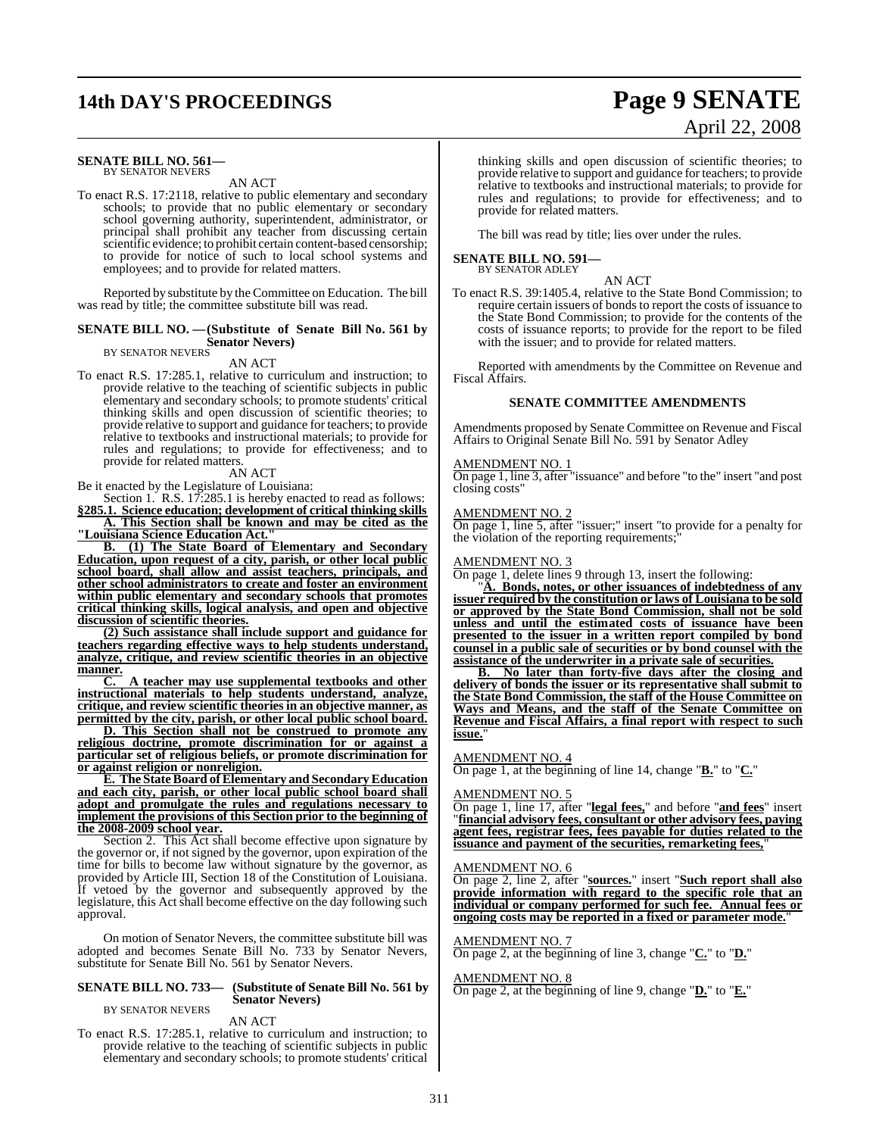## **14th DAY'S PROCEEDINGS Page 9 SENATE**

## **SENATE BILL NO. 561—**

BY SENATOR NEVERS

AN ACT To enact R.S. 17:2118, relative to public elementary and secondary schools; to provide that no public elementary or secondary school governing authority, superintendent, administrator, or principal shall prohibit any teacher from discussing certain scientific evidence; to prohibit certain content-based censorship; to provide for notice of such to local school systems and employees; and to provide for related matters.

Reported by substitute by the Committee on Education. The bill was read by title; the committee substitute bill was read.

#### **SENATE BILL NO. —(Substitute of Senate Bill No. 561 by Senator Nevers)** BY SENATOR NEVERS

#### AN ACT

To enact R.S. 17:285.1, relative to curriculum and instruction; to provide relative to the teaching of scientific subjects in public elementary and secondary schools; to promote students' critical thinking skills and open discussion of scientific theories; to provide relative to support and guidance for teachers; to provide relative to textbooks and instructional materials; to provide for rules and regulations; to provide for effectiveness; and to provide for related matters.

#### AN ACT

Be it enacted by the Legislature of Louisiana:

Section 1. R.S. 17:285.1 is hereby enacted to read as follows: **§285.1. Science education; development of critical thinking skills**

**A. This Section shall be known and may be cited as the "Louisiana Science Education Act."**

**B. (1) The State Board of Elementary and Secondary Education, upon request of a city, parish, or other local public school board, shall allow and assist teachers, principals, and other school administrators to create and foster an environment within public elementary and secondary schools that promotes critical thinking skills, logical analysis, and open and objective discussion of scientific theories.**

**(2) Such assistance shall include support and guidance for teachers regarding effective ways to help students understand, analyze, critique, and review scientific theories in an objective manner.**

**C. A teacher may use supplemental textbooks and other instructional materials to help students understand, analyze, critique, and review scientific theories in an objective manner, as permitted by the city, parish, or other local public school board.**

**D. This Section shall not be construed to promote any religious doctrine, promote discrimination for or against a particular set of religious beliefs, or promote discrimination for or against religion or nonreligion.**

**E. The State Board of Elementary and Secondary Education and each city, parish, or other local public school board shall adopt and promulgate the rules and regulations necessary to implement the provisions of this Section prior to the beginning of the 2008-2009 school year.**

Section 2. This Act shall become effective upon signature by the governor or, if not signed by the governor, upon expiration of the time for bills to become law without signature by the governor, as provided by Article III, Section 18 of the Constitution of Louisiana. If vetoed by the governor and subsequently approved by the legislature, this Act shall become effective on the day following such approval.

On motion of Senator Nevers, the committee substitute bill was adopted and becomes Senate Bill No. 733 by Senator Nevers, substitute for Senate Bill No. 561 by Senator Nevers.

#### **SENATE BILL NO. 733— (Substitute of Senate Bill No. 561 by Senator Nevers)**

#### BY SENATOR NEVERS

AN ACT To enact R.S. 17:285.1, relative to curriculum and instruction; to provide relative to the teaching of scientific subjects in public elementary and secondary schools; to promote students' critical

#### thinking skills and open discussion of scientific theories; to provide relative to support and guidance for teachers; to provide relative to textbooks and instructional materials; to provide for rules and regulations; to provide for effectiveness; and to provide for related matters.

April 22, 2008

The bill was read by title; lies over under the rules.

# **SENATE BILL NO. 591—** BY SENATOR ADLEY

AN ACT

To enact R.S. 39:1405.4, relative to the State Bond Commission; to require certain issuers of bonds to report the costs of issuance to the State Bond Commission; to provide for the contents of the costs of issuance reports; to provide for the report to be filed with the issuer; and to provide for related matters.

Reported with amendments by the Committee on Revenue and Fiscal Affairs.

#### **SENATE COMMITTEE AMENDMENTS**

Amendments proposed by Senate Committee on Revenue and Fiscal Affairs to Original Senate Bill No. 591 by Senator Adley

#### AMENDMENT NO. 1

On page 1, line 3, after "issuance" and before "to the" insert "and post closing costs"

#### AMENDMENT NO. 2

On page 1, line 5, after "issuer;" insert "to provide for a penalty for the violation of the reporting requirements;

#### AMENDMENT NO. 3

On page 1, delete lines 9 through 13, insert the following:

"**A. Bonds, notes, or other issuances of indebtedness of any issuer required by the constitution or laws of Louisiana to be sold or approved by the State Bond Commission, shall not be sold unless and until the estimated costs of issuance have been presented to the issuer in a written report compiled by bond counsel in a public sale of securities or by bond counsel with the assistance of the underwriter in a private sale of securities.**

**B. No later than forty-five days after the closing and delivery of bonds the issuer or its representative shall submit to the State Bond Commission, the staff of the House Committee on Ways and Means, and the staff of the Senate Committee on Revenue and Fiscal Affairs, a final report with respect to such issue.**"

#### AMENDMENT NO. 4

On page 1, at the beginning of line 14, change "**B.**" to "**C.**"

#### AMENDMENT NO. 5

On page 1, line 17, after "**legal fees,**" and before "**and fees**" insert "**financial advisory fees, consultant or other advisory fees, paying agent fees, registrar fees, fees payable for duties related to the issuance and payment of the securities, remarketing fees,**"

#### AMENDMENT NO. 6

On page 2, line 2, after "**sources.**" insert "**Such report shall also provide information with regard to the specific role that an individual or company performed for such fee. Annual fees or ongoing costs may be reported in a fixed or parameter mode.**"

#### AMENDMENT NO. 7

On page 2, at the beginning of line 3, change "**C.**" to "**D.**"

#### AMENDMENT NO. 8

On page 2, at the beginning of line 9, change "**D.**" to "**E.**"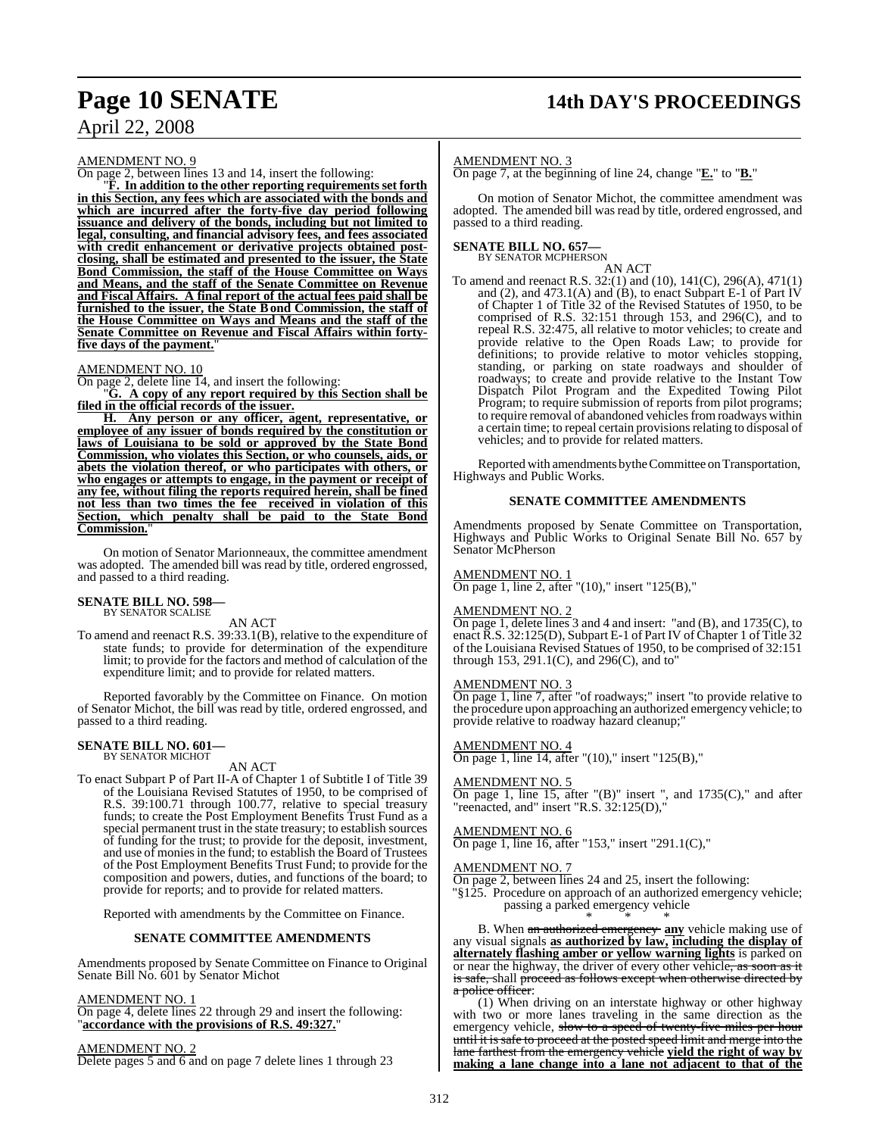## **Page 10 SENATE 14th DAY'S PROCEEDINGS**

## April 22, 2008

AMENDMENT NO. 9

On page 2, between lines 13 and 14, insert the following:

"**F. In addition to the other reporting requirements set forth in this Section, any fees which are associated with the bonds and which are incurred after the forty-five day period following issuance and delivery of the bonds, including but not limited to legal, consulting, and financial advisory fees, and fees associated with credit enhancement or derivative projects obtained postclosing, shall be estimated and presented to the issuer, the State Bond Commission, the staff of the House Committee on Ways and Means, and the staff of the Senate Committee on Revenue and Fiscal Affairs. A final report of the actual fees paid shall be furnished to the issuer, the State Bond Commission, the staff of the House Committee on Ways and Means and the staff of the Senate Committee on Revenue and Fiscal Affairs within fortyfive days of the payment.**"

#### AMENDMENT NO. 10

On page 2, delete line 14, and insert the following:

"**G. A copy of any report required by this Section shall be filed in the official records of the issuer.**

**H. Any person or any officer, agent, representative, or employee of any issuer of bonds required by the constitution or laws of Louisiana to be sold or approved by the State Bond Commission, who violates this Section, or who counsels, aids, or abets the violation thereof, or who participates with others, or who engages or attempts to engage, in the payment or receipt of any fee, without filing the reports required herein, shall be fined not less than two times the fee received in violation of this Section, which penalty shall be paid to the State Bond Commission.**"

On motion of Senator Marionneaux, the committee amendment was adopted. The amended bill was read by title, ordered engrossed, and passed to a third reading.

#### **SENATE BILL NO. 598—** BY SENATOR SCALISE

AN ACT

To amend and reenact R.S. 39:33.1(B), relative to the expenditure of state funds; to provide for determination of the expenditure limit; to provide for the factors and method of calculation of the expenditure limit; and to provide for related matters.

Reported favorably by the Committee on Finance. On motion of Senator Michot, the bill was read by title, ordered engrossed, and passed to a third reading.

#### **SENATE BILL NO. 601—** BY SENATOR MICHOT

AN ACT

To enact Subpart P of Part II-A of Chapter 1 of Subtitle I of Title 39 of the Louisiana Revised Statutes of 1950, to be comprised of R.S. 39:100.71 through 100.77, relative to special treasury funds; to create the Post Employment Benefits Trust Fund as a special permanent trust in the state treasury; to establish sources of funding for the trust; to provide for the deposit, investment, and use of monies in the fund; to establish the Board of Trustees of the Post Employment Benefits Trust Fund; to provide for the composition and powers, duties, and functions of the board; to provide for reports; and to provide for related matters.

Reported with amendments by the Committee on Finance.

#### **SENATE COMMITTEE AMENDMENTS**

Amendments proposed by Senate Committee on Finance to Original Senate Bill No. 601 by Senator Michot

AMENDMENT NO. 1

On page 4, delete lines 22 through 29 and insert the following: "**accordance with the provisions of R.S. 49:327.**"

AMENDMENT NO. 2 Delete pages 5 and 6 and on page 7 delete lines 1 through 23

#### AMENDMENT NO. 3

On page 7, at the beginning of line 24, change "**E.**" to "**B.**"

On motion of Senator Michot, the committee amendment was adopted. The amended bill was read by title, ordered engrossed, and passed to a third reading.

## **SENATE BILL NO. 657—**<br>BY SENATOR MCPHERSON

AN ACT

To amend and reenact R.S. 32:(1) and (10), 141(C), 296(A), 471(1) and (2), and 473.1(A) and (B), to enact Subpart E-1 of Part IV of Chapter 1 of Title 32 of the Revised Statutes of 1950, to be comprised of R.S. 32:151 through 153, and 296(C), and to repeal R.S. 32:475, all relative to motor vehicles; to create and provide relative to the Open Roads Law; to provide for definitions; to provide relative to motor vehicles stopping, standing, or parking on state roadways and shoulder of roadways; to create and provide relative to the Instant Tow Dispatch Pilot Program and the Expedited Towing Pilot Program; to require submission of reports from pilot programs; to require removal of abandoned vehicles from roadways within a certain time; to repeal certain provisions relating to disposal of vehicles; and to provide for related matters.

Reported with amendments by the Committee on Transportation, Highways and Public Works.

#### **SENATE COMMITTEE AMENDMENTS**

Amendments proposed by Senate Committee on Transportation, Highways and Public Works to Original Senate Bill No. 657 by Senator McPherson

#### AMENDMENT NO. 1

On page 1, line 2, after "(10)," insert "125(B),"

#### AMENDMENT NO. 2

On page 1, delete lines 3 and 4 and insert: "and (B), and 1735(C), to enact R.S. 32:125(D), Subpart E-1 of Part IV of Chapter 1 of Title 32 of the Louisiana Revised Statues of 1950, to be comprised of 32:151 through 153, 291.1(C), and 296(C), and to"

#### AMENDMENT NO. 3

On page 1, line 7, after "of roadways;" insert "to provide relative to the procedure upon approaching an authorized emergency vehicle; to provide relative to roadway hazard cleanup;"

#### AMENDMENT NO. 4

On page 1, line 14, after "(10)," insert "125(B),"

#### AMENDMENT NO. 5

On page 1, line 15, after " $(B)$ " insert ", and 1735 $(C)$ ," and after "reenacted, and" insert "R.S. 32:125(D),"

#### AMENDMENT NO. 6

On page 1, line 16, after "153," insert "291.1(C),"

#### AMENDMENT NO. 7

On page 2, between lines 24 and 25, insert the following:

"§125. Procedure on approach of an authorized emergency vehicle; passing a parked emergency vehicle

\* \* \* B. When an authorized emergency **any** vehicle making use of any visual signals **as authorized by law, including the display of alternately flashing amber or yellow warning lights** is parked on or near the highway, the driver of every other vehicle, as soon as it is safe, shall proceed as follows except when otherwise directed by a police officer:

(1) When driving on an interstate highway or other highway with two or more lanes traveling in the same direction as the emergency vehicle, slow to a speed of twenty-five miles per hour until it is safe to proceed at the posted speed limit and merge into the lane farthest from the emergency vehicle **yield the right of way by making a lane change into a lane not adjacent to that of the**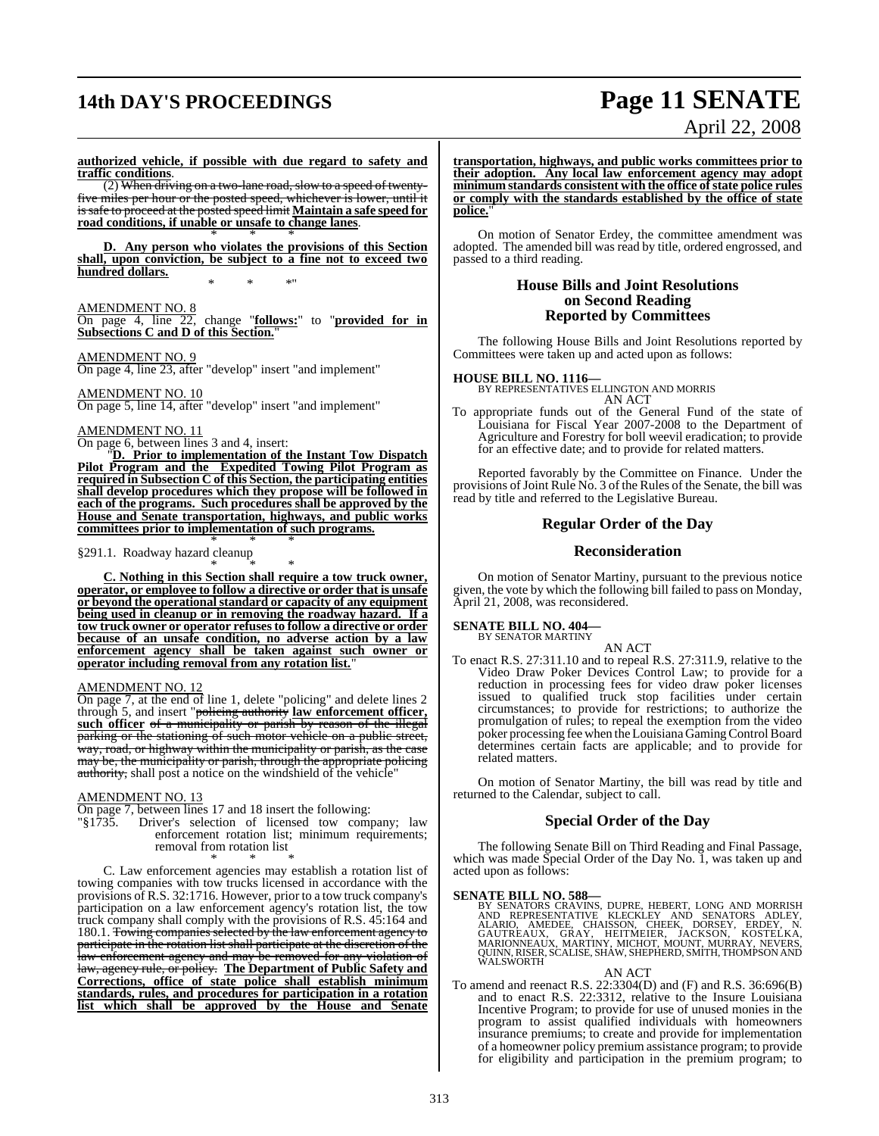## **14th DAY'S PROCEEDINGS Page 11 SENATE**

# April 22, 2008

**authorized vehicle, if possible with due regard to safety and traffic conditions**.

(2) When driving on a two-lane road, slow to a speed of twentyfive miles per hour or the posted speed, whichever is lower, until it issafe to proceed at the posted speed limit **Maintain a safe speed for road conditions, if unable or unsafe to change lanes**. \* \* \*

**D. Any person who violates the provisions of this Section shall, upon conviction, be subject to a fine not to exceed two hundred dollars.** \* \* \*"

#### AMENDMENT NO. 8

On page 4, line 22, change "**follows:**" to "**provided for in Subsections C and D of this Section.**"

#### AMENDMENT NO. 9

On page 4, line 23, after "develop" insert "and implement"

#### AMENDMENT NO. 10

On page 5, line 14, after "develop" insert "and implement"

#### AMENDMENT NO. 11

On page 6, between lines 3 and 4, insert:

"**D. Prior to implementation of the Instant Tow Dispatch Pilot Program and the Expedited Towing Pilot Program as required in Subsection C of this Section, the participating entities shall develop procedures which they propose will be followed in each of the programs. Such procedures shall be approved by the House and Senate transportation, highways, and public works committees prior to implementation of such programs.** \* \* \*

#### §291.1. Roadway hazard cleanup

\* \* \* **C. Nothing in this Section shall require a tow truck owner, operator, or employee to follow a directive or order that is unsafe or beyond the operational standard or capacity of any equipment being used in cleanup or in removing the roadway hazard. If a tow truck owner or operator refusesto follow a directive or order because of an unsafe condition, no adverse action by a law enforcement agency shall be taken against such owner or operator including removal from any rotation list.**"

#### AMENDMENT NO. 12

On page 7, at the end of line 1, delete "policing" and delete lines 2 through 5, and insert "policing authority **law enforcement officer, such officer** of a municipality or parish by reason of the illegal parking or the stationing of such motor vehicle on a public street, way, road, or highway within the municipality or parish, as the case may be, the municipality or parish, through the appropriate policing authority, shall post a notice on the windshield of the vehicle"

#### AMENDMENT NO. 13

On page 7, between lines 17 and 18 insert the following:

"§1735. Driver's selection of licensed tow company; law enforcement rotation list; minimum requirements; removal from rotation list

\* \* \* C. Law enforcement agencies may establish a rotation list of towing companies with tow trucks licensed in accordance with the provisions of R.S. 32:1716. However, prior to a tow truck company's participation on a law enforcement agency's rotation list, the tow truck company shall comply with the provisions of R.S. 45:164 and 180.1. Towing companies selected by the law enforcement agency to participate in the rotation list shall participate at the discretion of the law enforcement agency and may be removed for any violation of law, agency rule, or policy. **The Department of Public Safety and Corrections, office of state police shall establish minimum standards, rules, and procedures for participation in a rotation list which shall be approved by the House and Senate**

**transportation, highways, and public works committees prior to their adoption. Any local law enforcement agency may adopt minimum standards consistent with the office ofstate police rules or comply with the standards established by the office of state police.**"

On motion of Senator Erdey, the committee amendment was adopted. The amended bill was read by title, ordered engrossed, and passed to a third reading.

#### **House Bills and Joint Resolutions on Second Reading Reported by Committees**

The following House Bills and Joint Resolutions reported by Committees were taken up and acted upon as follows:

#### **HOUSE BILL NO. 1116—**

BY REPRESENTATIVES ELLINGTON AND MORRIS AN ACT

To appropriate funds out of the General Fund of the state of Louisiana for Fiscal Year 2007-2008 to the Department of Agriculture and Forestry for boll weevil eradication; to provide for an effective date; and to provide for related matters.

Reported favorably by the Committee on Finance. Under the provisions of Joint Rule No. 3 of the Rules of the Senate, the bill was read by title and referred to the Legislative Bureau.

#### **Regular Order of the Day**

#### **Reconsideration**

On motion of Senator Martiny, pursuant to the previous notice given, the vote by which the following bill failed to pass on Monday, April 21, 2008, was reconsidered.

## **SENATE BILL NO. 404—** BY SENATOR MARTINY

AN ACT

To enact R.S. 27:311.10 and to repeal R.S. 27:311.9, relative to the Video Draw Poker Devices Control Law; to provide for a reduction in processing fees for video draw poker licenses issued to qualified truck stop facilities under certain circumstances; to provide for restrictions; to authorize the promulgation of rules; to repeal the exemption from the video poker processing fee when the Louisiana Gaming Control Board determines certain facts are applicable; and to provide for related matters.

On motion of Senator Martiny, the bill was read by title and returned to the Calendar, subject to call.

#### **Special Order of the Day**

The following Senate Bill on Third Reading and Final Passage, which was made Special Order of the Day No. 1, was taken up and acted upon as follows:

SENATE BILL NO. 588—<br>BY SENATORS CRAVINS, DUPRE, HEBERT, LONG AND MORRISH AND REPRESENTATIVE KLECKLEY AND SENATORS ADLEY, ALARIO, AMEDEE, CHAISSON, CHEEK, DORSEY, ERDEY, N. GAUTREAUX, GRAY, HEITMEIER, JACKSON, KOSTELKA, MA

AN ACT

To amend and reenact R.S. 22:3304(D) and (F) and R.S. 36:696(B) and to enact R.S. 22:3312, relative to the Insure Louisiana Incentive Program; to provide for use of unused monies in the program to assist qualified individuals with homeowners insurance premiums; to create and provide for implementation of a homeowner policy premium assistance program; to provide for eligibility and participation in the premium program; to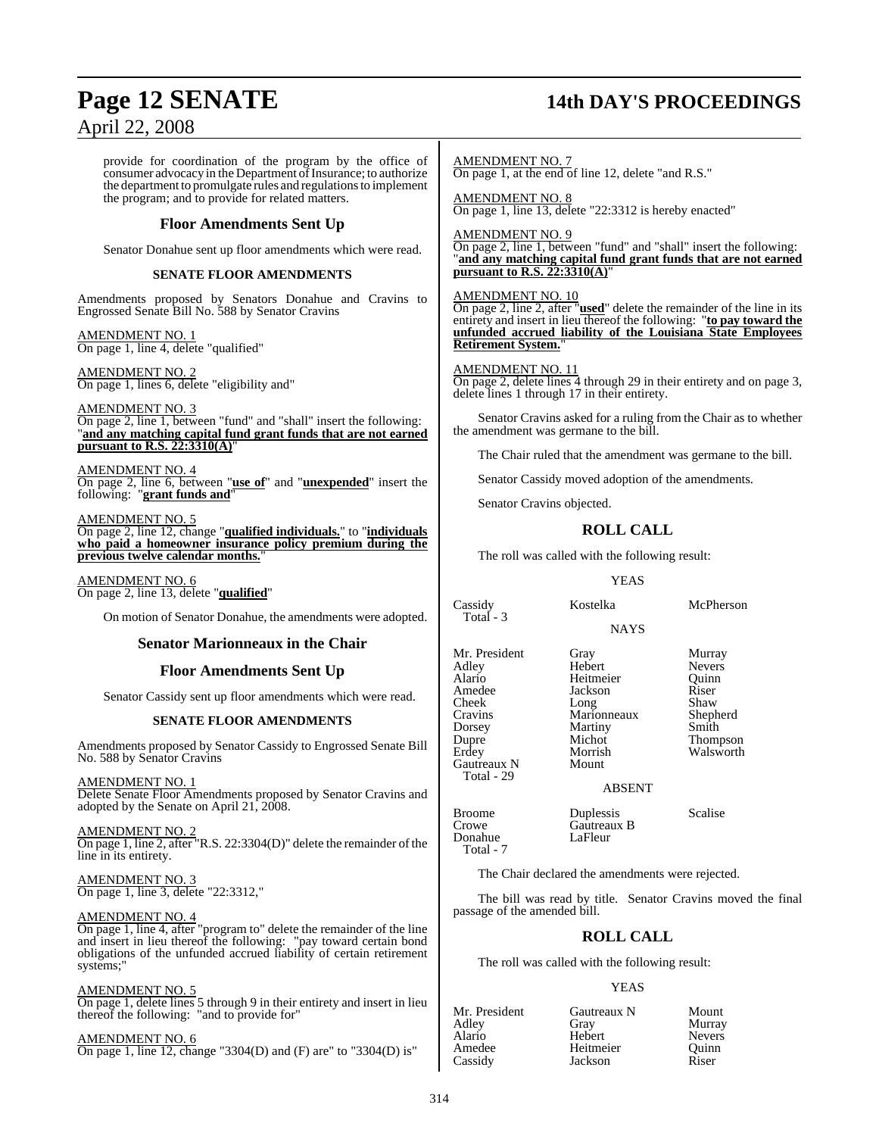## **Page 12 SENATE 14th DAY'S PROCEEDINGS**

April 22, 2008

provide for coordination of the program by the office of consumer advocacy in the Department of Insurance; to authorize the department to promulgate rules and regulations to implement the program; and to provide for related matters.

#### **Floor Amendments Sent Up**

Senator Donahue sent up floor amendments which were read.

#### **SENATE FLOOR AMENDMENTS**

Amendments proposed by Senators Donahue and Cravins to Engrossed Senate Bill No. 588 by Senator Cravins

AMENDMENT NO. 1 On page 1, line 4, delete "qualified"

AMENDMENT NO. 2 On page 1, lines 6, delete "eligibility and"

AMENDMENT NO. 3 On page 2, line 1, between "fund" and "shall" insert the following: "**and any matching capital fund grant funds that are not earned pursuant to R.S. 22:3310(A)**"

AMENDMENT NO. 4 On page 2, line 6, between "**use of**" and "**unexpended**" insert the following: "**grant funds and**"

AMENDMENT NO. 5 On page 2, line 12, change "**qualified individuals.**" to "**individuals who paid a homeowner insurance policy premium during the previous twelve calendar months.**"

AMENDMENT NO. 6 On page 2, line 13, delete "**qualified**"

On motion of Senator Donahue, the amendments were adopted.

#### **Senator Marionneaux in the Chair**

#### **Floor Amendments Sent Up**

Senator Cassidy sent up floor amendments which were read.

#### **SENATE FLOOR AMENDMENTS**

Amendments proposed by Senator Cassidy to Engrossed Senate Bill No. 588 by Senator Cravins

AMENDMENT NO. 1

Delete Senate Floor Amendments proposed by Senator Cravins and adopted by the Senate on April 21, 2008.

AMENDMENT NO. 2 On page 1, line 2, after "R.S. 22:3304(D)" delete the remainder of the line in its entirety.

AMENDMENT NO. 3 On page 1, line 3, delete "22:3312,"

#### AMENDMENT NO. 4

On page 1, line 4, after "program to" delete the remainder of the line and insert in lieu thereof the following: "pay toward certain bond obligations of the unfunded accrued liability of certain retirement systems;"

#### AMENDMENT NO. 5

On page 1, delete lines 5 through 9 in their entirety and insert in lieu thereof the following: "and to provide for"

AMENDMENT NO. 6 On page 1, line 12, change "3304(D) and (F) are" to "3304(D) is"

AMENDMENT NO. 7 On page 1, at the end of line 12, delete "and R.S."

AMENDMENT NO. 8 On page 1, line 13, delete "22:3312 is hereby enacted"

AMENDMENT NO. 9 On page 2, line 1, between "fund" and "shall" insert the following: "**and any matching capital fund grant funds that are not earned pursuant to R.S. 22:3310(A)**"

#### AMENDMENT NO. 10

On page 2, line 2, after "**used**" delete the remainder of the line in its entirety and insert in lieu thereof the following: "**to pay toward the unfunded accrued liability of the Louisiana State Employees Retirement System.**"

#### AMENDMENT NO. 11

On page 2, delete lines 4 through 29 in their entirety and on page 3, delete lines 1 through 17 in their entirety.

Senator Cravins asked for a ruling from the Chair as to whether the amendment was germane to the bill.

The Chair ruled that the amendment was germane to the bill.

Senator Cassidy moved adoption of the amendments.

Senator Cravins objected.

## **ROLL CALL**

The roll was called with the following result:

#### YEAS

Cassidy Kostelka McPherson Total - 3

**NAYS** 

Mr. President Gray Murray<br>Adley Hebert Nevers Adley Hebert Nevers Alario Heitmeier Quinn Cheek Long Shaw<br>Cravins Marionneaux Shepherd Cravins Marionneaux Shepherd<br>
Dorsey Martiny Smith Dupre Michot Thompson<br>
Erdey Morrish Walsworth Gautreaux N

Total - 29

Jackson Riser<br>Long Shaw **Martiny** Morrish Walsworth<br>Mount

ABSENT

Broome Duplessis Scalise<br>Crowe Gautreaux B Donahue Total - 7

The Chair declared the amendments were rejected.

Gautreaux B<br>LaFleur

The bill was read by title. Senator Cravins moved the final passage of the amended bill.

#### **ROLL CALL**

The roll was called with the following result:

#### YEAS

| Mr. President | Gautreaux N | Mount         |
|---------------|-------------|---------------|
| Adley         | Gray        | Murray        |
| Alario        | Hebert      | <b>Nevers</b> |
| Amedee        | Heitmeier   | Ouinn         |
| Cassidy       | Jackson     | Riser         |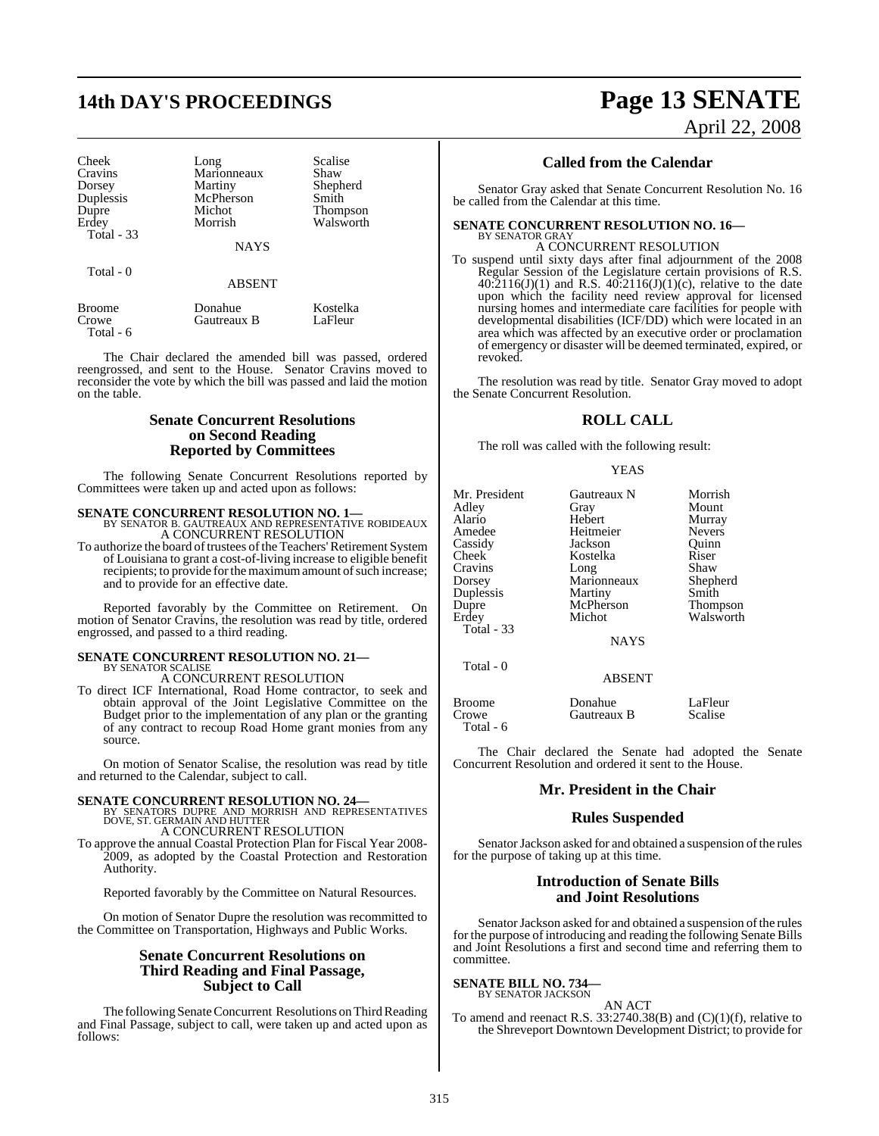# **14th DAY'S PROCEEDINGS Page 13 SENATE**

Cheek Long Scalise<br>Cravins Marionneaux Shaw Cravins Marionneaux<br>Dorsey Martiny Dorsey Martiny Shepherd Duplessis McPherson<br>
Dupre Michot Erdey Morrish Walsworth Total - 33

Michot Thompson<br>Morrish Walsworth

Total - 0

ABSENT

**NAYS** 

| Broome    | Donahue     | Kostelka |
|-----------|-------------|----------|
| Crowe     | Gautreaux B | LaFleur  |
| Total - 6 |             |          |

The Chair declared the amended bill was passed, ordered reengrossed, and sent to the House. Senator Cravins moved to reconsider the vote by which the bill was passed and laid the motion on the table.

#### **Senate Concurrent Resolutions on Second Reading Reported by Committees**

The following Senate Concurrent Resolutions reported by Committees were taken up and acted upon as follows:

**SENATE CONCURRENT RESOLUTION NO. 1—**<br>BY SENATOR B. GAUTREAUX AND REPRESENTATIVE ROBIDEAUX<br>A CONCURRENT RESOLUTION

To authorize the board of trustees of the Teachers' Retirement System of Louisiana to grant a cost-of-living increase to eligible benefit recipients; to provide for the maximum amount of such increase; and to provide for an effective date.

Reported favorably by the Committee on Retirement. On motion of Senator Cravins, the resolution was read by title, ordered engrossed, and passed to a third reading.

# **SENATE CONCURRENT RESOLUTION NO. 21—** BY SENATOR SCALISE

A CONCURRENT RESOLUTION

To direct ICF International, Road Home contractor, to seek and obtain approval of the Joint Legislative Committee on the Budget prior to the implementation of any plan or the granting of any contract to recoup Road Home grant monies from any source.

On motion of Senator Scalise, the resolution was read by title and returned to the Calendar, subject to call.

**SENATE CONCURRENT RESOLUTION NO. 24—BY SENATORS DUPRE AND MORRISH AND REPRESENTATIVES**<br>DOVE, ST. GERMAIN AND HUTTER A CONCURRENT RESOLUTION

To approve the annual Coastal Protection Plan for Fiscal Year 2008- 2009, as adopted by the Coastal Protection and Restoration Authority.

Reported favorably by the Committee on Natural Resources.

On motion of Senator Dupre the resolution was recommitted to the Committee on Transportation, Highways and Public Works.

### **Senate Concurrent Resolutions on Third Reading and Final Passage, Subject to Call**

The following Senate Concurrent Resolutions on Third Reading and Final Passage, subject to call, were taken up and acted upon as follows:

April 22, 2008

### **Called from the Calendar**

Senator Gray asked that Senate Concurrent Resolution No. 16 be called from the Calendar at this time.

**SENATE CONCURRENT RESOLUTION NO. 16—**

BY SENATOR GRAY A CONCURRENT RESOLUTION

To suspend until sixty days after final adjournment of the 2008 Regular Session of the Legislature certain provisions of R.S. 40:2116(J)(1) and R.S. 40:2116(J)(1)(c), relative to the date upon which the facility need review approval for licensed nursing homes and intermediate care facilities for people with developmental disabilities (ICF/DD) which were located in an area which was affected by an executive order or proclamation of emergency or disaster will be deemed terminated, expired, or revoked.

The resolution was read by title. Senator Gray moved to adopt the Senate Concurrent Resolution.

## **ROLL CALL**

The roll was called with the following result:

YEAS

| Mr. President | Gautreaux N   | Morrish       |
|---------------|---------------|---------------|
| Adley         | Gray          | Mount         |
| Alario        | Hebert        | Murray        |
| Amedee        | Heitmeier     | <b>Nevers</b> |
| Cassidy       | Jackson       | Quinn         |
| Cheek         | Kostelka      | Riser         |
| Cravins       | Long          | Shaw          |
| Dorsey        | Marionneaux   | Shepherd      |
| Duplessis     | Martiny       | Smith         |
| Dupre         | McPherson     | Thompson      |
| Erdev         | Michot        | Walsworth     |
| Total - 33    |               |               |
|               | <b>NAYS</b>   |               |
| Total - 0     |               |               |
|               | <b>ABSENT</b> |               |
|               |               |               |

Broome Donahue LaFleur<br>Crowe Gautreaux B Scalise Gautreaux B Total - 6

The Chair declared the Senate had adopted the Senate Concurrent Resolution and ordered it sent to the House.

#### **Mr. President in the Chair**

### **Rules Suspended**

Senator Jackson asked for and obtained a suspension of the rules for the purpose of taking up at this time.

#### **Introduction of Senate Bills and Joint Resolutions**

Senator Jackson asked for and obtained a suspension of the rules for the purpose of introducing and reading the following Senate Bills and Joint Resolutions a first and second time and referring them to committee.

#### **SENATE BILL NO. 734** BY SENATOR JACKSON

AN ACT

To amend and reenact R.S.  $33:2740.38(B)$  and  $(C)(1)(f)$ , relative to the Shreveport Downtown Development District; to provide for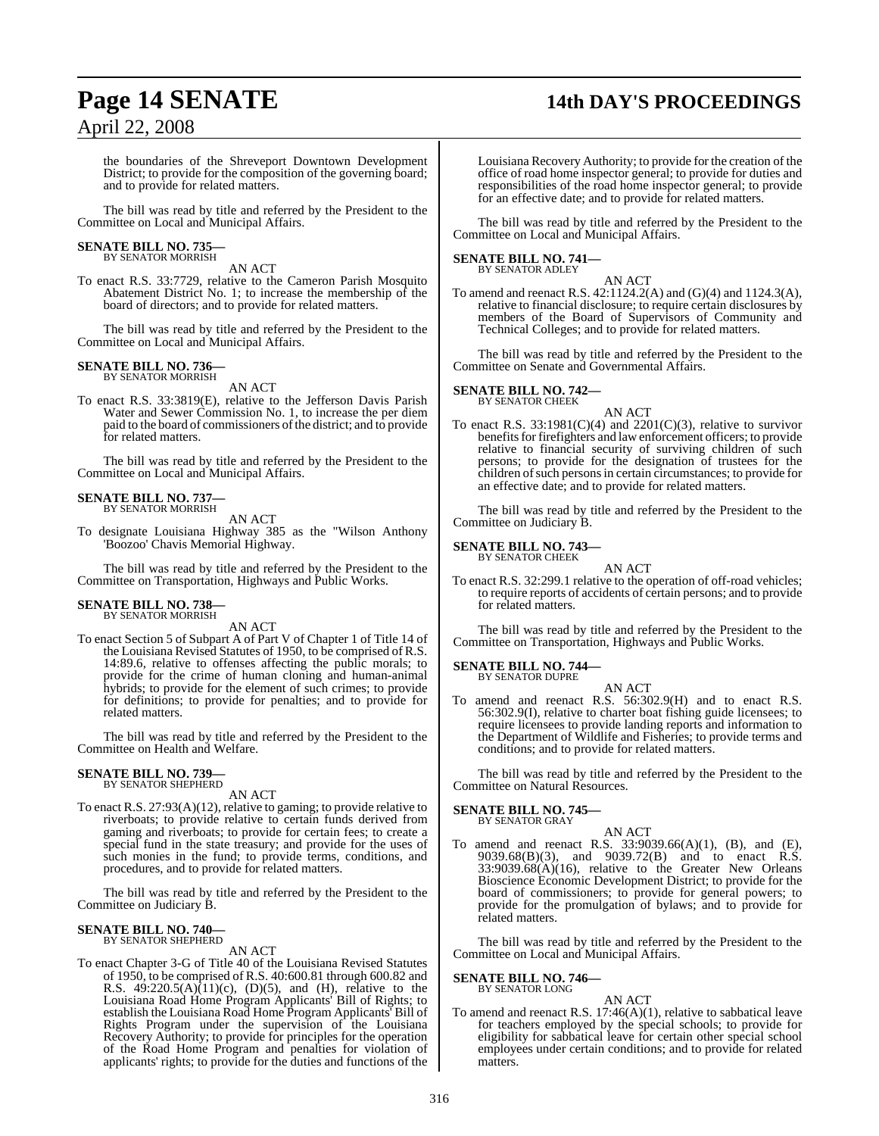## **Page 14 SENATE 14th DAY'S PROCEEDINGS**

## April 22, 2008

the boundaries of the Shreveport Downtown Development District; to provide for the composition of the governing board; and to provide for related matters.

The bill was read by title and referred by the President to the Committee on Local and Municipal Affairs.

#### **SENATE BILL NO. 735—** BY SENATOR MORRISH

AN ACT

To enact R.S. 33:7729, relative to the Cameron Parish Mosquito Abatement District No. 1; to increase the membership of the board of directors; and to provide for related matters.

The bill was read by title and referred by the President to the Committee on Local and Municipal Affairs.

#### **SENATE BILL NO. 736—** BY SENATOR MORRISH

AN ACT

To enact R.S. 33:3819(E), relative to the Jefferson Davis Parish Water and Sewer Commission No. 1, to increase the per diem paid to the board of commissioners of the district; and to provide for related matters.

The bill was read by title and referred by the President to the Committee on Local and Municipal Affairs.

#### **SENATE BILL NO. 737—**

BY SENATOR MORRISH AN ACT

To designate Louisiana Highway 385 as the "Wilson Anthony 'Boozoo' Chavis Memorial Highway.

The bill was read by title and referred by the President to the Committee on Transportation, Highways and Public Works.

#### **SENATE BILL NO. 738—** BY SENATOR MORRISH

AN ACT

To enact Section 5 of Subpart A of Part V of Chapter 1 of Title 14 of the Louisiana Revised Statutes of 1950, to be comprised of R.S. 14:89.6, relative to offenses affecting the public morals; to provide for the crime of human cloning and human-animal hybrids; to provide for the element of such crimes; to provide for definitions; to provide for penalties; and to provide for related matters.

The bill was read by title and referred by the President to the Committee on Health and Welfare.

#### **SENATE BILL NO. 739—** BY SENATOR SHEPHERD

AN ACT

To enact R.S. 27:93(A)(12), relative to gaming; to provide relative to riverboats; to provide relative to certain funds derived from gaming and riverboats; to provide for certain fees; to create a special fund in the state treasury; and provide for the uses of such monies in the fund; to provide terms, conditions, and procedures, and to provide for related matters.

The bill was read by title and referred by the President to the Committee on Judiciary B.

#### **SENATE BILL NO. 740—** BY SENATOR SHEPHERD

AN ACT

To enact Chapter 3-G of Title 40 of the Louisiana Revised Statutes of 1950, to be comprised of R.S. 40:600.81 through 600.82 and R.S.  $49:220.5(A)(11)(c)$ , (D)(5), and (H), relative to the Louisiana Road Home Program Applicants' Bill of Rights; to establish the Louisiana Road Home Program Applicants' Bill of Rights Program under the supervision of the Louisiana Recovery Authority; to provide for principles for the operation of the Road Home Program and penalties for violation of applicants' rights; to provide for the duties and functions of the Louisiana Recovery Authority; to provide for the creation of the office of road home inspector general; to provide for duties and responsibilities of the road home inspector general; to provide for an effective date; and to provide for related matters.

The bill was read by title and referred by the President to the Committee on Local and Municipal Affairs.

## **SENATE BILL NO. 741—** BY SENATOR ADLEY

## AN ACT

To amend and reenact R.S. 42:1124.2(A) and (G)(4) and 1124.3(A), relative to financial disclosure; to require certain disclosures by members of the Board of Supervisors of Community and Technical Colleges; and to provide for related matters.

The bill was read by title and referred by the President to the Committee on Senate and Governmental Affairs.

#### **SENATE BILL NO. 742—**

BY SENATOR CHEEK

AN ACT To enact R.S.  $33:1981(C)(4)$  and  $2201(C)(3)$ , relative to survivor benefits for firefighters and law enforcement officers; to provide relative to financial security of surviving children of such persons; to provide for the designation of trustees for the children of such persons in certain circumstances; to provide for an effective date; and to provide for related matters.

The bill was read by title and referred by the President to the Committee on Judiciary B.

#### **SENATE BILL NO. 743—** BY SENATOR CHEEK

AN ACT

To enact R.S. 32:299.1 relative to the operation of off-road vehicles; to require reports of accidents of certain persons; and to provide for related matters.

The bill was read by title and referred by the President to the Committee on Transportation, Highways and Public Works.

#### **SENATE BILL NO. 744—** BY SENATOR DUPRE

AN ACT To amend and reenact R.S. 56:302.9(H) and to enact R.S. 56:302.9(I), relative to charter boat fishing guide licensees; to require licensees to provide landing reports and information to the Department of Wildlife and Fisheries; to provide terms and conditions; and to provide for related matters.

The bill was read by title and referred by the President to the Committee on Natural Resources.

#### **SENATE BILL NO. 745—** BY SENATOR GRAY

AN ACT

To amend and reenact R.S. 33:9039.66(A)(1), (B), and (E), 9039.68(B)(3), and 9039.72(B) and to enact R.S. 33:9039.68(A)(16), relative to the Greater New Orleans Bioscience Economic Development District; to provide for the board of commissioners; to provide for general powers; to provide for the promulgation of bylaws; and to provide for related matters.

The bill was read by title and referred by the President to the Committee on Local and Municipal Affairs.

## **SENATE BILL NO. 746—** BY SENATOR LONG

## AN ACT

To amend and reenact R.S. 17:46(A)(1), relative to sabbatical leave for teachers employed by the special schools; to provide for eligibility for sabbatical leave for certain other special school employees under certain conditions; and to provide for related matters.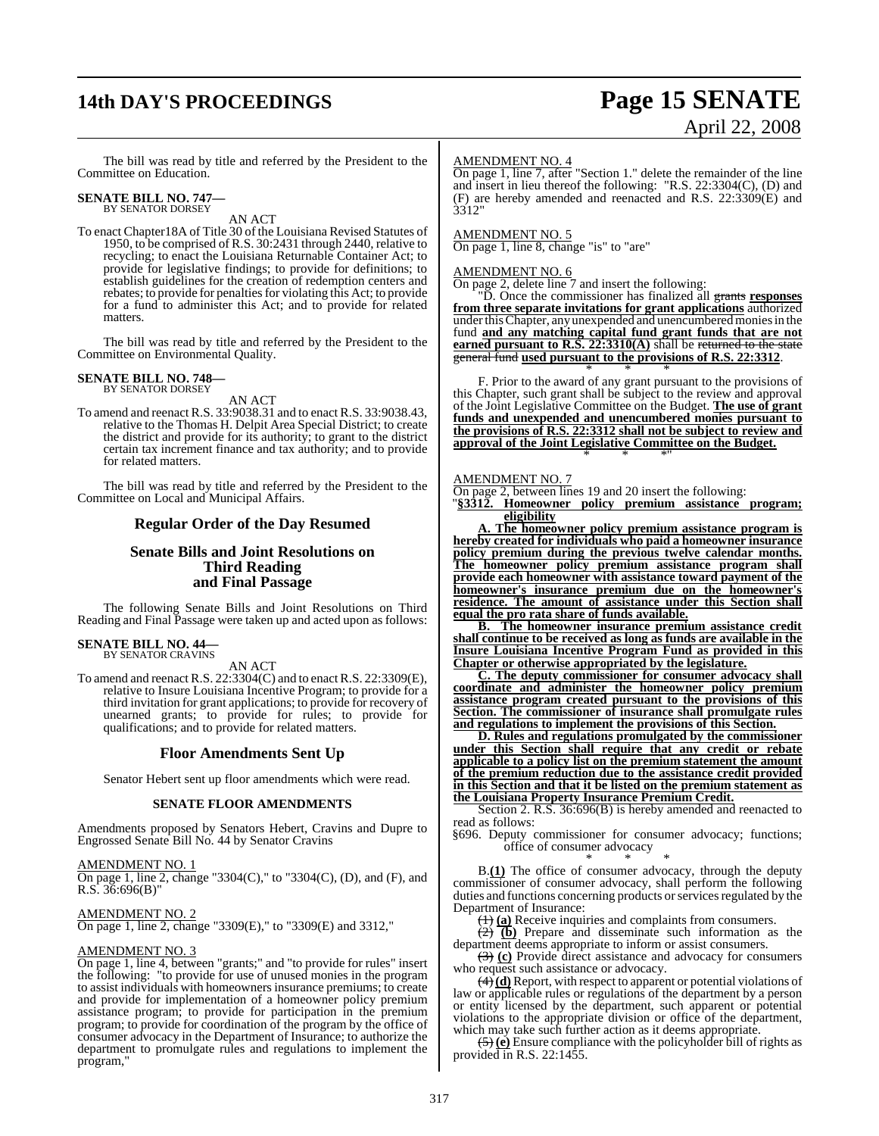# **14th DAY'S PROCEEDINGS Page 15 SENATE**

# April 22, 2008

The bill was read by title and referred by the President to the Committee on Education.

## **SENATE BILL NO. 747—** BY SENATOR DORSEY

AN ACT

To enact Chapter18A of Title 30 of the Louisiana Revised Statutes of 1950, to be comprised of R.S. 30:2431 through 2440, relative to recycling; to enact the Louisiana Returnable Container Act; to provide for legislative findings; to provide for definitions; to establish guidelines for the creation of redemption centers and rebates; to provide for penalties for violating this Act; to provide for a fund to administer this Act; and to provide for related matters.

The bill was read by title and referred by the President to the Committee on Environmental Quality.

## **SENATE BILL NO. 748—** BY SENATOR DORSEY

AN ACT

To amend and reenact R.S. 33:9038.31 and to enact R.S. 33:9038.43, relative to the Thomas H. Delpit Area Special District; to create the district and provide for its authority; to grant to the district certain tax increment finance and tax authority; and to provide for related matters.

The bill was read by title and referred by the President to the Committee on Local and Municipal Affairs.

### **Regular Order of the Day Resumed**

### **Senate Bills and Joint Resolutions on Third Reading and Final Passage**

The following Senate Bills and Joint Resolutions on Third Reading and Final Passage were taken up and acted upon as follows:

## **SENATE BILL NO. 44—** BY SENATOR CRAVINS

#### AN ACT

To amend and reenact R.S. 22:3304(C) and to enactR.S. 22:3309(E), relative to Insure Louisiana Incentive Program; to provide for a third invitation for grant applications; to provide for recovery of unearned grants; to provide for rules; to provide for qualifications; and to provide for related matters.

#### **Floor Amendments Sent Up**

Senator Hebert sent up floor amendments which were read.

#### **SENATE FLOOR AMENDMENTS**

Amendments proposed by Senators Hebert, Cravins and Dupre to Engrossed Senate Bill No. 44 by Senator Cravins

#### AMENDMENT NO. 1

On page 1, line 2, change "3304(C)," to "3304(C), (D), and (F), and R.S. 36:696(B)"

#### AMENDMENT NO. 2

On page 1, line 2, change "3309(E)," to "3309(E) and 3312,"

#### AMENDMENT NO. 3

On page 1, line 4, between "grants;" and "to provide for rules" insert the following: "to provide for use of unused monies in the program to assist individuals with homeownersinsurance premiums; to create and provide for implementation of a homeowner policy premium assistance program; to provide for participation in the premium program; to provide for coordination of the program by the office of consumer advocacy in the Department of Insurance; to authorize the department to promulgate rules and regulations to implement the program,"

#### AMENDMENT NO. 4

On page 1, line 7, after "Section 1." delete the remainder of the line and insert in lieu thereof the following: "R.S. 22:3304(C), (D) and (F) are hereby amended and reenacted and R.S. 22:3309(E) and 3312"

#### AMENDMENT NO. 5

On page 1, line 8, change "is" to "are"

#### AMENDMENT NO. 6

On page 2, delete line 7 and insert the following:

"D. Once the commissioner has finalized all grants **responses from three separate invitations for grant applications** authorized under this Chapter, any unexpended and unencumbered monies in the fund **and any matching capital fund grant funds that are not earned pursuant to R.S. 22:3310(A)** shall be returned to the state general fund **used pursuant to the provisions of R.S. 22:3312**.

\* \* \* F. Prior to the award of any grant pursuant to the provisions of this Chapter, such grant shall be subject to the review and approval of the Joint Legislative Committee on the Budget. **The use of grant funds and unexpended and unencumbered monies pursuant to the provisions of R.S. 22:3312 shall not be subject to review and approval of the Joint Legislative Committee on the Budget.** \* \* \*"

#### AMENDMENT NO. 7

On page 2, between lines 19 and 20 insert the following:

"**§3312. Homeowner policy premium assistance program; eligibility**

**A. The homeowner policy premium assistance program is hereby created for individuals who paid a homeowner insurance policy premium during the previous twelve calendar months. The homeowner policy premium assistance program shall provide each homeowner with assistance toward payment of the homeowner's insurance premium due on the homeowner's residence. The amount of assistance under this Section shall equal the pro rata share of funds available.**

**B. The homeowner insurance premium assistance credit shall continue to be received as long as funds are available in the Insure Louisiana Incentive Program Fund as provided in this Chapter or otherwise appropriated by the legislature.**

**C. The deputy commissioner for consumer advocacy shall coordinate and administer the homeowner policy premium assistance program created pursuant to the provisions of this Section. The commissioner of insurance shall promulgate rules and regulations to implement the provisions of this Section.**

**D. Rules and regulations promulgated by the commissioner under this Section shall require that any credit or rebate applicable to a policy list on the premium statement the amount of the premium reduction due to the assistance credit provided in this Section and that it be listed on the premium statement as the Louisiana Property Insurance Premium Credit.**

Section 2. R.S. 36:696(B) is hereby amended and reenacted to read as follows:

§696. Deputy commissioner for consumer advocacy; functions; office of consumer advocacy

\* \* \* B.**(1)** The office of consumer advocacy, through the deputy commissioner of consumer advocacy, shall perform the following duties and functions concerning products or services regulated by the Department of Insurance:

(1) **(a)** Receive inquiries and complaints from consumers.

(2) **(b)** Prepare and disseminate such information as the department deems appropriate to inform or assist consumers.

(3) **(c)** Provide direct assistance and advocacy for consumers who request such assistance or advocacy.

(4) **(d)** Report, with respect to apparent or potential violations of law or applicable rules or regulations of the department by a person or entity licensed by the department, such apparent or potential violations to the appropriate division or office of the department, which may take such further action as it deems appropriate.

(5) **(e)** Ensure compliance with the policyholder bill of rights as provided in R.S. 22:1455.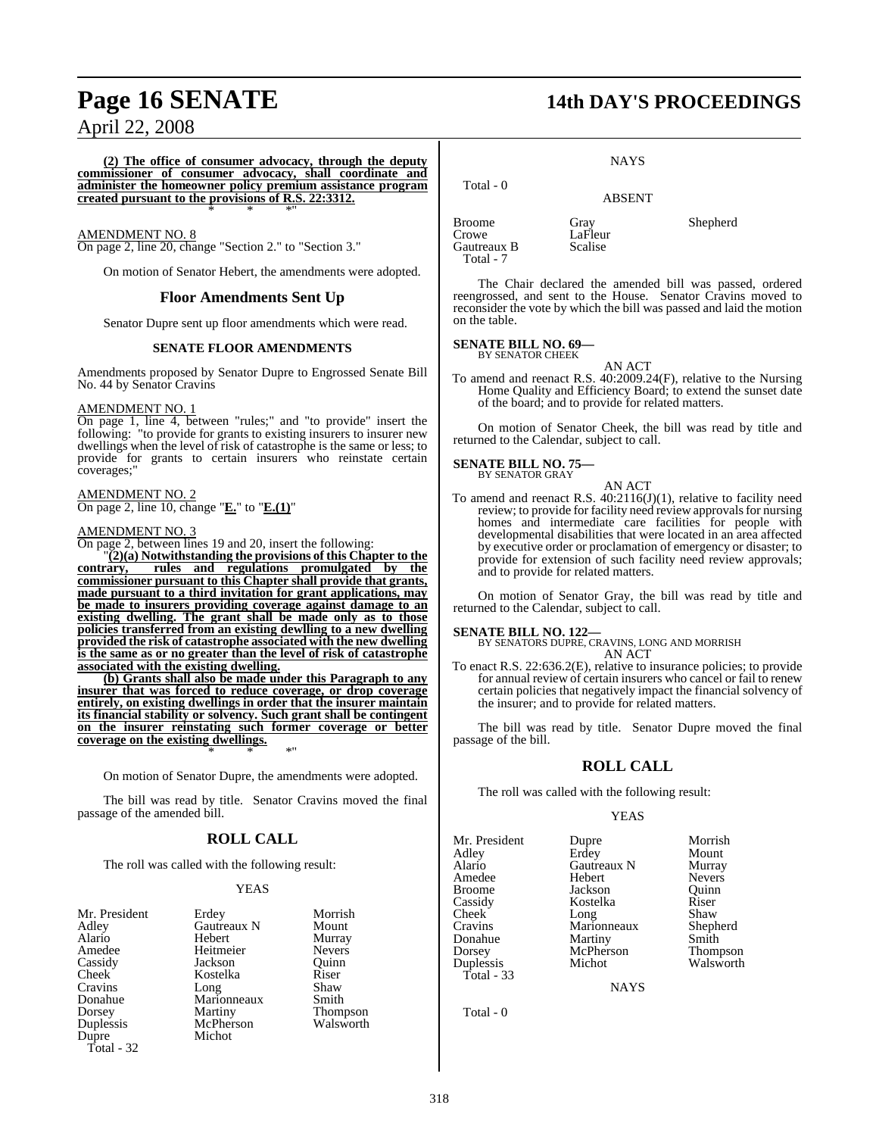**(2) The office of consumer advocacy, through the deputy commissioner of consumer advocacy, shall coordinate and administer the homeowner policy premium assistance program created pursuant to the provisions of R.S. 22:3312.** \* \* \*"

#### AMENDMENT NO. 8

On page 2, line 20, change "Section 2." to "Section 3."

On motion of Senator Hebert, the amendments were adopted.

#### **Floor Amendments Sent Up**

Senator Dupre sent up floor amendments which were read.

#### **SENATE FLOOR AMENDMENTS**

Amendments proposed by Senator Dupre to Engrossed Senate Bill No. 44 by Senator Cravins

#### AMENDMENT NO. 1

On page 1, line 4, between "rules;" and "to provide" insert the following: "to provide for grants to existing insurers to insurer new dwellings when the level of risk of catastrophe is the same or less; to provide for grants to certain insurers who reinstate certain coverages;"

#### AMENDMENT NO. 2 On page 2, line 10, change "**E.**" to "**E.(1)**"

#### AMENDMENT NO. 3

On page 2, between lines 19 and 20, insert the following:

"**(2)(a) Notwithstanding the provisions of this Chapter to the contrary, rules and regulations promulgated by the commissioner pursuant to this Chapter shall provide that grants, made pursuant to a third invitation for grant applications, may be made to insurers providing coverage against damage to an existing dwelling. The grant shall be made only as to those policies transferred from an existing dewlling to a new dwelling provided the risk of catastrophe associated with the new dwelling is the same as or no greater than the level of risk of catastrophe associated with the existing dwelling.**

**(b) Grants shall also be made under this Paragraph to any insurer that was forced to reduce coverage, or drop coverage entirely, on existing dwellings in order that the insurer maintain its financial stability or solvency. Such grant shall be contingent on the insurer reinstating such former coverage or better coverage on the existing dwellings.** \* \* \*"

On motion of Senator Dupre, the amendments were adopted.

The bill was read by title. Senator Cravins moved the final passage of the amended bill.

## **ROLL CALL**

The roll was called with the following result:

#### YEAS

| Erdey       | Morris |
|-------------|--------|
| Gautreaux N | Mount  |
| Hebert      | Murray |
| Heitmeier   | Nevers |
| Jackson     | Ouinn  |
| Kostelka    | Riser  |
| Long        | Shaw   |
| Marionneaux | Smith  |
| Martiny     | Thomp  |
| McPherson   | Walsw  |
| Michot      |        |
|             |        |
|             |        |

Morrish<br>Mount Murray Nevers<br>Ouinn Shaw<br>Smith **Thompson** Walsworth

# **Page 16 SENATE 14th DAY'S PROCEEDINGS**

**NAYS** 

## ABSENT

LaFleur<br>Scalise

Broome Gray Gray Shepherd<br>Crowe LaFleur Gautreaux B Total - 7

Total - 0

The Chair declared the amended bill was passed, ordered reengrossed, and sent to the House. Senator Cravins moved to reconsider the vote by which the bill was passed and laid the motion on the table.

#### **SENATE BILL NO. 69—** BY SENATOR CHEEK

AN ACT

To amend and reenact R.S. 40:2009.24(F), relative to the Nursing Home Quality and Efficiency Board; to extend the sunset date of the board; and to provide for related matters.

On motion of Senator Cheek, the bill was read by title and returned to the Calendar, subject to call.

#### **SENATE BILL NO. 75—** BY SENATOR GRAY

AN ACT To amend and reenact R.S. 40:2116(J)(1), relative to facility need review; to provide for facility need review approvals for nursing homes and intermediate care facilities for people with developmental disabilities that were located in an area affected by executive order or proclamation of emergency or disaster; to provide for extension of such facility need review approvals; and to provide for related matters.

On motion of Senator Gray, the bill was read by title and returned to the Calendar, subject to call.

#### **SENATE BILL NO. 122—**

BY SENATORS DUPRE, CRAVINS, LONG AND MORRISH AN ACT

To enact R.S. 22:636.2(E), relative to insurance policies; to provide for annual review of certain insurers who cancel or fail to renew certain policies that negatively impact the financial solvency of the insurer; and to provide for related matters.

The bill was read by title. Senator Dupre moved the final passage of the bill.

#### **ROLL CALL**

The roll was called with the following result:

#### YEAS

Mr. President Dupre Morrish<br>Adley Erdey Mount Alario Gautreaux N Murray Amedee Hebert Nevers<br>Broome Jackson Ouinn Broome Jackson Quinn<br>Cassidy Kostelka Riser Cassidy Kostelka Riser Cheek Long Shaw<br>Cravins Marionneaux Shepherd Donahue Martiny Smith Duplessis Total - 33

**Erdey** Marionneaux Shepherd<br>Martiny Smith McPherson Thompson<br>Michot Walsworth

NAYS

Total - 0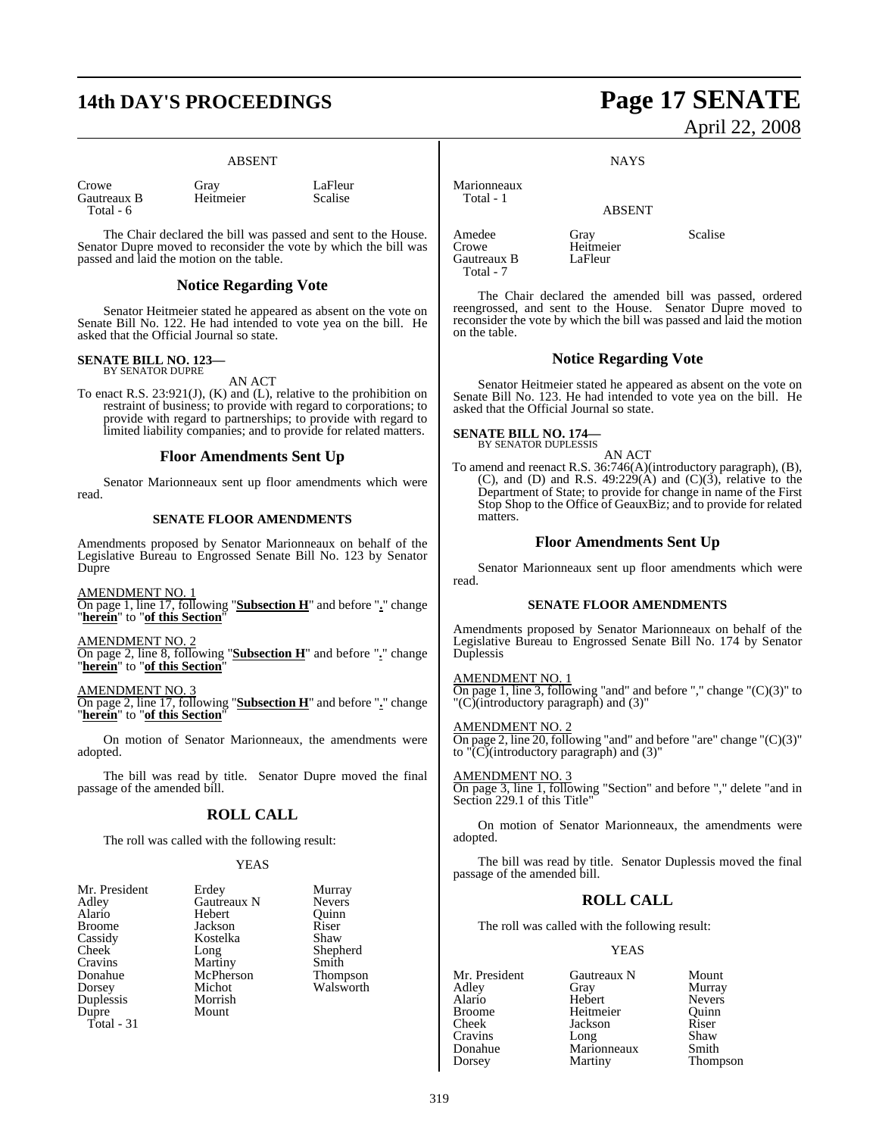## **14th DAY'S PROCEEDINGS Page 17 SENATE**

#### ABSENT

| Crowe       | Gray      |
|-------------|-----------|
| Gautreaux B | Heitmeier |
| Total - 6   |           |

Gray LaFleur<br>Heitmeier Scalise

The Chair declared the bill was passed and sent to the House. Senator Dupre moved to reconsider the vote by which the bill was passed and laid the motion on the table.

#### **Notice Regarding Vote**

Senator Heitmeier stated he appeared as absent on the vote on Senate Bill No. 122. He had intended to vote yea on the bill. He asked that the Official Journal so state.

#### **SENATE BILL NO. 123—** BY SENATOR DUPRE

AN ACT

To enact R.S. 23:921(J), (K) and (L), relative to the prohibition on restraint of business; to provide with regard to corporations; to provide with regard to partnerships; to provide with regard to limited liability companies; and to provide for related matters.

#### **Floor Amendments Sent Up**

Senator Marionneaux sent up floor amendments which were read.

#### **SENATE FLOOR AMENDMENTS**

Amendments proposed by Senator Marionneaux on behalf of the Legislative Bureau to Engrossed Senate Bill No. 123 by Senator Dupre

AMENDMENT NO. 1

On page 1, line 17, following "**Subsection H**" and before "**.**" change "**herein**" to "**of this Section**"

AMENDMENT NO. 2

On page 2, line 8, following "**Subsection H**" and before "**.**" change "**herein**" to "**of this Section**"

AMENDMENT NO. 3

On page 2, line 17, following "**Subsection H**" and before "**.**" change "**herein**" to "**of this Section**"

On motion of Senator Marionneaux, the amendments were adopted.

The bill was read by title. Senator Dupre moved the final passage of the amended bill.

#### **ROLL CALL**

The roll was called with the following result:

#### YEAS

| Mr. President | Erdey       | Murray        |
|---------------|-------------|---------------|
| Adley         | Gautreaux N | <b>Nevers</b> |
| Alario        | Hebert      | Ouinn         |
| <b>Broome</b> | Jackson     | Riser         |
| Cassidy       | Kostelka    | Shaw          |
| Cheek         | Long        | Shephe        |
| Cravins       | Martiny     | Smith         |
| Donahue       | McPherson   | <b>Thomps</b> |
| Dorsey        | Michot      | Walswo        |
| Duplessis     | Morrish     |               |
| Dupre         | Mount       |               |
| Total - 31    |             |               |

Gautreaux N Hebert Quinn<br>Jackson Riser Jackson Riser<br>Kostelka Shaw Kostelka<br>Long Martiny McPherson Thompson<br>Michot Walsworth Morrish Mount

Shepherd<br>Smith

Walsworth

**NAYS** 

Heitmeier<br>LaFleur

ABSENT

Amedee Gray Scalise<br>Crowe Heitmeier Scalise Gautreaux B Total - 7

Marionneaux Total - 1

The Chair declared the amended bill was passed, ordered reengrossed, and sent to the House. Senator Dupre moved to reconsider the vote by which the bill was passed and laid the motion on the table.

#### **Notice Regarding Vote**

Senator Heitmeier stated he appeared as absent on the vote on Senate Bill No. 123. He had intended to vote yea on the bill. He asked that the Official Journal so state.

**SENATE BILL NO. 174—** BY SENATOR DUPLESSIS

AN ACT To amend and reenact R.S. 36:746(A)(introductory paragraph), (B), (C), and (D) and R.S.  $49:229(A)$  and  $(C)(3)$ , relative to the Department of State; to provide for change in name of the First Stop Shop to the Office of GeauxBiz; and to provide for related matters

### **Floor Amendments Sent Up**

Senator Marionneaux sent up floor amendments which were read.

#### **SENATE FLOOR AMENDMENTS**

Amendments proposed by Senator Marionneaux on behalf of the Legislative Bureau to Engrossed Senate Bill No. 174 by Senator Duplessis

AMENDMENT NO. 1 On page 1, line 3, following "and" and before "," change " $(C)(3)$ " to "(C)(introductory paragraph) and (3)"

AMENDMENT NO. 2 On page 2, line 20, following "and" and before "are" change "(C)(3)" to " $\overline{C}$ )(introductory paragraph) and (3)"

AMENDMENT NO. 3 On page 3, line 1, following "Section" and before "," delete "and in Section 229.1 of this Title"

On motion of Senator Marionneaux, the amendments were adopted.

The bill was read by title. Senator Duplessis moved the final passage of the amended bill.

#### **ROLL CALL**

The roll was called with the following result:

#### YEAS

Alario Hebert<br>Broome Heitme

Mr. President Gautreaux N Mount<br>Adley Gray Murray Adley Gray Murray Broome Heitmeier Quinn<br>Cheek Jackson Riser Jackson Riser<br>
Long Shaw Cravins Long Shaw<br>
Donahue Marionneaux Smith Donahue Marionneaux<br>Dorsey Martiny

Thompson

# April 22, 2008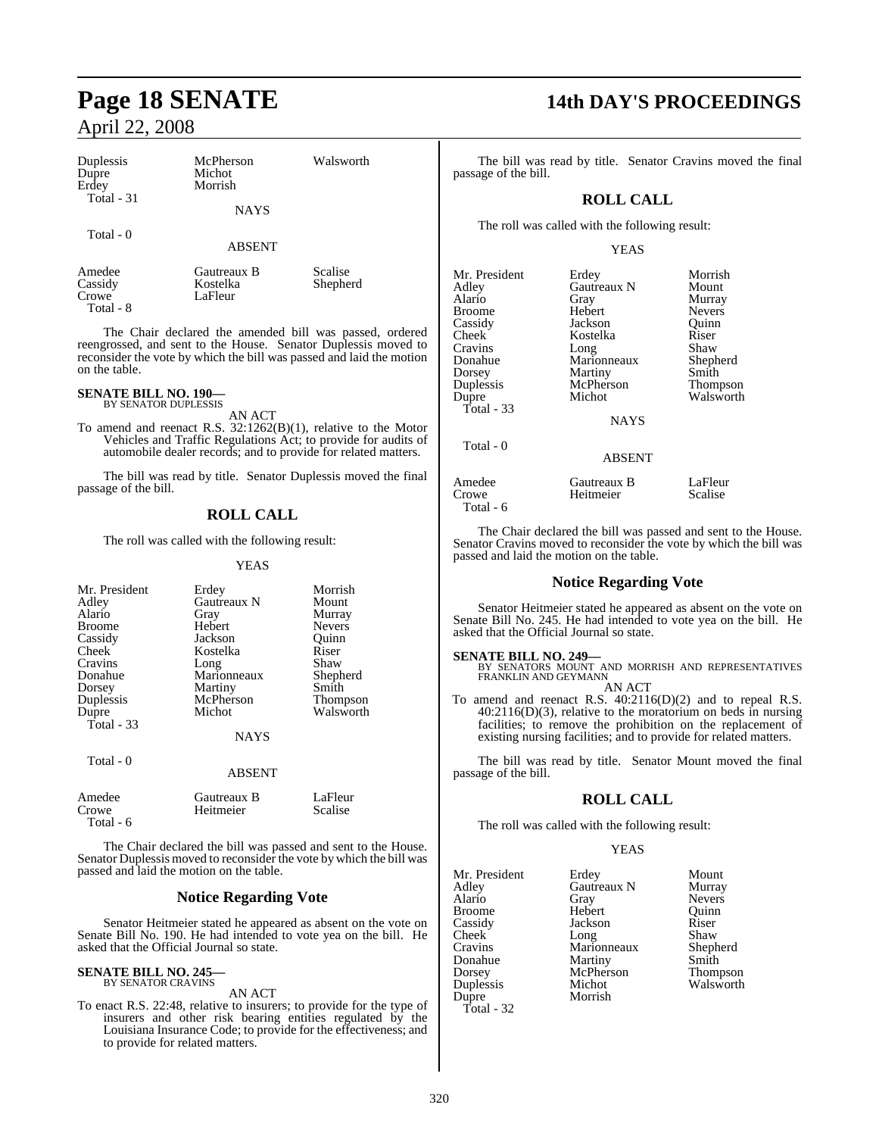| Duplessis<br>Dupre<br>Erdey | McPherson<br>Michot<br>Morrish        | Walsworth           |  |
|-----------------------------|---------------------------------------|---------------------|--|
| Total - 31                  | <b>NAYS</b>                           |                     |  |
| Total - 0                   | <b>ABSENT</b>                         |                     |  |
| Amedee<br>Cassidy<br>$\sim$ | Gautreaux B<br>Kostelka<br><b>T T</b> | Scalise<br>Shepherd |  |

Crowe LaFleur Total - 8

The Chair declared the amended bill was passed, ordered reengrossed, and sent to the House. Senator Duplessis moved to reconsider the vote by which the bill was passed and laid the motion on the table.

#### **SENATE BILL NO. 190—** BY SENATOR DUPLESSIS

AN ACT

To amend and reenact R.S. 32:1262(B)(1), relative to the Motor Vehicles and Traffic Regulations Act; to provide for audits of automobile dealer records; and to provide for related matters.

The bill was read by title. Senator Duplessis moved the final passage of the bill.

## **ROLL CALL**

The roll was called with the following result:

#### YEAS

| Mr. President<br>Adley<br>Alario<br><b>Broome</b><br>Cassidy<br>Cheek<br>Cravins<br>Donahue<br>Dorsey<br>Duplessis<br>Dupre<br>Total $-33$ | Erdey<br>Gautreaux N<br>Gray<br>Hebert<br>Jackson<br>Kostelka<br>Long<br>Marionneaux<br>Martiny<br>McPherson<br>Michot | Morrish<br>Mount<br>Murray<br><b>Nevers</b><br>Quinn<br>Riser<br>Shaw<br>Shepherd<br>Smith<br><b>Thompson</b><br>Walsworth |
|--------------------------------------------------------------------------------------------------------------------------------------------|------------------------------------------------------------------------------------------------------------------------|----------------------------------------------------------------------------------------------------------------------------|
|                                                                                                                                            | <b>NAYS</b>                                                                                                            |                                                                                                                            |
| Total - 0                                                                                                                                  | <b>ABSENT</b>                                                                                                          |                                                                                                                            |
| Amedee<br>Crowe<br>Total - 6                                                                                                               | Gautreaux B<br>Heitmeier                                                                                               | LaFleur<br>Scalise                                                                                                         |

The Chair declared the bill was passed and sent to the House. Senator Duplessis moved to reconsider the vote by which the bill was passed and laid the motion on the table.

### **Notice Regarding Vote**

Senator Heitmeier stated he appeared as absent on the vote on Senate Bill No. 190. He had intended to vote yea on the bill. He asked that the Official Journal so state.

#### **SENATE BILL NO. 245—** BY SENATOR CRAVINS

AN ACT

To enact R.S. 22:48, relative to insurers; to provide for the type of insurers and other risk bearing entities regulated by the Louisiana Insurance Code; to provide for the effectiveness; and to provide for related matters.

## **Page 18 SENATE 14th DAY'S PROCEEDINGS**

The bill was read by title. Senator Cravins moved the final passage of the bill.

## **ROLL CALL**

The roll was called with the following result:

#### YEAS

| Mr. President | Erdey         | Morrish         |
|---------------|---------------|-----------------|
| Adley         | Gautreaux N   | Mount           |
| Alario        | Gray          | Murray          |
| <b>Broome</b> | Hebert        | <b>Nevers</b>   |
| Cassidy       | Jackson       | Ouinn           |
| <b>Cheek</b>  | Kostelka      | Riser           |
| Cravins       | Long          | Shaw            |
| Donahue       | Marionneaux   | Shepherd        |
| Dorsey        | Martiny       | Smith           |
| Duplessis     | McPherson     | <b>Thompson</b> |
| Dupre         | Michot        | Walsworth       |
| Total - $33$  | <b>NAYS</b>   |                 |
| Total - 0     | <b>ABSENT</b> |                 |
| Amedee        | Gautreaux B   | LaFleur         |
| Crowe         | Heitmeier     | Scalise         |

The Chair declared the bill was passed and sent to the House. Senator Cravins moved to reconsider the vote by which the bill was passed and laid the motion on the table.

## **Notice Regarding Vote**

Senator Heitmeier stated he appeared as absent on the vote on Senate Bill No. 245. He had intended to vote yea on the bill. He asked that the Official Journal so state.

Total - 6

**SENATE BILL NO. 249—** BY SENATORS MOUNT AND MORRISH AND REPRESENTATIVES FRANKLIN AND GEYMANN

AN ACT To amend and reenact R.S. 40:2116(D)(2) and to repeal R.S. 40:2116(D)(3), relative to the moratorium on beds in nursing facilities; to remove the prohibition on the replacement of existing nursing facilities; and to provide for related matters.

The bill was read by title. Senator Mount moved the final passage of the bill.

## **ROLL CALL**

The roll was called with the following result:

#### YEAS

| Mr. President | Erdey       | Mount         |
|---------------|-------------|---------------|
|               |             |               |
| Adley         | Gautreaux N | Murray        |
| Alario        | Gray        | <b>Nevers</b> |
| <b>Broome</b> | Hebert      | Ouinn         |
| Cassidy       | Jackson     | Riser         |
| <b>Cheek</b>  | Long        | Shaw          |
| Cravins       | Marionneaux | Shephe        |
| Donahue       | Martiny     | Smith         |
| Dorsey        | McPherson   | Thomp:        |
| Duplessis     | Michot      | Walswo        |
| Dupre         | Morrish     |               |
| Total - 32    |             |               |

Gray Nevers<br>
Hebert Quinn Hebert Quinn<br>
Jackson Riser Jackson Riser<br>Long Shaw Long Shaw<br>Marionneaux Shenherd Martiny Smith<br>
McPherson Thompson Walsworth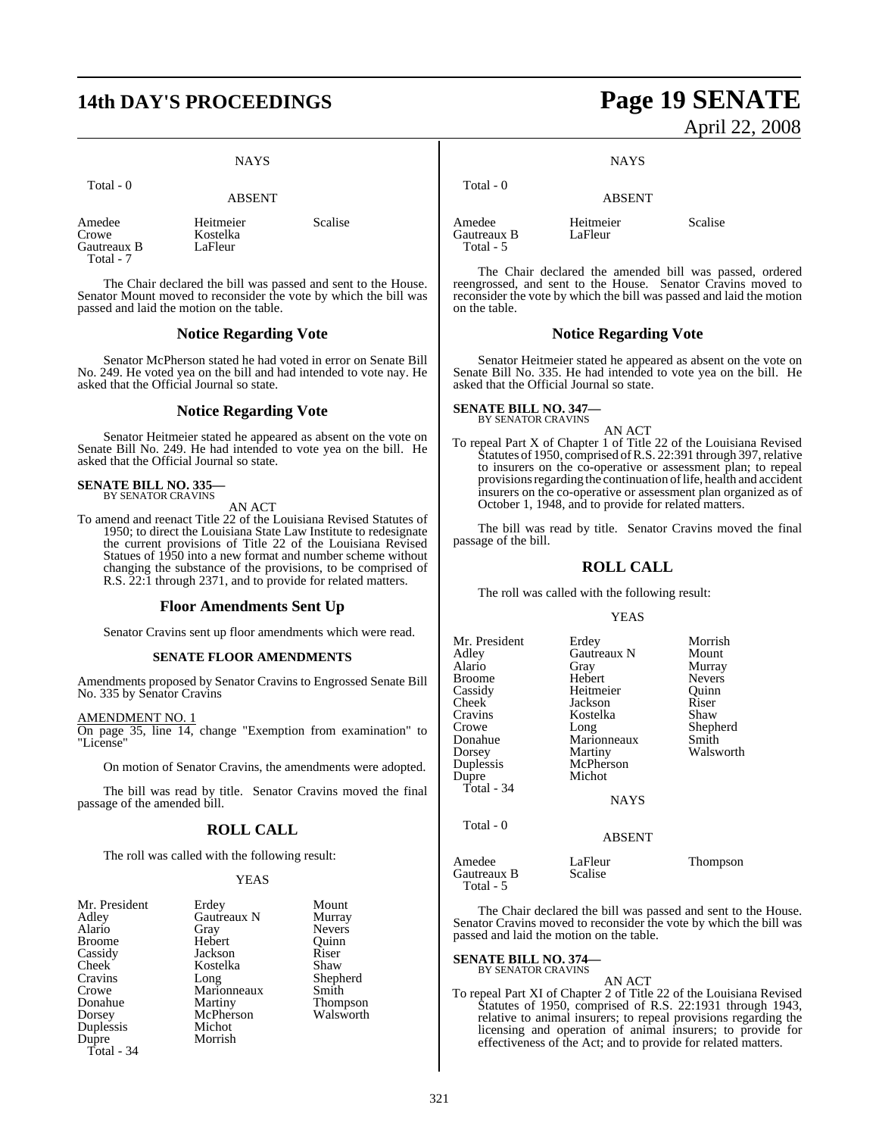## **14th DAY'S PROCEEDINGS Page 19 SENATE**

Kostelka<br>LaFleur

### **NAYS**

| otal |  |
|------|--|
|------|--|

ABSENT

Amedee Heitmeier Scalise<br>Crowe Kostelka Gautreaux B Total - 7

The Chair declared the bill was passed and sent to the House. Senator Mount moved to reconsider the vote by which the bill was passed and laid the motion on the table.

#### **Notice Regarding Vote**

Senator McPherson stated he had voted in error on Senate Bill No. 249. He voted yea on the bill and had intended to vote nay. He asked that the Official Journal so state.

#### **Notice Regarding Vote**

Senator Heitmeier stated he appeared as absent on the vote on Senate Bill No. 249. He had intended to vote yea on the bill. He asked that the Official Journal so state.

## **SENATE BILL NO. 335—** BY SENATOR CRAVINS

AN ACT

To amend and reenact Title 22 of the Louisiana Revised Statutes of 1950; to direct the Louisiana State Law Institute to redesignate the current provisions of Title 22 of the Louisiana Revised Statues of 1950 into a new format and number scheme without changing the substance of the provisions, to be comprised of R.S. 22:1 through 2371, and to provide for related matters.

#### **Floor Amendments Sent Up**

Senator Cravins sent up floor amendments which were read.

#### **SENATE FLOOR AMENDMENTS**

Amendments proposed by Senator Cravins to Engrossed Senate Bill No. 335 by Senator Cravins

AMENDMENT NO. 1

On page 35, line 14, change "Exemption from examination" to "License"

On motion of Senator Cravins, the amendments were adopted.

The bill was read by title. Senator Cravins moved the final passage of the amended bill.

#### **ROLL CALL**

The roll was called with the following result:

#### **YEAS**

| Mr. President | Erdey       | Mount           |
|---------------|-------------|-----------------|
| Adley         | Gautreaux N | Murray          |
| Alario        | Gray        | <b>Nevers</b>   |
| <b>Broome</b> | Hebert      | Ouinn           |
| Cassidy       | Jackson     | Riser           |
| Cheek         | Kostelka    | Shaw            |
| Cravins       | Long        | Shepherd        |
| Crowe         | Marionneaux | Smith           |
| Donahue       | Martiny     | <b>Thompson</b> |
| Dorsey        | McPherson   | Walsworth       |
| Duplessis     | Michot      |                 |
| Dupre         | Morrish     |                 |
| Total - 34    |             |                 |

# April 22, 2008

**NAYS** 

## ABSENT

Amedee Heitmeier Scalise<br>Gautreaux B LaFleur Gautreaux B Total - 5

Total - 0

The Chair declared the amended bill was passed, ordered reengrossed, and sent to the House. Senator Cravins moved to reconsider the vote by which the bill was passed and laid the motion on the table.

#### **Notice Regarding Vote**

Senator Heitmeier stated he appeared as absent on the vote on Senate Bill No. 335. He had intended to vote yea on the bill. He asked that the Official Journal so state.

**SENATE BILL NO. 347—** BY SENATOR CRAVINS

AN ACT

To repeal Part X of Chapter 1 of Title 22 of the Louisiana Revised Statutes of 1950, comprised of R.S. 22:391 through 397, relative to insurers on the co-operative or assessment plan; to repeal provisions regarding the continuation of life, health and accident insurers on the co-operative or assessment plan organized as of October 1, 1948, and to provide for related matters.

The bill was read by title. Senator Cravins moved the final passage of the bill.

#### **ROLL CALL**

The roll was called with the following result:

#### YEAS

| Mr. President<br>Adley<br>Alario<br>Broome<br>Cassidy<br>Cheek <sup>-</sup><br>Cravins<br>Crowe<br>Donahue<br>Dorsey<br>Duplessis<br>Dupre<br>Total - 34 | Erdey<br>Gautreaux N<br>Gray<br>Hebert<br>Heitmeier<br>Jackson<br>Kostelka<br>Long<br>Marionneaux<br>Martiny<br>McPherson<br>Michot<br><b>NAYS</b> | Morrish<br>Mount<br>Murray<br><b>Nevers</b><br>Quinn<br>Riser<br>Shaw<br>Shepherd<br>Smith<br>Walsworth |
|----------------------------------------------------------------------------------------------------------------------------------------------------------|----------------------------------------------------------------------------------------------------------------------------------------------------|---------------------------------------------------------------------------------------------------------|
| Total - 0<br>Amedee                                                                                                                                      | <b>ABSENT</b><br>LaFleur                                                                                                                           | Thompson                                                                                                |
| Gautreaux B<br>Total - 5                                                                                                                                 | Scalise                                                                                                                                            |                                                                                                         |

The Chair declared the bill was passed and sent to the House. Senator Cravins moved to reconsider the vote by which the bill was passed and laid the motion on the table.

## **SENATE BILL NO. 374—** BY SENATOR CRAVINS

AN ACT

To repeal Part XI of Chapter 2 of Title 22 of the Louisiana Revised Statutes of 1950, comprised of R.S. 22:1931 through 1943, relative to animal insurers; to repeal provisions regarding the licensing and operation of animal insurers; to provide for effectiveness of the Act; and to provide for related matters.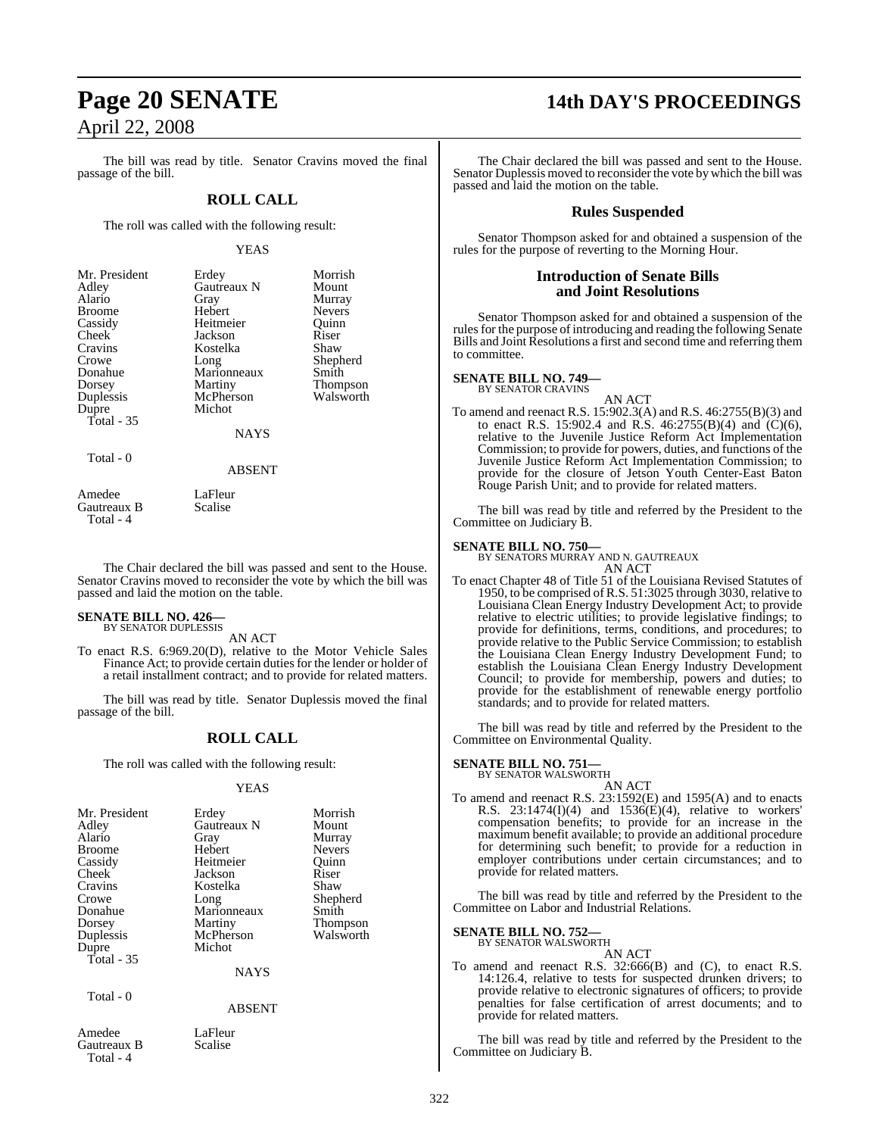The bill was read by title. Senator Cravins moved the final passage of the bill.

#### **ROLL CALL**

The roll was called with the following result:

#### YEAS

| Mr. President | Erdey       | Morrish         |
|---------------|-------------|-----------------|
| Adley         | Gautreaux N | Mount           |
| Alario        | Gray        | Murray          |
| <b>Broome</b> | Hebert      | <b>Nevers</b>   |
| Cassidy       | Heitmeier   | Ouinn           |
| Cheek         | Jackson     | Riser           |
| Cravins       | Kostelka    | Shaw            |
| Crowe         | Long        | Shepherd        |
| Donahue       | Marionneaux | Smith           |
| Dorsey        | Martiny     | <b>Thompson</b> |
| Duplessis     | McPherson   | Walsworth       |
| Dupre         | Michot      |                 |
| Total $-35$   |             |                 |
|               | <b>NAYS</b> |                 |
|               |             |                 |

Total - 0

ABSENT

Amedee LaFleur<br>Gautreaux B Scalise Gautreaux B Total - 4

The Chair declared the bill was passed and sent to the House. Senator Cravins moved to reconsider the vote by which the bill was passed and laid the motion on the table.

#### **SENATE BILL NO. 426—** BY SENATOR DUPLESSIS

AN ACT

To enact R.S. 6:969.20(D), relative to the Motor Vehicle Sales Finance Act; to provide certain duties for the lender or holder of a retail installment contract; and to provide for related matters.

The bill was read by title. Senator Duplessis moved the final passage of the bill.

#### **ROLL CALL**

The roll was called with the following result:

#### YEAS

| Mr. President<br>Adley<br>Alario<br><b>Broome</b><br>Cassidy<br>Cheek<br>Cravins<br>Crowe<br>Donahue<br>Dorsey<br>Duplessis<br>Dupre<br>Total $-35$ | Erdey<br>Gautreaux N<br>Gray<br>Hebert<br>Heitmeier<br>Jackson<br>Kostelka<br>Long<br>Marionneaux<br>Martiny<br>McPherson<br>Michot<br><b>NAYS</b> | Morrish<br>Mount<br>Murray<br><b>Nevers</b><br>Quinn<br>Riser<br>Shaw<br>Shepherd<br>Smith<br><b>Thompson</b><br>Walsworth |
|-----------------------------------------------------------------------------------------------------------------------------------------------------|----------------------------------------------------------------------------------------------------------------------------------------------------|----------------------------------------------------------------------------------------------------------------------------|
| Total - 0                                                                                                                                           | <b>ABSENT</b>                                                                                                                                      |                                                                                                                            |

Amedee LaFleur<br>Gautreaux B Scalise Gautreaux B Total - 4

## **Page 20 SENATE 14th DAY'S PROCEEDINGS**

The Chair declared the bill was passed and sent to the House. Senator Duplessis moved to reconsider the vote by which the bill was passed and laid the motion on the table.

#### **Rules Suspended**

Senator Thompson asked for and obtained a suspension of the rules for the purpose of reverting to the Morning Hour.

#### **Introduction of Senate Bills and Joint Resolutions**

Senator Thompson asked for and obtained a suspension of the rules for the purpose of introducing and reading the following Senate Bills and Joint Resolutions a first and second time and referring them to committee.

#### **SENATE BILL NO. 749—**

BY SENATOR CRAVINS

- AN ACT
- To amend and reenact R.S. 15:902.3(A) and R.S. 46:2755(B)(3) and to enact R.S. 15:902.4 and R.S.  $46:2755(B)(4)$  and  $(C)(6)$ , relative to the Juvenile Justice Reform Act Implementation Commission; to provide for powers, duties, and functions of the Juvenile Justice Reform Act Implementation Commission; to provide for the closure of Jetson Youth Center-East Baton Rouge Parish Unit; and to provide for related matters.

The bill was read by title and referred by the President to the Committee on Judiciary B.

**SENATE BILL NO. 750—** BY SENATORS MURRAY AND N. GAUTREAUX

AN ACT To enact Chapter 48 of Title 51 of the Louisiana Revised Statutes of 1950, to be comprised ofR.S. 51:3025 through 3030, relative to Louisiana Clean Energy Industry Development Act; to provide relative to electric utilities; to provide legislative findings; to provide for definitions, terms, conditions, and procedures; to provide relative to the Public Service Commission; to establish the Louisiana Clean Energy Industry Development Fund; to establish the Louisiana Clean Energy Industry Development Council; to provide for membership, powers and duties; to provide for the establishment of renewable energy portfolio standards; and to provide for related matters.

The bill was read by title and referred by the President to the Committee on Environmental Quality.

#### **SENATE BILL NO. 751—**

BY SENATOR WALSWORTH

AN ACT To amend and reenact R.S. 23:1592(E) and 1595(A) and to enacts R.S.  $23:1474(I)(4)$  and  $1536(E)(4)$ , relative to workers' compensation benefits; to provide for an increase in the maximum benefit available; to provide an additional procedure for determining such benefit; to provide for a reduction in employer contributions under certain circumstances; and to provide for related matters.

The bill was read by title and referred by the President to the Committee on Labor and Industrial Relations.

## **SENATE BILL NO. 752—** BY SENATOR WALSWORTH

## AN ACT

To amend and reenact R.S. 32:666(B) and (C), to enact R.S. 14:126.4, relative to tests for suspected drunken drivers; to provide relative to electronic signatures of officers; to provide penalties for false certification of arrest documents; and to provide for related matters.

The bill was read by title and referred by the President to the Committee on Judiciary B.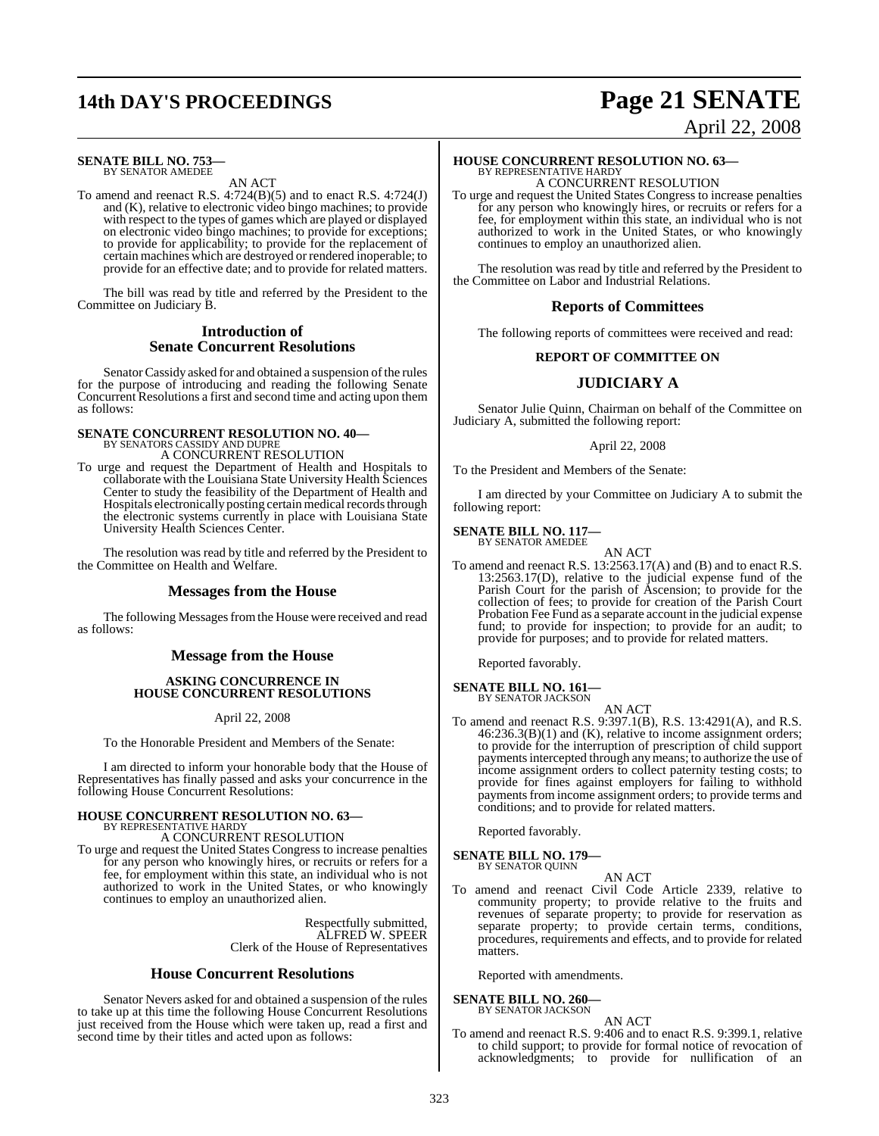## **14th DAY'S PROCEEDINGS Page 21 SENATE**

#### **SENATE BILL NO. 753—** BY SENATOR AMEDEE

AN ACT

To amend and reenact R.S. 4:724(B)(5) and to enact R.S. 4:724(J) and (K), relative to electronic video bingo machines; to provide with respect to the types of games which are played or displayed on electronic video bingo machines; to provide for exceptions; to provide for applicability; to provide for the replacement of certain machines which are destroyed or rendered inoperable; to provide for an effective date; and to provide for related matters.

The bill was read by title and referred by the President to the Committee on Judiciary B.

### **Introduction of Senate Concurrent Resolutions**

Senator Cassidy asked for and obtained a suspension of the rules for the purpose of introducing and reading the following Senate Concurrent Resolutions a first and second time and acting upon them as follows:

## **SENATE CONCURRENT RESOLUTION NO. 40—** BY SENATORS CASSIDY AND DUPRE A CONCURRENT RESOLUTION

To urge and request the Department of Health and Hospitals to collaborate with the Louisiana State University Health Sciences Center to study the feasibility of the Department of Health and Hospitals electronically posting certain medical records through the electronic systems currently in place with Louisiana State University Health Sciences Center.

The resolution was read by title and referred by the President to the Committee on Health and Welfare.

#### **Messages from the House**

The following Messages from the House were received and read as follows:

### **Message from the House**

#### **ASKING CONCURRENCE IN HOUSE CONCURRENT RESOLUTIONS**

April 22, 2008

To the Honorable President and Members of the Senate:

I am directed to inform your honorable body that the House of Representatives has finally passed and asks your concurrence in the following House Concurrent Resolutions:

## **HOUSE CONCURRENT RESOLUTION NO. 63—**

BY REPRESENTATIVE HARDY A CONCURRENT RESOLUTION

To urge and request the United States Congress to increase penalties for any person who knowingly hires, or recruits or refers for a fee, for employment within this state, an individual who is not authorized to work in the United States, or who knowingly continues to employ an unauthorized alien.

> Respectfully submitted, ALFRED W. SPEER Clerk of the House of Representatives

#### **House Concurrent Resolutions**

Senator Nevers asked for and obtained a suspension of the rules to take up at this time the following House Concurrent Resolutions just received from the House which were taken up, read a first and second time by their titles and acted upon as follows:

# April 22, 2008

## **HOUSE CONCURRENT RESOLUTION NO. 63—** BY REPRESENTATIVE HARDY

A CONCURRENT RESOLUTION

To urge and request the United States Congress to increase penalties for any person who knowingly hires, or recruits or refers for a fee, for employment within this state, an individual who is not authorized to work in the United States, or who knowingly continues to employ an unauthorized alien.

The resolution was read by title and referred by the President to the Committee on Labor and Industrial Relations.

#### **Reports of Committees**

The following reports of committees were received and read:

#### **REPORT OF COMMITTEE ON**

## **JUDICIARY A**

Senator Julie Quinn, Chairman on behalf of the Committee on Judiciary A, submitted the following report:

#### April 22, 2008

To the President and Members of the Senate:

I am directed by your Committee on Judiciary A to submit the following report:

## **SENATE BILL NO. 117—** BY SENATOR AMEDEE

AN ACT To amend and reenact R.S. 13:2563.17(A) and (B) and to enact R.S. 13:2563.17(D), relative to the judicial expense fund of the Parish Court for the parish of Ascension; to provide for the collection of fees; to provide for creation of the Parish Court Probation Fee Fund as a separate account in the judicial expense fund; to provide for inspection; to provide for an audit; to provide for purposes; and to provide for related matters.

Reported favorably.

## **SENATE BILL NO. 161—** BY SENATOR JACKSON

AN ACT

To amend and reenact R.S. 9:397.1(B), R.S. 13:4291(A), and R.S. 46:236.3(B)(1) and (K), relative to income assignment orders; to provide for the interruption of prescription of child support payments intercepted through any means; to authorize the use of income assignment orders to collect paternity testing costs; to provide for fines against employers for failing to withhold payments from income assignment orders; to provide terms and conditions; and to provide for related matters.

Reported favorably.

#### **SENATE BILL NO. 179—** BY SENATOR QUINN

AN ACT To amend and reenact Civil Code Article 2339, relative to community property; to provide relative to the fruits and revenues of separate property; to provide for reservation as separate property; to provide certain terms, conditions, procedures, requirements and effects, and to provide for related matters.

Reported with amendments.

#### **SENATE BILL NO. 260—** BY SENATOR JACKSON

AN ACT

To amend and reenact R.S. 9:406 and to enact R.S. 9:399.1, relative to child support; to provide for formal notice of revocation of acknowledgments; to provide for nullification of an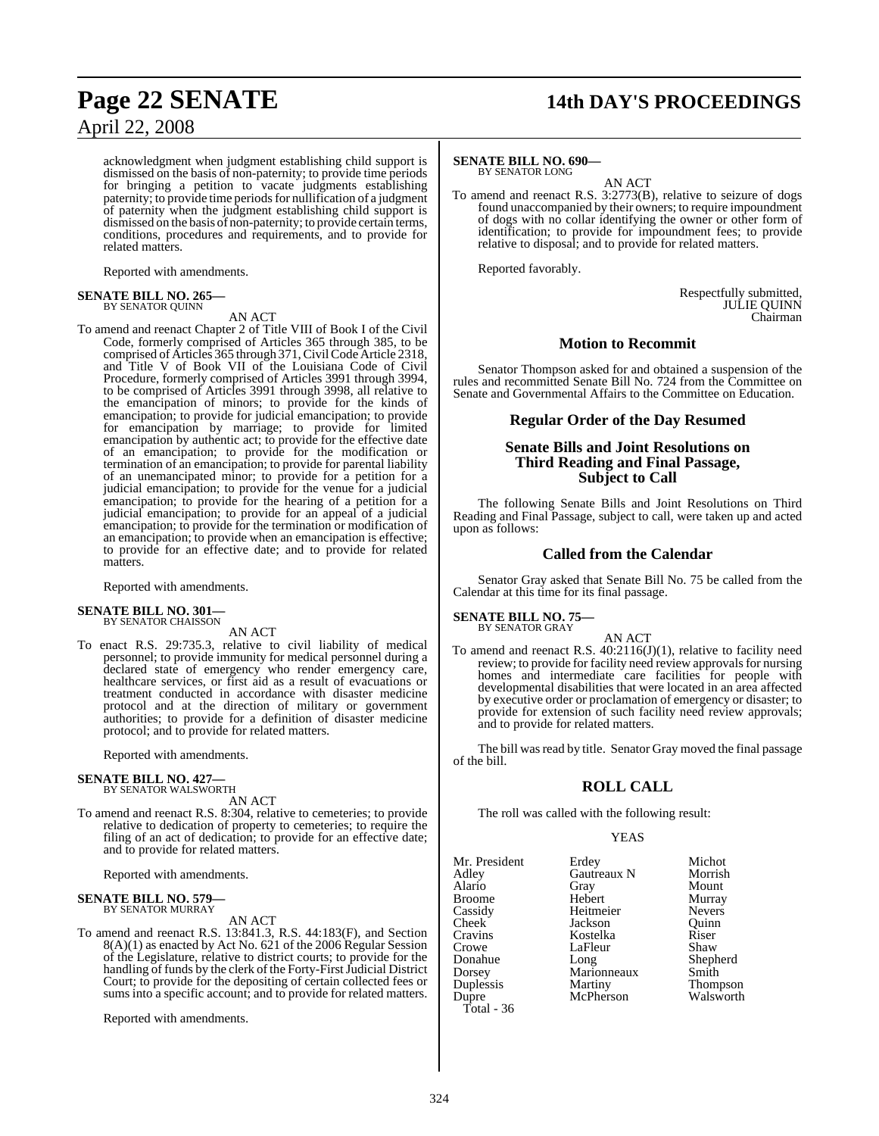acknowledgment when judgment establishing child support is dismissed on the basis of non-paternity; to provide time periods for bringing a petition to vacate judgments establishing paternity; to provide time periods for nullification of a judgment of paternity when the judgment establishing child support is dismissed on the basis of non-paternity; to provide certain terms, conditions, procedures and requirements, and to provide for related matters.

Reported with amendments.

## **SENATE BILL NO. 265—** BY SENATOR QUINN

AN ACT

To amend and reenact Chapter 2 of Title VIII of Book I of the Civil Code, formerly comprised of Articles 365 through 385, to be comprised of Articles 365 through 371,CivilCodeArticle 2318, and Title V of Book VII of the Louisiana Code of Civil Procedure, formerly comprised of Articles 3991 through 3994, to be comprised of Articles 3991 through 3998, all relative to the emancipation of minors; to provide for the kinds of emancipation; to provide for judicial emancipation; to provide for emancipation by marriage; to provide for limited emancipation by authentic act; to provide for the effective date of an emancipation; to provide for the modification or termination of an emancipation; to provide for parental liability of an unemancipated minor; to provide for a petition for a judicial emancipation; to provide for the venue for a judicial emancipation; to provide for the hearing of a petition for a judicial emancipation; to provide for an appeal of a judicial emancipation; to provide for the termination or modification of an emancipation; to provide when an emancipation is effective; to provide for an effective date; and to provide for related matters.

Reported with amendments.

#### **SENATE BILL NO. 301—** BY SENATOR CHAISSON

AN ACT

To enact R.S. 29:735.3, relative to civil liability of medical personnel; to provide immunity for medical personnel during a declared state of emergency who render emergency care, healthcare services, or first aid as a result of evacuations or treatment conducted in accordance with disaster medicine protocol and at the direction of military or government authorities; to provide for a definition of disaster medicine protocol; and to provide for related matters.

Reported with amendments.

## **SENATE BILL NO. 427—** BY SENATOR WALSWORTH

AN ACT

To amend and reenact R.S. 8:304, relative to cemeteries; to provide relative to dedication of property to cemeteries; to require the filing of an act of dedication; to provide for an effective date; and to provide for related matters.

Reported with amendments.

# **SENATE BILL NO. 579—** BY SENATOR MURRAY

AN ACT

To amend and reenact R.S. 13:841.3, R.S. 44:183(F), and Section 8(A)(1) as enacted by Act No. 621 of the 2006 Regular Session of the Legislature, relative to district courts; to provide for the handling of funds by the clerk of the Forty-First Judicial District Court; to provide for the depositing of certain collected fees or sums into a specific account; and to provide for related matters.

Reported with amendments.

## **Page 22 SENATE 14th DAY'S PROCEEDINGS**

#### **SENATE BILL NO. 690—** BY SENATOR LONG

AN ACT

To amend and reenact R.S. 3:2773(B), relative to seizure of dogs found unaccompanied by their owners; to require impoundment of dogs with no collar identifying the owner or other form of identification; to provide for impoundment fees; to provide relative to disposal; and to provide for related matters.

Reported favorably.

Respectfully submitted, JULIE QUINN Chairman

#### **Motion to Recommit**

Senator Thompson asked for and obtained a suspension of the rules and recommitted Senate Bill No. 724 from the Committee on Senate and Governmental Affairs to the Committee on Education.

#### **Regular Order of the Day Resumed**

#### **Senate Bills and Joint Resolutions on Third Reading and Final Passage, Subject to Call**

The following Senate Bills and Joint Resolutions on Third Reading and Final Passage, subject to call, were taken up and acted upon as follows:

#### **Called from the Calendar**

Senator Gray asked that Senate Bill No. 75 be called from the Calendar at this time for its final passage.

**SENATE BILL NO. 75—**

BY SENATOR GRAY

AN ACT To amend and reenact R.S.  $40:2116(J)(1)$ , relative to facility need review; to provide for facility need review approvals for nursing homes and intermediate care facilities for people with developmental disabilities that were located in an area affected by executive order or proclamation of emergency or disaster; to provide for extension of such facility need review approvals; and to provide for related matters.

The bill was read by title. Senator Gray moved the final passage of the bill.

#### **ROLL CALL**

The roll was called with the following result:

#### YEAS

Mr. President Erdey Michot<br>Adley Gautreaux N Morrish Adley Gautreaux N<br>Alario Gray **Broome** Cassidy Heitmeier Nevers<br>Cheek Jackson Quinn Cheek Jackson Quinn<br>Cravins Kostelka Riser Cravins Kostelka Riser Crowe LaFleur<br>Donahue Long Donahue Long Shepherd Dorsey Marionneaux<br>
Duplessis Martiny Duplessis Martiny Thompson Total - 36

Gray Mount<br>Hebert Murray McPherson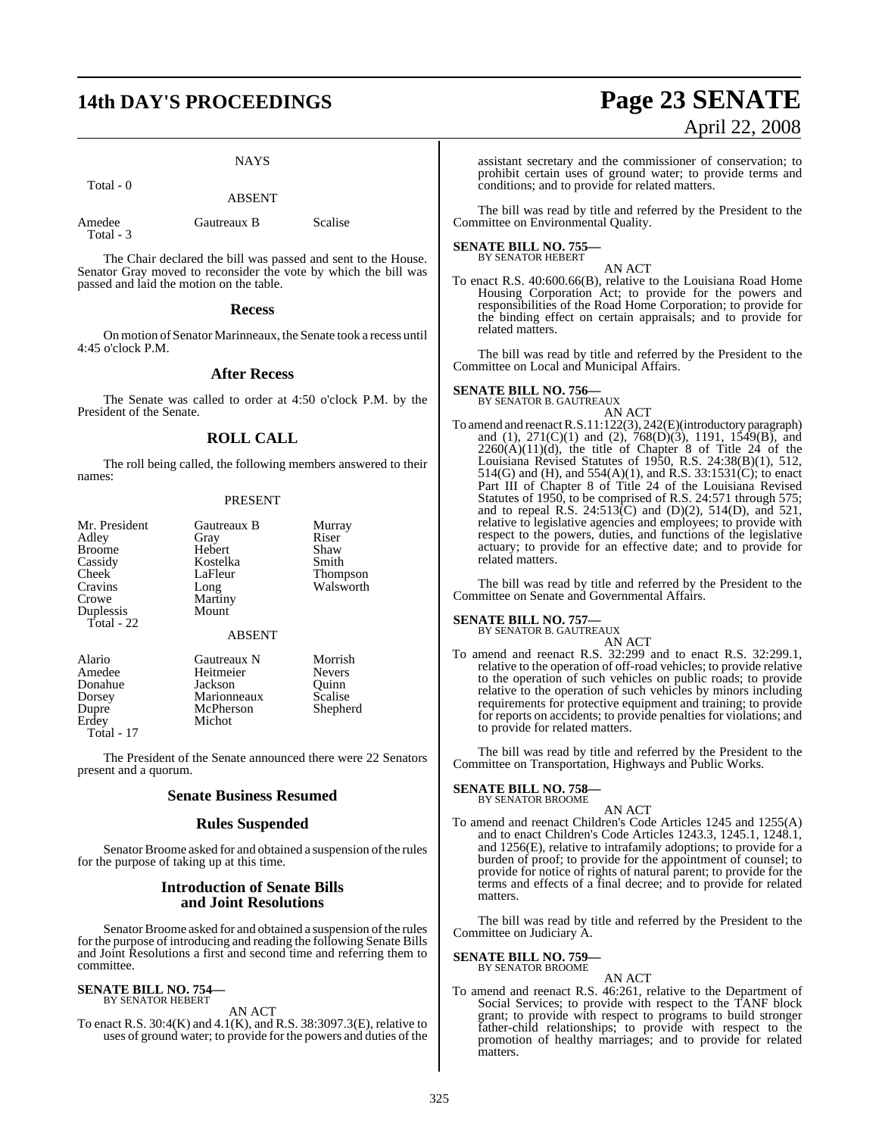# **14th DAY'S PROCEEDINGS Page 23 SENATE**

#### **NAYS**

Total - 0

ABSENT

| Amedee    | Gautreaux B |
|-----------|-------------|
| Total - 3 |             |

The Chair declared the bill was passed and sent to the House. Senator Gray moved to reconsider the vote by which the bill was passed and laid the motion on the table.

Scalise

#### **Recess**

On motion of Senator Marinneaux, the Senate took a recess until 4:45 o'clock P.M.

#### **After Recess**

The Senate was called to order at 4:50 o'clock P.M. by the President of the Senate.

### **ROLL CALL**

The roll being called, the following members answered to their names:

#### PRESENT

| Mr. President<br>Adley<br><b>Broome</b><br>Cassidy<br>Cheek<br>Cravins<br>Crowe<br>Duplessis<br>Total - $22$ | Gautreaux B<br>Gray<br>Hebert<br>Kostelka<br>LaFleur<br>Long<br>Martiny<br>Mount | Murray<br>Riser<br>Shaw<br>Smith<br>Thompson<br>Walsworth |
|--------------------------------------------------------------------------------------------------------------|----------------------------------------------------------------------------------|-----------------------------------------------------------|
|                                                                                                              | <b>ABSENT</b>                                                                    |                                                           |
| Alario<br>Amedee<br>Donahue                                                                                  | Gautreaux N<br>Heitmeier<br>Jackson                                              | Morrish<br><b>Nevers</b><br>Ouinn                         |

Dorsey Marionneaux Scalise<br>
Dupre McPherson Shepherd McPherson Erdey Michot Total - 17

The President of the Senate announced there were 22 Senators present and a quorum.

#### **Senate Business Resumed**

#### **Rules Suspended**

Senator Broome asked for and obtained a suspension of the rules for the purpose of taking up at this time.

#### **Introduction of Senate Bills and Joint Resolutions**

Senator Broome asked for and obtained a suspension of the rules for the purpose of introducing and reading the following Senate Bills and Joint Resolutions a first and second time and referring them to committee.

#### **SENATE BILL NO. 754—** BY SENATOR HEBERT

AN ACT

To enact R.S. 30:4(K) and 4.1(K), and R.S. 38:3097.3(E), relative to uses of ground water; to provide for the powers and duties of the

# April 22, 2008

assistant secretary and the commissioner of conservation; to prohibit certain uses of ground water; to provide terms and conditions; and to provide for related matters.

The bill was read by title and referred by the President to the Committee on Environmental Quality.

#### **SENATE BILL NO. 755—** BY SENATOR HEBERT

AN ACT

To enact R.S. 40:600.66(B), relative to the Louisiana Road Home Housing Corporation Act; to provide for the powers and responsibilities of the Road Home Corporation; to provide for the binding effect on certain appraisals; and to provide for related matters.

The bill was read by title and referred by the President to the Committee on Local and Municipal Affairs.

### **SENATE BILL NO. 756—**

BY SENATOR B. GAUTREAUX AN ACT

To amend and reenactR.S.11:122(3), 242(E)(introductory paragraph) and (1), 271(C)(1) and (2), 768(D)(3), 1191, 1549(B), and  $2260(A)(11)(d)$ , the title of Chapter 8 of Title 24 of the Louisiana Revised Statutes of 1950, R.S. 24:38(B)(1), 512, 514(G) and (H), and 554(A)(1), and R.S. 33:1531(C); to enact Part III of Chapter 8 of Title 24 of the Louisiana Revised Statutes of 1950, to be comprised of R.S. 24:571 through 575; and to repeal R.S.  $24:513(C)$  and  $(D)(2)$ ,  $514(D)$ , and  $521$ , relative to legislative agencies and employees; to provide with respect to the powers, duties, and functions of the legislative actuary; to provide for an effective date; and to provide for related matters.

The bill was read by title and referred by the President to the Committee on Senate and Governmental Affairs.

#### **SENATE BILL NO. 757—**

BY SENATOR B. GAUTREAUX

AN ACT To amend and reenact R.S. 32:299 and to enact R.S. 32:299.1, relative to the operation of off-road vehicles; to provide relative to the operation of such vehicles on public roads; to provide relative to the operation of such vehicles by minors including requirements for protective equipment and training; to provide for reports on accidents; to provide penalties for violations; and to provide for related matters.

The bill was read by title and referred by the President to the Committee on Transportation, Highways and Public Works.

#### **SENATE BILL NO. 758—** BY SENATOR BROOME

#### AN ACT

To amend and reenact Children's Code Articles 1245 and 1255(A) and to enact Children's Code Articles 1243.3, 1245.1, 1248.1, and 1256(E), relative to intrafamily adoptions; to provide for a burden of proof; to provide for the appointment of counsel; to provide for notice of rights of natural parent; to provide for the terms and effects of a final decree; and to provide for related matters.

The bill was read by title and referred by the President to the Committee on Judiciary A.

#### **SENATE BILL NO. 759—** BY SENATOR BROOME

AN ACT

To amend and reenact R.S. 46:261, relative to the Department of Social Services; to provide with respect to the TANF block grant; to provide with respect to programs to build stronger father-child relationships; to provide with respect to the promotion of healthy marriages; and to provide for related matters.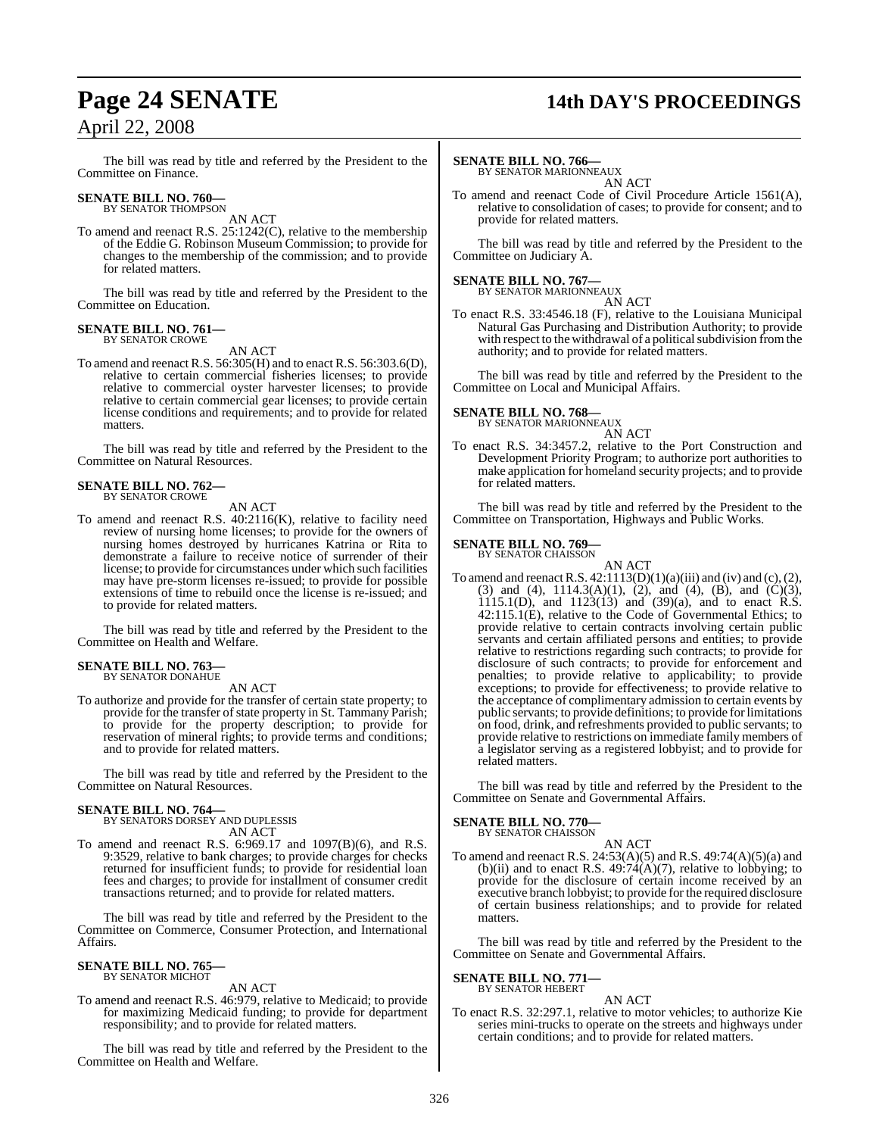# **Page 24 SENATE 14th DAY'S PROCEEDINGS**

The bill was read by title and referred by the President to the Committee on Finance.

## **SENATE BILL NO. 760—**<br>BY SENATOR THOMPSON

AN ACT

To amend and reenact R.S. 25:1242(C), relative to the membership of the Eddie G. Robinson Museum Commission; to provide for changes to the membership of the commission; and to provide for related matters.

The bill was read by title and referred by the President to the Committee on Education.

#### **SENATE BILL NO. 761—** BY SENATOR CROWE

AN ACT

To amend and reenact R.S. 56:305(H) and to enact R.S. 56:303.6(D), relative to certain commercial fisheries licenses; to provide relative to commercial oyster harvester licenses; to provide relative to certain commercial gear licenses; to provide certain license conditions and requirements; and to provide for related matters.

The bill was read by title and referred by the President to the Committee on Natural Resources.

# **SENATE BILL NO. 762—** BY SENATOR CROWE

AN ACT

To amend and reenact R.S. 40:2116(K), relative to facility need review of nursing home licenses; to provide for the owners of nursing homes destroyed by hurricanes Katrina or Rita to demonstrate a failure to receive notice of surrender of their license; to provide for circumstances under which such facilities may have pre-storm licenses re-issued; to provide for possible extensions of time to rebuild once the license is re-issued; and to provide for related matters.

The bill was read by title and referred by the President to the Committee on Health and Welfare.

#### **SENATE BILL NO. 763** BY SENATOR DONAHUE

AN ACT

To authorize and provide for the transfer of certain state property; to provide for the transfer of state property in St. Tammany Parish; to provide for the property description; to provide for reservation of mineral rights; to provide terms and conditions; and to provide for related matters.

The bill was read by title and referred by the President to the Committee on Natural Resources.

## **SENATE BILL NO. 764—** BY SENATORS DORSEY AND DUPLESSIS

AN ACT

To amend and reenact R.S. 6:969.17 and 1097(B)(6), and R.S. 9:3529, relative to bank charges; to provide charges for checks returned for insufficient funds; to provide for residential loan fees and charges; to provide for installment of consumer credit transactions returned; and to provide for related matters.

The bill was read by title and referred by the President to the Committee on Commerce, Consumer Protection, and International Affairs.

## **SENATE BILL NO. 765—** BY SENATOR MICHOT

AN ACT

To amend and reenact R.S. 46:979, relative to Medicaid; to provide for maximizing Medicaid funding; to provide for department responsibility; and to provide for related matters.

The bill was read by title and referred by the President to the Committee on Health and Welfare.

#### **SENATE BILL NO. 766—**

BY SENATOR MARIONNEAUX AN ACT

To amend and reenact Code of Civil Procedure Article 1561(A), relative to consolidation of cases; to provide for consent; and to provide for related matters.

The bill was read by title and referred by the President to the Committee on Judiciary A.

## **SENATE BILL NO. 767—** BY SENATOR MARIONNEAUX

AN ACT

To enact R.S. 33:4546.18 (F), relative to the Louisiana Municipal Natural Gas Purchasing and Distribution Authority; to provide with respect to the withdrawal of a political subdivision from the authority; and to provide for related matters.

The bill was read by title and referred by the President to the Committee on Local and Municipal Affairs.

#### **SENATE BILL NO. 768—** BY SENATOR MARIONNEAUX

AN ACT

To enact R.S. 34:3457.2, relative to the Port Construction and Development Priority Program; to authorize port authorities to make application for homeland security projects; and to provide for related matters.

The bill was read by title and referred by the President to the Committee on Transportation, Highways and Public Works.

#### **SENATE BILL NO. 769—**

BY SENATOR CHAISSON AN ACT

To amend and reenact R.S.  $42:1113(D)(1)(a)(iii)$  and (iv) and (c), (2), (3) and (4),  $1114.3(A)(1)$ ,  $(2)$ , and  $(4)$ ,  $(B)$ , and  $(C)(3)$ ,  $1115.1(D)$ , and  $1123(13)$  and  $(39)(a)$ , and to enact R.S. 42:115.1(E), relative to the Code of Governmental Ethics; to provide relative to certain contracts involving certain public servants and certain affiliated persons and entities; to provide relative to restrictions regarding such contracts; to provide for disclosure of such contracts; to provide for enforcement and penalties; to provide relative to applicability; to provide exceptions; to provide for effectiveness; to provide relative to the acceptance of complimentary admission to certain events by public servants; to provide definitions; to provide for limitations on food, drink, and refreshments provided to public servants; to provide relative to restrictions on immediate family members of a legislator serving as a registered lobbyist; and to provide for related matters.

The bill was read by title and referred by the President to the Committee on Senate and Governmental Affairs.

## **SENATE BILL NO. 770—** BY SENATOR CHAISSON

AN ACT

To amend and reenact R.S. 24:53(A)(5) and R.S. 49:74(A)(5)(a) and (b)(ii) and to enact R.S.  $49:74(A)(7)$ , relative to lobbying; to provide for the disclosure of certain income received by an executive branch lobbyist; to provide for the required disclosure of certain business relationships; and to provide for related matters.

The bill was read by title and referred by the President to the Committee on Senate and Governmental Affairs.

## **SENATE BILL NO. 771—** BY SENATOR HEBERT

#### AN ACT

To enact R.S. 32:297.1, relative to motor vehicles; to authorize Kie series mini-trucks to operate on the streets and highways under certain conditions; and to provide for related matters.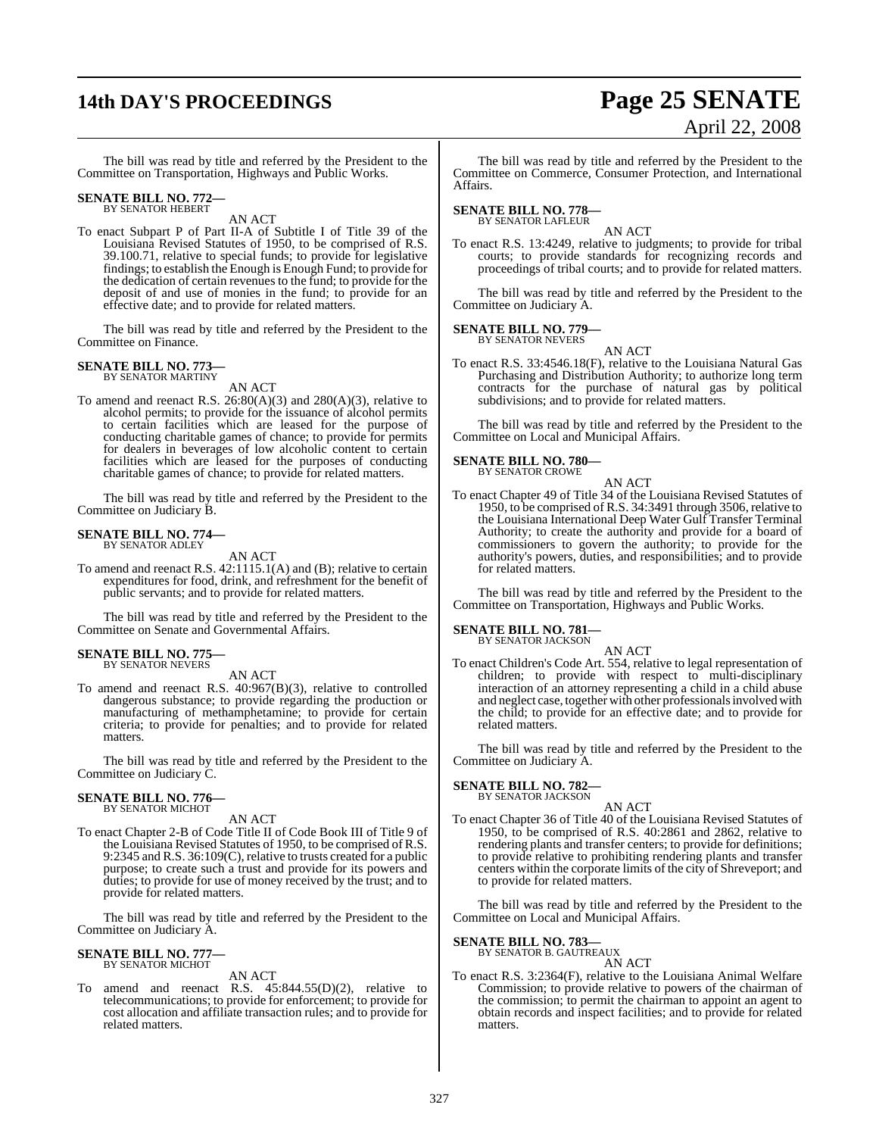# **14th DAY'S PROCEEDINGS Page 25 SENATE**

# April 22, 2008

The bill was read by title and referred by the President to the Committee on Transportation, Highways and Public Works.

## **SENATE BILL NO. 772—** BY SENATOR HEBERT

AN ACT

To enact Subpart P of Part II-A of Subtitle I of Title 39 of the Louisiana Revised Statutes of 1950, to be comprised of R.S. 39.100.71, relative to special funds; to provide for legislative findings; to establish the Enough is Enough Fund; to provide for the dedication of certain revenues to the fund; to provide for the deposit of and use of monies in the fund; to provide for an effective date; and to provide for related matters.

The bill was read by title and referred by the President to the Committee on Finance.

#### **SENATE BILL NO. 773—** BY SENATOR MARTINY

AN ACT

To amend and reenact R.S.  $26:80(A)(3)$  and  $280(A)(3)$ , relative to alcohol permits; to provide for the issuance of alcohol permits to certain facilities which are leased for the purpose of conducting charitable games of chance; to provide for permits for dealers in beverages of low alcoholic content to certain facilities which are leased for the purposes of conducting charitable games of chance; to provide for related matters.

The bill was read by title and referred by the President to the Committee on Judiciary B.

## **SENATE BILL NO. 774—** BY SENATOR ADLEY

AN ACT

To amend and reenact R.S. 42:1115.1(A) and (B); relative to certain expenditures for food, drink, and refreshment for the benefit of public servants; and to provide for related matters.

The bill was read by title and referred by the President to the Committee on Senate and Governmental Affairs.

#### **SENATE BILL NO. 775—** BY SENATOR NEVERS

AN ACT

To amend and reenact R.S. 40:967(B)(3), relative to controlled dangerous substance; to provide regarding the production or manufacturing of methamphetamine; to provide for certain criteria; to provide for penalties; and to provide for related matters.

The bill was read by title and referred by the President to the Committee on Judiciary C.

#### **SENATE BILL NO. 776—** BY SENATOR MICHOT

AN ACT

To enact Chapter 2-B of Code Title II of Code Book III of Title 9 of the Louisiana Revised Statutes of 1950, to be comprised of R.S. 9:2345 and R.S. 36:109(C), relative to trusts created for a public purpose; to create such a trust and provide for its powers and duties; to provide for use of money received by the trust; and to provide for related matters.

The bill was read by title and referred by the President to the Committee on Judiciary A.

#### **SENATE BILL NO. 777** BY SENATOR MICHOT

AN ACT

To amend and reenact R.S. 45:844.55(D)(2), relative to telecommunications; to provide for enforcement; to provide for cost allocation and affiliate transaction rules; and to provide for related matters.

The bill was read by title and referred by the President to the Committee on Commerce, Consumer Protection, and International Affairs.

## **SENATE BILL NO. 778—** BY SENATOR LAFLEUR

AN ACT

To enact R.S. 13:4249, relative to judgments; to provide for tribal courts; to provide standards for recognizing records and proceedings of tribal courts; and to provide for related matters.

The bill was read by title and referred by the President to the Committee on Judiciary A.

#### **SENATE BILL NO. 779—** BY SENATOR NEVERS

AN ACT

To enact R.S. 33:4546.18(F), relative to the Louisiana Natural Gas Purchasing and Distribution Authority; to authorize long term contracts for the purchase of natural gas by political subdivisions; and to provide for related matters.

The bill was read by title and referred by the President to the Committee on Local and Municipal Affairs.

#### **SENATE BILL NO. 780—** BY SENATOR CROWE

| UN CNUME |        |  |
|----------|--------|--|
|          | AN ACT |  |

To enact Chapter 49 of Title 34 of the Louisiana Revised Statutes of 1950, to be comprised of R.S. 34:3491 through 3506, relative to the Louisiana International Deep Water Gulf Transfer Terminal Authority; to create the authority and provide for a board of commissioners to govern the authority; to provide for the authority's powers, duties, and responsibilities; and to provide for related matters.

The bill was read by title and referred by the President to the Committee on Transportation, Highways and Public Works.

## **SENATE BILL NO. 781—** BY SENATOR JACKSON

AN ACT To enact Children's Code Art. 554, relative to legal representation of children; to provide with respect to multi-disciplinary interaction of an attorney representing a child in a child abuse and neglect case, together with other professionals involved with the child; to provide for an effective date; and to provide for related matters.

The bill was read by title and referred by the President to the Committee on Judiciary A.

#### **SENATE BILL NO. 782—** BY SENATOR JACKSON

AN ACT

To enact Chapter 36 of Title 40 of the Louisiana Revised Statutes of 1950, to be comprised of R.S. 40:2861 and 2862, relative to rendering plants and transfer centers; to provide for definitions; to provide relative to prohibiting rendering plants and transfer centers within the corporate limits of the city of Shreveport; and to provide for related matters.

The bill was read by title and referred by the President to the Committee on Local and Municipal Affairs.

#### **SENATE BILL NO. 783**

BY SENATOR B. GAUTREAUX

AN ACT To enact R.S. 3:2364(F), relative to the Louisiana Animal Welfare Commission; to provide relative to powers of the chairman of the commission; to permit the chairman to appoint an agent to obtain records and inspect facilities; and to provide for related matters.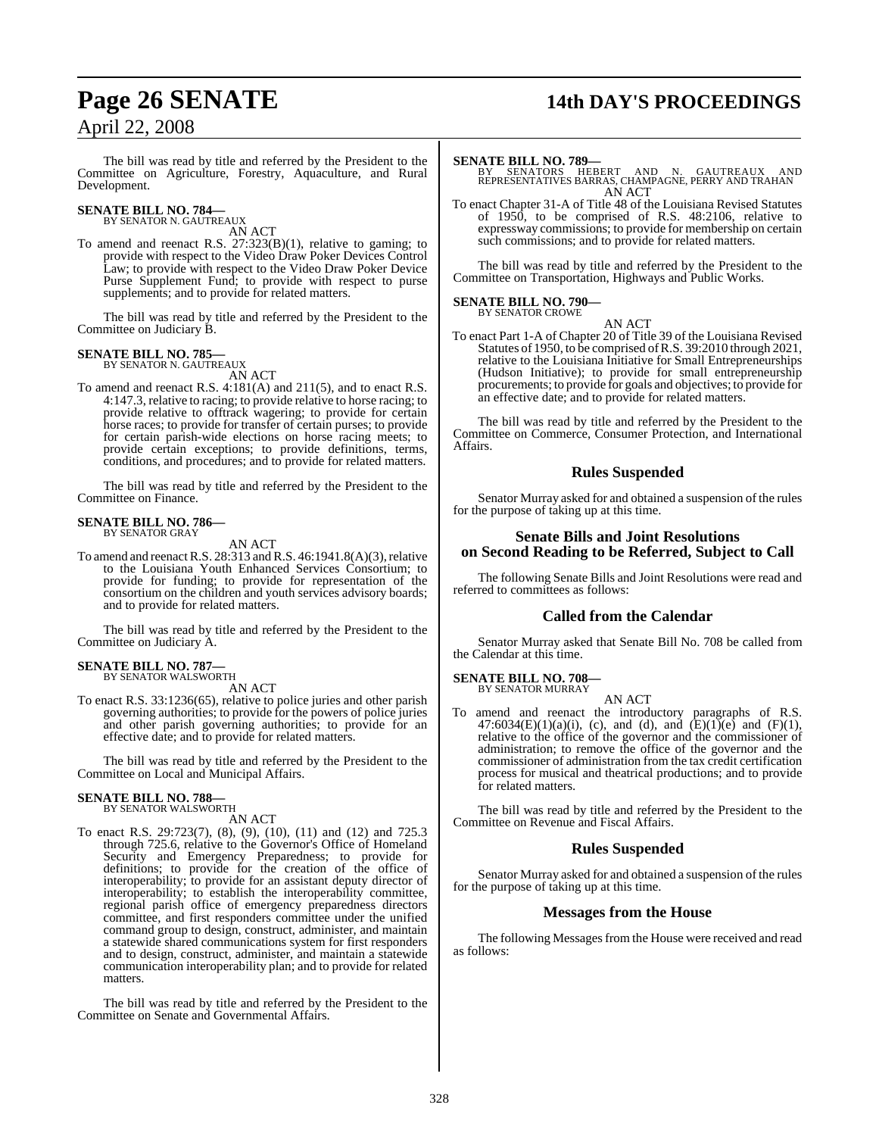# **Page 26 SENATE 14th DAY'S PROCEEDINGS**

The bill was read by title and referred by the President to the Committee on Agriculture, Forestry, Aquaculture, and Rural Development.

## **SENATE BILL NO. 784—** BY SENATOR N. GAUTREAUX

AN ACT

To amend and reenact R.S. 27:323(B)(1), relative to gaming; to provide with respect to the Video Draw Poker Devices Control Law; to provide with respect to the Video Draw Poker Device Purse Supplement Fund; to provide with respect to purse supplements; and to provide for related matters.

The bill was read by title and referred by the President to the Committee on Judiciary B.

## **SENATE BILL NO. 785—** BY SENATOR N. GAUTREAUX

AN ACT

To amend and reenact R.S. 4:181(A) and 211(5), and to enact R.S. 4:147.3, relative to racing; to provide relative to horse racing; to provide relative to offtrack wagering; to provide for certain horse races; to provide for transfer of certain purses; to provide for certain parish-wide elections on horse racing meets; to provide certain exceptions; to provide definitions, terms, conditions, and procedures; and to provide for related matters.

The bill was read by title and referred by the President to the Committee on Finance.

#### **SENATE BILL NO. 786—** BY SENATOR GRAY

AN ACT

To amend and reenact R.S. 28:313 and R.S. 46:1941.8(A)(3), relative to the Louisiana Youth Enhanced Services Consortium; to provide for funding; to provide for representation of the consortium on the children and youth services advisory boards; and to provide for related matters.

The bill was read by title and referred by the President to the Committee on Judiciary A.

#### **SENATE BILL NO. 787—** BY SENATOR WALSWORTH

AN ACT

To enact R.S. 33:1236(65), relative to police juries and other parish governing authorities; to provide for the powers of police juries and other parish governing authorities; to provide for an effective date; and to provide for related matters.

The bill was read by title and referred by the President to the Committee on Local and Municipal Affairs.

## **SENATE BILL NO. 788—** BY SENATOR WALSWORTH

AN ACT

To enact R.S. 29:723(7), (8), (9), (10), (11) and (12) and 725.3 through 725.6, relative to the Governor's Office of Homeland Security and Emergency Preparedness; to provide for definitions; to provide for the creation of the office of interoperability; to provide for an assistant deputy director of interoperability; to establish the interoperability committee, regional parish office of emergency preparedness directors committee, and first responders committee under the unified command group to design, construct, administer, and maintain a statewide shared communications system for first responders and to design, construct, administer, and maintain a statewide communication interoperability plan; and to provide for related matters.

The bill was read by title and referred by the President to the Committee on Senate and Governmental Affairs.

To enact Chapter 31-A of Title 48 of the Louisiana Revised Statutes of 1950, to be comprised of R.S. 48:2106, relative to expressway commissions; to provide for membership on certain such commissions; and to provide for related matters.

The bill was read by title and referred by the President to the Committee on Transportation, Highways and Public Works.

#### **SENATE BILL NO. 790—** BY SENATOR CROWE

AN ACT

To enact Part 1-A of Chapter 20 of Title 39 of the Louisiana Revised Statutes of 1950, to be comprised ofR.S. 39:2010 through 2021, relative to the Louisiana Initiative for Small Entrepreneurships (Hudson Initiative); to provide for small entrepreneurship procurements; to provide for goals and objectives; to provide for an effective date; and to provide for related matters.

The bill was read by title and referred by the President to the Committee on Commerce, Consumer Protection, and International Affairs.

## **Rules Suspended**

Senator Murray asked for and obtained a suspension of the rules for the purpose of taking up at this time.

#### **Senate Bills and Joint Resolutions on Second Reading to be Referred, Subject to Call**

The following Senate Bills and Joint Resolutions were read and referred to committees as follows:

#### **Called from the Calendar**

Senator Murray asked that Senate Bill No. 708 be called from the Calendar at this time.

#### **SENATE BILL NO. 708—** BY SENATOR MURRAY

AN ACT

To amend and reenact the introductory paragraphs of R.S. 47:6034(E)(1)(a)(i), (c), and (d), and  $(E)(1)(e)$  and  $(F)(1)$ , relative to the office of the governor and the commissioner of administration; to remove the office of the governor and the commissioner of administration from the tax credit certification process for musical and theatrical productions; and to provide for related matters.

The bill was read by title and referred by the President to the Committee on Revenue and Fiscal Affairs.

#### **Rules Suspended**

Senator Murray asked for and obtained a suspension of the rules for the purpose of taking up at this time.

#### **Messages from the House**

The following Messages from the House were received and read as follows:

**SENATE BILL NO. 789—**<br>BY SENATORS HEBERT AND N. GAUTREAUX AND<br>REPRESENTATIVES BARRAS, CHAMPAGNE, PERRY AND TRAHAN<br>AN ACT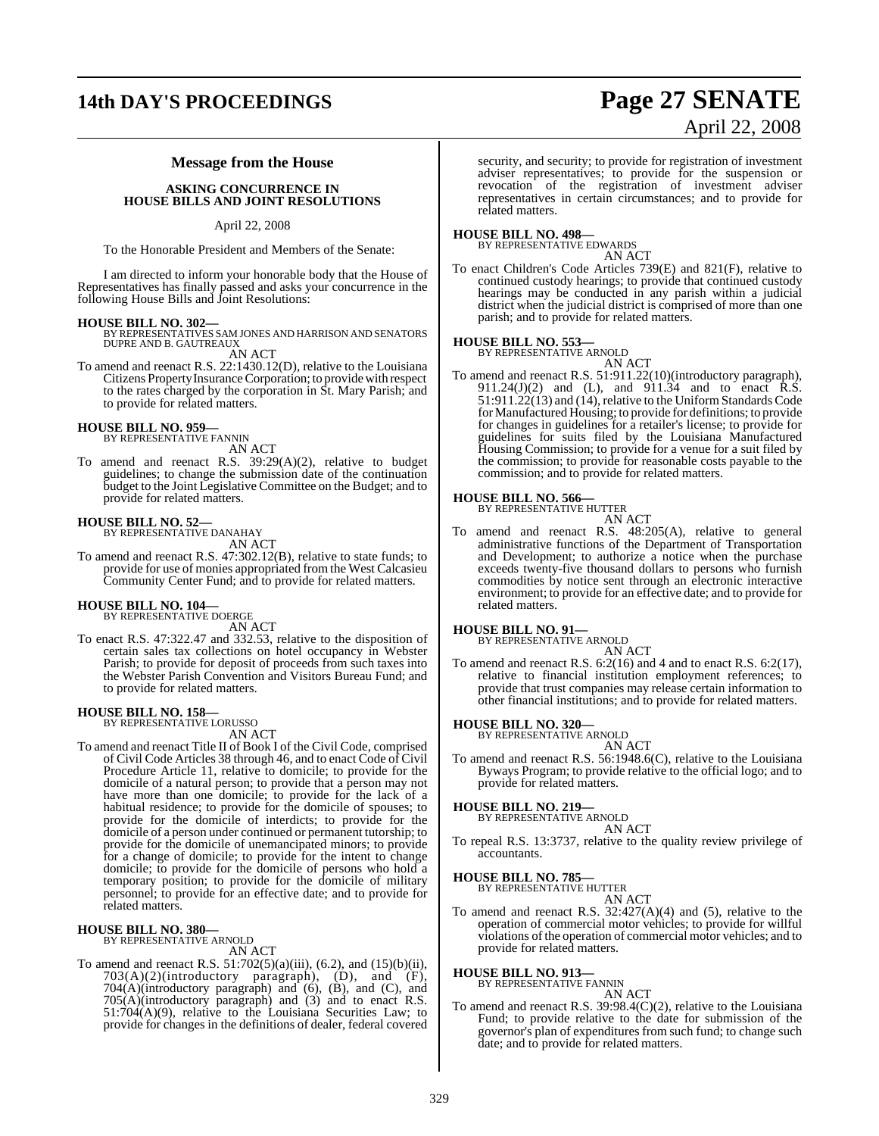## **14th DAY'S PROCEEDINGS Page 27 SENATE**

# April 22, 2008

### **Message from the House**

**ASKING CONCURRENCE IN HOUSE BILLS AND JOINT RESOLUTIONS**

#### April 22, 2008

To the Honorable President and Members of the Senate:

I am directed to inform your honorable body that the House of Representatives has finally passed and asks your concurrence in the following House Bills and Joint Resolutions:

**HOUSE BILL NO. 302—** BY REPRESENTATIVES SAM JONES AND HARRISON AND SENATORS DUPRE AND B. GAUTREAUX

AN ACT

To amend and reenact R.S. 22:1430.12(D), relative to the Louisiana Citizens Property Insurance Corporation; to provide with respect to the rates charged by the corporation in St. Mary Parish; and to provide for related matters.

#### **HOUSE BILL NO. 959—**

BY REPRESENTATIVE FANNIN AN ACT

To amend and reenact R.S. 39:29(A)(2), relative to budget guidelines; to change the submission date of the continuation budget to the Joint Legislative Committee on the Budget; and to provide for related matters.

#### **HOUSE BILL NO. 52—**

BY REPRESENTATIVE DANAHAY AN ACT

To amend and reenact R.S. 47:302.12(B), relative to state funds; to provide for use of monies appropriated from the West Calcasieu

# **HOUSE BILL NO. 104—** BY REPRESENTATIVE DOERGE

AN ACT

To enact R.S. 47:322.47 and 332.53, relative to the disposition of certain sales tax collections on hotel occupancy in Webster Parish; to provide for deposit of proceeds from such taxes into the Webster Parish Convention and Visitors Bureau Fund; and to provide for related matters.

Community Center Fund; and to provide for related matters.

## **HOUSE BILL NO. 158—** BY REPRESENTATIVE LORUSSO

AN ACT To amend and reenact Title II of Book I of the Civil Code, comprised of Civil Code Articles 38 through 46, and to enact Code of Civil Procedure Article 11, relative to domicile; to provide for the domicile of a natural person; to provide that a person may not have more than one domicile; to provide for the lack of a habitual residence; to provide for the domicile of spouses; to provide for the domicile of interdicts; to provide for the domicile of a person under continued or permanent tutorship; to provide for the domicile of unemancipated minors; to provide for a change of domicile; to provide for the intent to change domicile; to provide for the domicile of persons who hold a temporary position; to provide for the domicile of military personnel; to provide for an effective date; and to provide for related matters.

## **HOUSE BILL NO. 380—** BY REPRESENTATIVE ARNOLD

AN ACT

To amend and reenact R.S. 51:702(5)(a)(iii), (6.2), and (15)(b)(ii),  $703(A)(2)$ (introductory paragraph), (D), and  $(F)$ , 704(A)(introductory paragraph) and (6), (B), and (C), and 705(A)(introductory paragraph) and (3) and to enact R.S. 51:704(A)(9), relative to the Louisiana Securities Law; to provide for changes in the definitions of dealer, federal covered

security, and security; to provide for registration of investment adviser representatives; to provide for the suspension or revocation of the registration of investment adviser representatives in certain circumstances; and to provide for related matters.

## **HOUSE BILL NO. 498—** BY REPRESENTATIVE EDWARDS

AN ACT

To enact Children's Code Articles 739(E) and 821(F), relative to continued custody hearings; to provide that continued custody hearings may be conducted in any parish within a judicial district when the judicial district is comprised of more than one parish; and to provide for related matters.

#### **HOUSE BILL NO. 553—**

BY REPRESENTATIVE ARNOLD AN ACT To amend and reenact R.S. 51:911.22(10)(introductory paragraph), 911.24(J)(2) and (L), and 911.34 and to enact  $\hat{R}$ .S. 51:911.22(13) and (14), relative to the Uniform Standards Code forManufactured Housing; to provide for definitions; to provide for changes in guidelines for a retailer's license; to provide for guidelines for suits filed by the Louisiana Manufactured Housing Commission; to provide for a venue for a suit filed by the commission; to provide for reasonable costs payable to the commission; and to provide for related matters.

#### **HOUSE BILL NO. 566—**

BY REPRESENTATIVE HUTTER

- AN ACT
- To amend and reenact R.S. 48:205(A), relative to general administrative functions of the Department of Transportation and Development; to authorize a notice when the purchase exceeds twenty-five thousand dollars to persons who furnish commodities by notice sent through an electronic interactive environment; to provide for an effective date; and to provide for related matters.

## **HOUSE BILL NO. 91—** BY REPRESENTATIVE ARNOLD

AN ACT To amend and reenact R.S. 6:2(16) and 4 and to enact R.S. 6:2(17), relative to financial institution employment references; to provide that trust companies may release certain information to other financial institutions; and to provide for related matters.

## **HOUSE BILL NO. 320—** BY REPRESENTATIVE ARNOLD

AN ACT

To amend and reenact R.S. 56:1948.6(C), relative to the Louisiana Byways Program; to provide relative to the official logo; and to provide for related matters.

#### **HOUSE BILL NO. 219—** BY REPI

AN ACT To repeal R.S. 13:3737, relative to the quality review privilege of accountants.

**HOUSE BILL NO. 785—** BY REPRESENTATIVE HUTTER

AN ACT To amend and reenact R.S.  $32:427(A)(4)$  and (5), relative to the operation of commercial motor vehicles; to provide for willful violations of the operation of commercial motor vehicles; and to provide for related matters.

**HOUSE BILL NO. 913—**

BY REPRESENTATIVE FANNIN

AN ACT

To amend and reenact R.S. 39:98.4(C)(2), relative to the Louisiana Fund; to provide relative to the date for submission of the governor's plan of expenditures from such fund; to change such date; and to provide for related matters.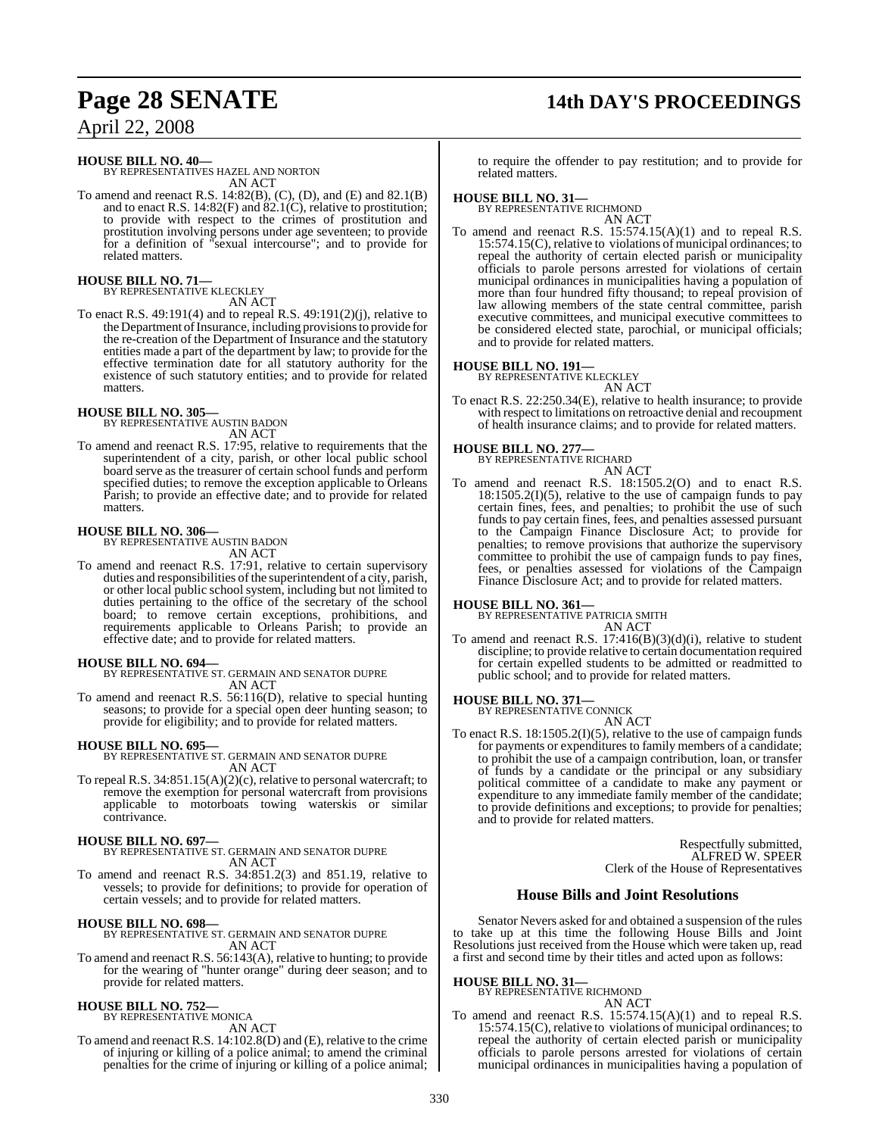# **Page 28 SENATE 14th DAY'S PROCEEDINGS**

April 22, 2008

### **HOUSE BILL NO. 40—**

BY REPRESENTATIVES HAZEL AND NORTON AN ACT

To amend and reenact R.S. 14:82(B), (C), (D), and (E) and 82.1(B) and to enact R.S. 14:82(F) and  $\overline{82.1(C)}$ , relative to prostitution; to provide with respect to the crimes of prostitution and prostitution involving persons under age seventeen; to provide for a definition of "sexual intercourse"; and to provide for related matters.

**HOUSE BILL NO. 71—** BY REPRESENTATIVE KLECKLEY

AN ACT

To enact R.S. 49:191(4) and to repeal R.S. 49:191(2)(j), relative to the Department of Insurance, including provisions to provide for the re-creation of the Department of Insurance and the statutory entities made a part of the department by law; to provide for the effective termination date for all statutory authority for the existence of such statutory entities; and to provide for related matters.

#### **HOUSE BILL NO. 305—**

BY REPRESENTATIVE AUSTIN BADON AN ACT

To amend and reenact R.S. 17:95, relative to requirements that the superintendent of a city, parish, or other local public school board serve as the treasurer of certain school funds and perform specified duties; to remove the exception applicable to Orleans Parish; to provide an effective date; and to provide for related matters.

## **HOUSE BILL NO. 306—** BY REPRESENTATIVE AUSTIN BADON

AN ACT

To amend and reenact R.S. 17:91, relative to certain supervisory duties and responsibilities of the superintendent of a city, parish, or other local public school system, including but not limited to duties pertaining to the office of the secretary of the school board; to remove certain exceptions, prohibitions, and requirements applicable to Orleans Parish; to provide an effective date; and to provide for related matters.

#### **HOUSE BILL NO. 694—**

BY REPRESENTATIVE ST. GERMAIN AND SENATOR DUPRE AN ACT

To amend and reenact R.S. 56:116(D), relative to special hunting seasons; to provide for a special open deer hunting season; to provide for eligibility; and to provide for related matters.

#### **HOUSE BILL NO. 695—**

BY REPRESENTATIVE ST. GERMAIN AND SENATOR DUPRE AN ACT

To repeal R.S. 34:851.15(A)(2)(c), relative to personal watercraft; to remove the exemption for personal watercraft from provisions applicable to motorboats towing waterskis or similar contrivance.

**HOUSE BILL NO. 697—** BY REPRESENTATIVE ST. GERMAIN AND SENATOR DUPRE AN ACT

To amend and reenact R.S. 34:851.2(3) and 851.19, relative to vessels; to provide for definitions; to provide for operation of certain vessels; and to provide for related matters.

#### **HOUSE BILL NO. 698—**

BY REPRESENTATIVE ST. GERMAIN AND SENATOR DUPRE AN ACT

To amend and reenact R.S. 56:143(A), relative to hunting; to provide for the wearing of "hunter orange" during deer season; and to provide for related matters.

## **HOUSE BILL NO. 752—** BY REPRESENTATIVE MONICA

AN ACT

To amend and reenact R.S. 14:102.8(D) and (E), relative to the crime of injuring or killing of a police animal; to amend the criminal penalties for the crime of injuring or killing of a police animal;

to require the offender to pay restitution; and to provide for related matters.

## **HOUSE BILL NO. 31—** BY REPRESENTATIVE RICHMOND

AN ACT To amend and reenact R.S. 15:574.15(A)(1) and to repeal R.S. 15:574.15(C), relative to violations of municipal ordinances; to repeal the authority of certain elected parish or municipality officials to parole persons arrested for violations of certain municipal ordinances in municipalities having a population of more than four hundred fifty thousand; to repeal provision of law allowing members of the state central committee, parish executive committees, and municipal executive committees to be considered elected state, parochial, or municipal officials; and to provide for related matters.

## **HOUSE BILL NO. 191—** BY REPRESENTATIVE KLECKLEY

AN ACT

To enact R.S. 22:250.34(E), relative to health insurance; to provide with respect to limitations on retroactive denial and recoupment of health insurance claims; and to provide for related matters.

**HOUSE BILL NO. 277—** BY REPRESENTATIVE RICHARD

- AN ACT
- To amend and reenact R.S. 18:1505.2(O) and to enact R.S.  $18:1505.2(I)(5)$ , relative to the use of campaign funds to pay certain fines, fees, and penalties; to prohibit the use of such funds to pay certain fines, fees, and penalties assessed pursuant to the Campaign Finance Disclosure Act; to provide for penalties; to remove provisions that authorize the supervisory committee to prohibit the use of campaign funds to pay fines, fees, or penalties assessed for violations of the Campaign Finance Disclosure Act; and to provide for related matters.

#### **HOUSE BILL NO. 361—**

BY REPRESENTATIVE PATRICIA SMITH AN ACT

To amend and reenact R.S. 17:416(B)(3)(d)(i), relative to student discipline; to provide relative to certain documentation required for certain expelled students to be admitted or readmitted to public school; and to provide for related matters.

#### **HOUSE BILL NO. 371—** BY REPRESENT

AN ACT

To enact R.S. 18:1505.2(I)(5), relative to the use of campaign funds for payments or expenditures to family members of a candidate; to prohibit the use of a campaign contribution, loan, or transfer of funds by a candidate or the principal or any subsidiary political committee of a candidate to make any payment or expenditure to any immediate family member of the candidate; to provide definitions and exceptions; to provide for penalties; and to provide for related matters.

> Respectfully submitted, ALFRED W. SPEER Clerk of the House of Representatives

#### **House Bills and Joint Resolutions**

Senator Nevers asked for and obtained a suspension of the rules to take up at this time the following House Bills and Joint Resolutions just received from the House which were taken up, read a first and second time by their titles and acted upon as follows:

## **HOUSE BILL NO. 31—** BY REPRESENTATIVE RICHMOND

AN ACT

To amend and reenact R.S. 15:574.15(A)(1) and to repeal R.S. 15:574.15(C), relative to violations of municipal ordinances; to repeal the authority of certain elected parish or municipality officials to parole persons arrested for violations of certain municipal ordinances in municipalities having a population of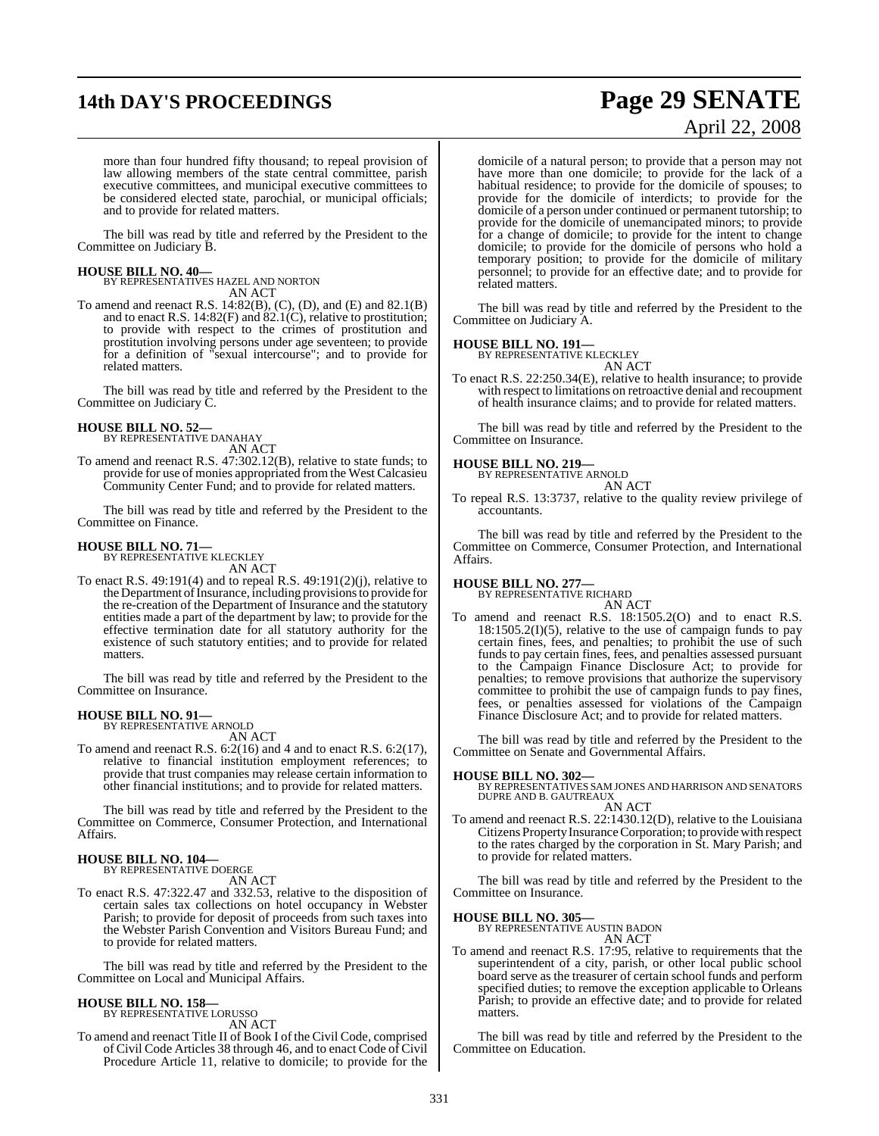# **14th DAY'S PROCEEDINGS Page 29 SENATE**

# April 22, 2008

more than four hundred fifty thousand; to repeal provision of law allowing members of the state central committee, parish executive committees, and municipal executive committees to be considered elected state, parochial, or municipal officials; and to provide for related matters.

The bill was read by title and referred by the President to the Committee on Judiciary B.

#### **HOUSE BILL NO. 40—**

BY REPRESENTATIVES HAZEL AND NORTON AN ACT

To amend and reenact R.S. 14:82(B), (C), (D), and (E) and 82.1(B) and to enact R.S. 14:82(F) and 82.1(C), relative to prostitution; to provide with respect to the crimes of prostitution and prostitution involving persons under age seventeen; to provide for a definition of "sexual intercourse"; and to provide for related matters.

The bill was read by title and referred by the President to the Committee on Judiciary C.

#### **HOUSE BILL NO. 52—**

BY REPRESENTATIVE DANAHAY AN ACT

To amend and reenact R.S. 47:302.12(B), relative to state funds; to provide for use of monies appropriated from the West Calcasieu Community Center Fund; and to provide for related matters.

The bill was read by title and referred by the President to the Committee on Finance.

## **HOUSE BILL NO. 71—** BY REPRESENTATIVE KLECKLEY

AN ACT

To enact R.S.  $49:191(4)$  and to repeal R.S.  $49:191(2)(i)$ , relative to the Department of Insurance, including provisions to provide for the re-creation of the Department of Insurance and the statutory entities made a part of the department by law; to provide for the effective termination date for all statutory authority for the existence of such statutory entities; and to provide for related matters.

The bill was read by title and referred by the President to the Committee on Insurance.

#### **HOUSE BILL NO. 91—**

BY REPRESENTATIVE ARNOLD AN ACT

To amend and reenact R.S. 6:2(16) and 4 and to enact R.S. 6:2(17), relative to financial institution employment references; to provide that trust companies may release certain information to other financial institutions; and to provide for related matters.

The bill was read by title and referred by the President to the Committee on Commerce, Consumer Protection, and International Affairs.

#### **HOUSE BILL NO. 104—** BY REPRESENTATIVE DOERGE

AN ACT

To enact R.S. 47:322.47 and 332.53, relative to the disposition of certain sales tax collections on hotel occupancy in Webster Parish; to provide for deposit of proceeds from such taxes into the Webster Parish Convention and Visitors Bureau Fund; and to provide for related matters.

The bill was read by title and referred by the President to the Committee on Local and Municipal Affairs.

#### **HOUSE BILL NO. 158—**

BY REPRESENTATIVE LORUSSO AN ACT

To amend and reenact Title II of Book I of the Civil Code, comprised of Civil Code Articles 38 through 46, and to enact Code of Civil Procedure Article 11, relative to domicile; to provide for the

domicile of a natural person; to provide that a person may not have more than one domicile; to provide for the lack of a habitual residence; to provide for the domicile of spouses; to provide for the domicile of interdicts; to provide for the domicile of a person under continued or permanent tutorship; to provide for the domicile of unemancipated minors; to provide for a change of domicile; to provide for the intent to change domicile; to provide for the domicile of persons who hold a temporary position; to provide for the domicile of military personnel; to provide for an effective date; and to provide for related matters.

The bill was read by title and referred by the President to the Committee on Judiciary A.

#### **HOUSE BILL NO. 191—**

BY REPRESENTATIVE KLECKLEY AN ACT

To enact R.S. 22:250.34(E), relative to health insurance; to provide with respect to limitations on retroactive denial and recoupment of health insurance claims; and to provide for related matters.

The bill was read by title and referred by the President to the Committee on Insurance.

## **HOUSE BILL NO. 219—** BY REPRESENTATIVE ARNOLD

AN ACT

To repeal R.S. 13:3737, relative to the quality review privilege of accountants.

The bill was read by title and referred by the President to the Committee on Commerce, Consumer Protection, and International Affairs.

#### **HOUSE BILL NO. 277—**

BY REPRESENTATIVE RICHARD AN ACT

To amend and reenact R.S. 18:1505.2(O) and to enact R.S.  $18:1505.2(I)(5)$ , relative to the use of campaign funds to pay certain fines, fees, and penalties; to prohibit the use of such funds to pay certain fines, fees, and penalties assessed pursuant to the Campaign Finance Disclosure Act; to provide for penalties; to remove provisions that authorize the supervisory committee to prohibit the use of campaign funds to pay fines, fees, or penalties assessed for violations of the Campaign Finance Disclosure Act; and to provide for related matters.

The bill was read by title and referred by the President to the Committee on Senate and Governmental Affairs.

#### **HOUSE BILL NO. 302—**

BY REPRESENTATIVES SAM JONES AND HARRISON AND SENATORS DUPRE AND B. GAUTREAUX

AN ACT To amend and reenact R.S. 22:1430.12(D), relative to the Louisiana Citizens Property Insurance Corporation; to provide with respect to the rates charged by the corporation in St. Mary Parish; and to provide for related matters.

The bill was read by title and referred by the President to the Committee on Insurance.

## **HOUSE BILL NO. 305—** BY REPRESENTATIVE AUSTIN BADON

AN ACT

To amend and reenact R.S. 17:95, relative to requirements that the superintendent of a city, parish, or other local public school board serve as the treasurer of certain school funds and perform specified duties; to remove the exception applicable to Orleans Parish; to provide an effective date; and to provide for related matters.

The bill was read by title and referred by the President to the Committee on Education.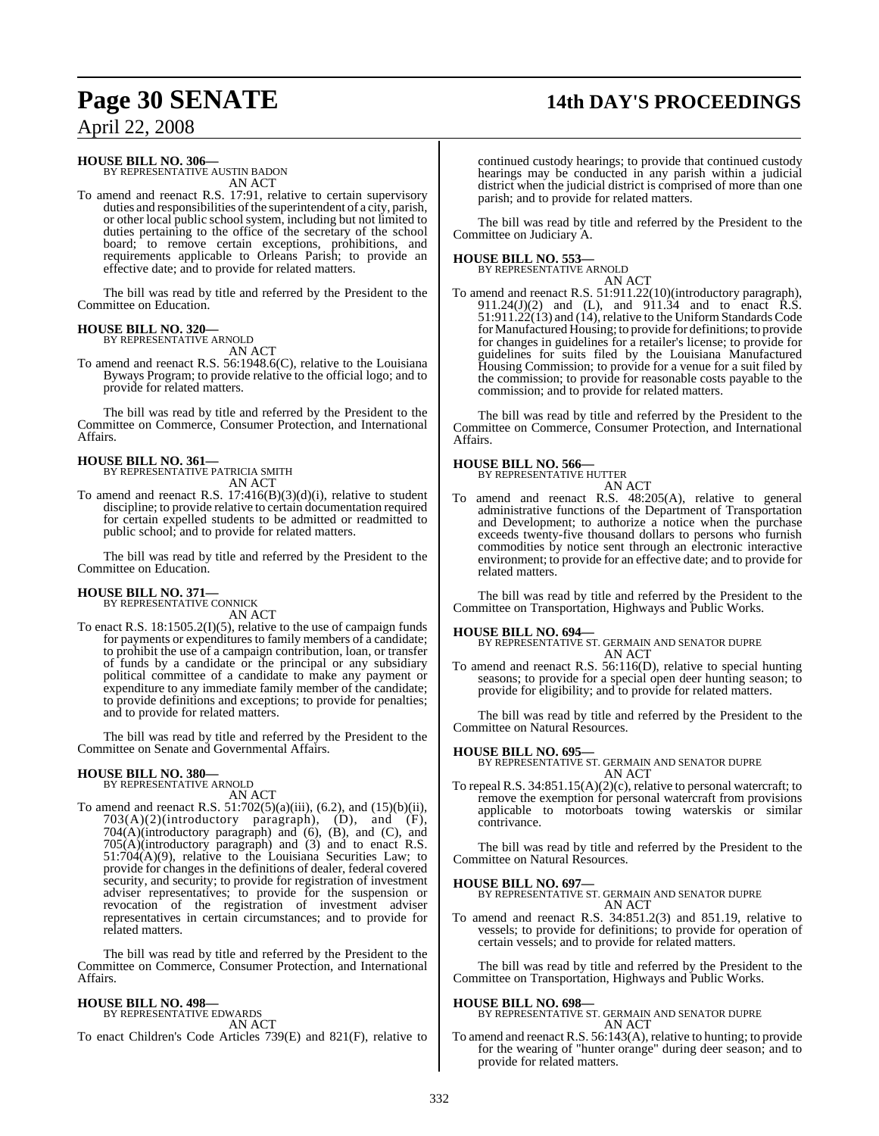## **Page 30 SENATE 14th DAY'S PROCEEDINGS**

April 22, 2008

#### **HOUSE BILL NO. 306—**

BY REPRESENTATIVE AUSTIN BADON AN ACT

To amend and reenact R.S. 17:91, relative to certain supervisory duties and responsibilities of the superintendent of a city, parish, or other local public school system, including but not limited to duties pertaining to the office of the secretary of the school board; to remove certain exceptions, prohibitions, and requirements applicable to Orleans Parish; to provide an effective date; and to provide for related matters.

The bill was read by title and referred by the President to the Committee on Education.

#### **HOUSE BILL NO. 320—** BY REPRESENTATIVE ARNOLD

AN ACT

To amend and reenact R.S. 56:1948.6(C), relative to the Louisiana Byways Program; to provide relative to the official logo; and to provide for related matters.

The bill was read by title and referred by the President to the Committee on Commerce, Consumer Protection, and International Affairs.

#### **HOUSE BILL NO. 361—** BY REPRESENTATIVE PATRICIA SMITH

AN ACT

To amend and reenact R.S.  $17:416(B)(3)(d)(i)$ , relative to student discipline; to provide relative to certain documentation required for certain expelled students to be admitted or readmitted to public school; and to provide for related matters.

The bill was read by title and referred by the President to the Committee on Education.

## **HOUSE BILL NO. 371**

BY REPRESENTATIVE CONNICK AN ACT

To enact R.S. 18:1505.2(I)(5), relative to the use of campaign funds for payments or expenditures to family members of a candidate; to prohibit the use of a campaign contribution, loan, or transfer of funds by a candidate or the principal or any subsidiary political committee of a candidate to make any payment or expenditure to any immediate family member of the candidate; to provide definitions and exceptions; to provide for penalties; and to provide for related matters.

The bill was read by title and referred by the President to the Committee on Senate and Governmental Affairs.

#### **HOUSE BILL NO. 380—**

BY REPRESENTATIVE ARNOLD AN ACT

To amend and reenact R.S. 51:702(5)(a)(iii), (6.2), and (15)(b)(ii),  $703(A)(2)$ (introductory paragraph),  $(D)$ , and  $(F)$ , 704(A)(introductory paragraph) and (6), (B), and (C), and 705(A)(introductory paragraph) and (3) and to enact R.S. 51:704(A)(9), relative to the Louisiana Securities Law; to provide for changes in the definitions of dealer, federal covered security, and security; to provide for registration of investment adviser representatives; to provide for the suspension or revocation of the registration of investment adviser representatives in certain circumstances; and to provide for related matters.

The bill was read by title and referred by the President to the Committee on Commerce, Consumer Protection, and International Affairs.

## **HOUSE BILL NO. 498—**

BY REPRESENTATIVE EDWARDS AN ACT

To enact Children's Code Articles 739(E) and 821(F), relative to

continued custody hearings; to provide that continued custody hearings may be conducted in any parish within a judicial district when the judicial district is comprised of more than one parish; and to provide for related matters.

The bill was read by title and referred by the President to the Committee on Judiciary A.

**HOUSE BILL NO. 553—** BY REPRESENTATIVE ARNOLD

AN ACT To amend and reenact R.S. 51:911.22(10)(introductory paragraph), 911.24(J)(2) and (L), and 911.34 and to enact  $\hat{R}$ .S. 51:911.22(13) and (14), relative to the Uniform Standards Code for Manufactured Housing; to provide for definitions; to provide for changes in guidelines for a retailer's license; to provide for guidelines for suits filed by the Louisiana Manufactured Housing Commission; to provide for a venue for a suit filed by the commission; to provide for reasonable costs payable to the commission; and to provide for related matters.

The bill was read by title and referred by the President to the Committee on Commerce, Consumer Protection, and International Affairs.

## **HOUSE BILL NO. 566—** BY REPRESENTATIVE HUTTER

AN ACT

To amend and reenact R.S. 48:205(A), relative to general administrative functions of the Department of Transportation and Development; to authorize a notice when the purchase exceeds twenty-five thousand dollars to persons who furnish commodities by notice sent through an electronic interactive environment; to provide for an effective date; and to provide for related matters.

The bill was read by title and referred by the President to the Committee on Transportation, Highways and Public Works.

#### **HOUSE BILL NO. 694—**

BY REPRESENTATIVE ST. GERMAIN AND SENATOR DUPRE AN ACT

To amend and reenact R.S. 56:116(D), relative to special hunting seasons; to provide for a special open deer hunting season; to provide for eligibility; and to provide for related matters.

The bill was read by title and referred by the President to the Committee on Natural Resources.

#### **HOUSE BILL NO. 695—**

BY REPRESENTATIVE ST. GERMAIN AND SENATOR DUPRE AN ACT

To repeal R.S. 34:851.15(A)(2)(c), relative to personal watercraft; to remove the exemption for personal watercraft from provisions applicable to motorboats towing waterskis or similar contrivance.

The bill was read by title and referred by the President to the Committee on Natural Resources.

**HOUSE BILL NO. 697—** BY REPRESENTATIVE ST. GERMAIN AND SENATOR DUPRE AN ACT

To amend and reenact R.S. 34:851.2(3) and 851.19, relative to vessels; to provide for definitions; to provide for operation of certain vessels; and to provide for related matters.

The bill was read by title and referred by the President to the Committee on Transportation, Highways and Public Works.

#### **HOUSE BILL NO. 698—**

BY REPRESENTATIVE ST. GERMAIN AND SENATOR DUPRE AN ACT

To amend and reenact R.S. 56:143(A), relative to hunting; to provide for the wearing of "hunter orange" during deer season; and to provide for related matters.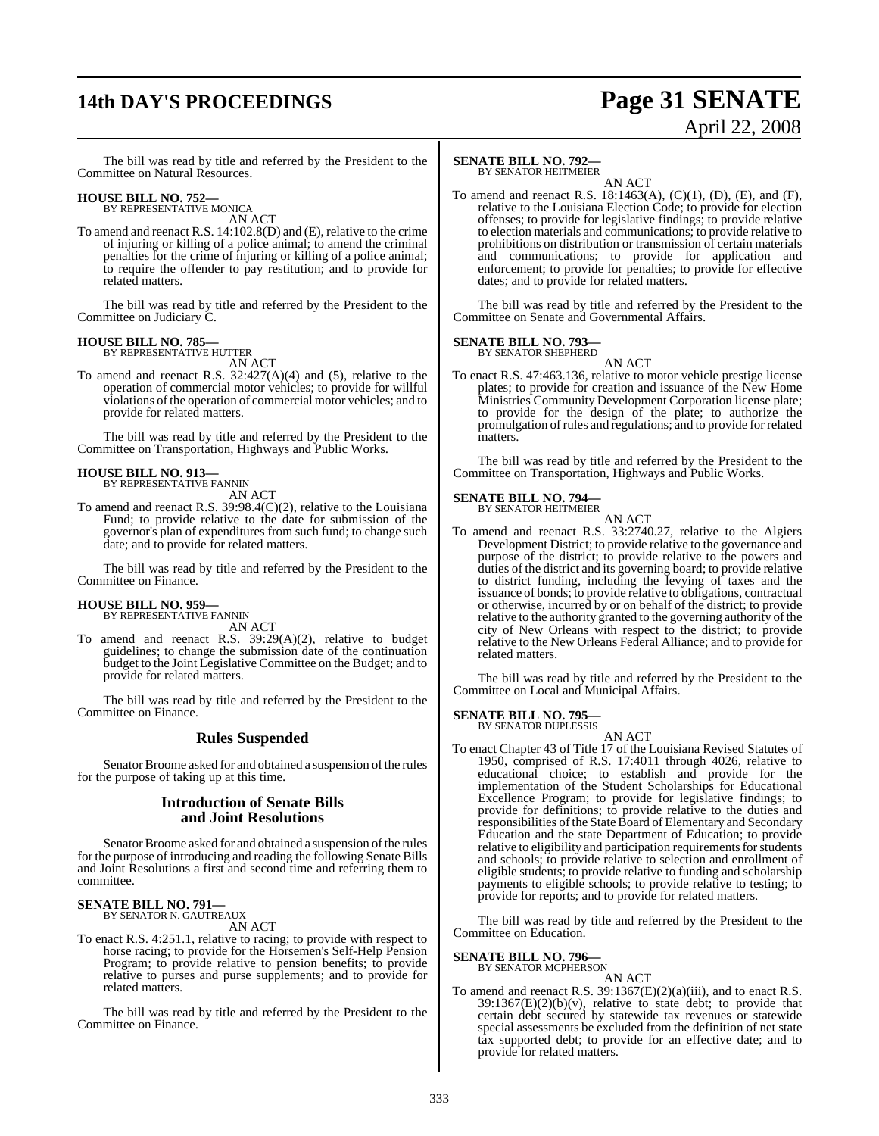## **14th DAY'S PROCEEDINGS Page 31 SENATE**

# April 22, 2008

The bill was read by title and referred by the President to the Committee on Natural Resources.

#### **HOUSE BILL NO. 752—** BY REPRESENTATIVE MONICA

AN ACT

To amend and reenact R.S. 14:102.8(D) and (E), relative to the crime of injuring or killing of a police animal; to amend the criminal penalties for the crime of injuring or killing of a police animal; to require the offender to pay restitution; and to provide for related matters.

The bill was read by title and referred by the President to the Committee on Judiciary C.

#### **HOUSE BILL NO. 785—**

BY REPRESENTATIVE HUTTER AN ACT

To amend and reenact R.S.  $32:427(A)(4)$  and (5), relative to the operation of commercial motor vehicles; to provide for willful violations of the operation of commercial motor vehicles; and to provide for related matters.

The bill was read by title and referred by the President to the Committee on Transportation, Highways and Public Works.

#### **HOUSE BILL NO. 913—** BY REPRESENTATIVE FANNIN

AN ACT

To amend and reenact R.S. 39:98.4(C)(2), relative to the Louisiana Fund; to provide relative to the date for submission of the governor's plan of expenditures from such fund; to change such date; and to provide for related matters.

The bill was read by title and referred by the President to the Committee on Finance.

#### **HOUSE BILL NO. 959—** BY REPRESENTATIVE FANNIN

AN ACT

To amend and reenact R.S. 39:29(A)(2), relative to budget guidelines; to change the submission date of the continuation budget to the Joint Legislative Committee on the Budget; and to provide for related matters.

The bill was read by title and referred by the President to the Committee on Finance.

#### **Rules Suspended**

Senator Broome asked for and obtained a suspension of the rules for the purpose of taking up at this time.

#### **Introduction of Senate Bills and Joint Resolutions**

Senator Broome asked for and obtained a suspension of the rules for the purpose of introducing and reading the following Senate Bills and Joint Resolutions a first and second time and referring them to committee.

#### **SENATE BILL NO. 791—** BY SENATOR N. GAUTREAUX

AN ACT

To enact R.S. 4:251.1, relative to racing; to provide with respect to horse racing; to provide for the Horsemen's Self-Help Pension Program; to provide relative to pension benefits; to provide relative to purses and purse supplements; and to provide for related matters.

The bill was read by title and referred by the President to the Committee on Finance.

### **SENATE BILL NO. 792—**

BY SENATOR HEITMEIER AN ACT

To amend and reenact R.S. 18:1463(A), (C)(1), (D), (E), and (F), relative to the Louisiana Election Code; to provide for election offenses; to provide for legislative findings; to provide relative to election materials and communications; to provide relative to prohibitions on distribution or transmission of certain materials and communications; to provide for application and enforcement; to provide for penalties; to provide for effective dates; and to provide for related matters.

The bill was read by title and referred by the President to the Committee on Senate and Governmental Affairs.

#### **SENATE BILL NO. 793—**

BY SENATOR SHEPHERD

AN ACT To enact R.S. 47:463.136, relative to motor vehicle prestige license plates; to provide for creation and issuance of the New Home Ministries Community Development Corporation license plate; to provide for the design of the plate; to authorize the promulgation ofrules and regulations; and to provide for related matters.

The bill was read by title and referred by the President to the Committee on Transportation, Highways and Public Works.

#### **SENATE BILL NO. 794—**

BY SENATOR HEITMEIER AN ACT

To amend and reenact R.S. 33:2740.27, relative to the Algiers Development District; to provide relative to the governance and purpose of the district; to provide relative to the powers and duties of the district and its governing board; to provide relative to district funding, including the levying of taxes and the issuance of bonds; to provide relative to obligations, contractual or otherwise, incurred by or on behalf of the district; to provide relative to the authority granted to the governing authority of the city of New Orleans with respect to the district; to provide relative to the New Orleans Federal Alliance; and to provide for related matters.

The bill was read by title and referred by the President to the Committee on Local and Municipal Affairs.

**SENATE BILL NO. 795—**<br>BY SENATOR DUPLESSIS

AN ACT

To enact Chapter 43 of Title 17 of the Louisiana Revised Statutes of 1950, comprised of R.S. 17:4011 through 4026, relative to educational choice; to establish and provide for the implementation of the Student Scholarships for Educational Excellence Program; to provide for legislative findings; to provide for definitions; to provide relative to the duties and responsibilities of the State Board of Elementary and Secondary Education and the state Department of Education; to provide relative to eligibility and participation requirements for students and schools; to provide relative to selection and enrollment of eligible students; to provide relative to funding and scholarship payments to eligible schools; to provide relative to testing; to provide for reports; and to provide for related matters.

The bill was read by title and referred by the President to the Committee on Education.

#### **SENATE BILL NO. 796—**

BY SENATOR MCPHERSON

AN ACT To amend and reenact R.S. 39:1367(E)(2)(a)(iii), and to enact R.S.  $39:1367(E)(2)(b)(v)$ , relative to state debt; to provide that certain debt secured by statewide tax revenues or statewide special assessments be excluded from the definition of net state tax supported debt; to provide for an effective date; and to provide for related matters.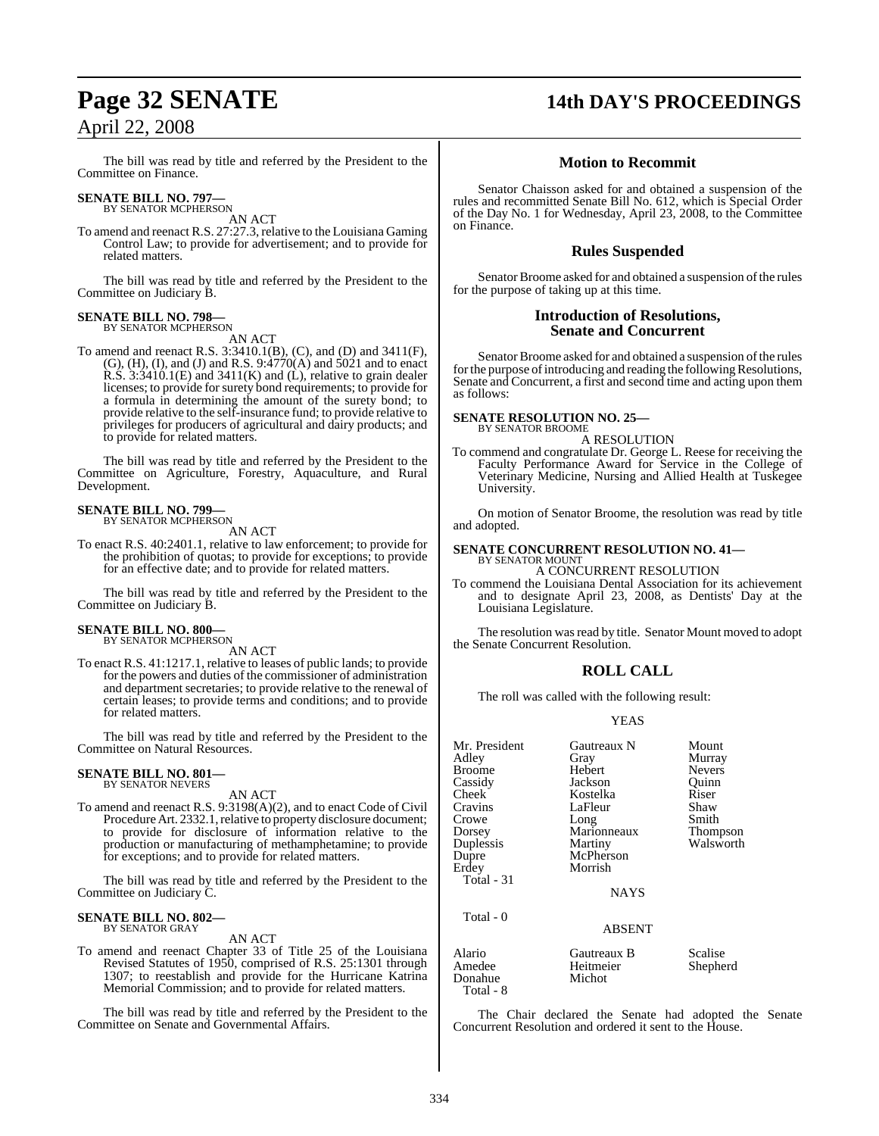The bill was read by title and referred by the President to the Committee on Finance.

## **SENATE BILL NO. 797—** BY SENATOR MCPHERSON

AN ACT

To amend and reenact R.S. 27:27.3, relative to the Louisiana Gaming Control Law; to provide for advertisement; and to provide for related matters.

The bill was read by title and referred by the President to the Committee on Judiciary B.

#### **SENATE BILL NO. 798—** BY SENATOR MCPHERSON

AN ACT

To amend and reenact R.S. 3:3410.1(B), (C), and (D) and 3411(F), (G), (H), (I), and (J) and R.S. 9:4770(A) and 5021 and to enact R.S.  $3:3410.1(E)$  and  $3411(K)$  and (L), relative to grain dealer licenses; to provide for surety bond requirements; to provide for a formula in determining the amount of the surety bond; to provide relative to the self-insurance fund; to provide relative to privileges for producers of agricultural and dairy products; and to provide for related matters.

The bill was read by title and referred by the President to the Committee on Agriculture, Forestry, Aquaculture, and Rural Development.

#### **SENATE BILL NO. 799—** BY SENATOR MCPHERSON

AN ACT

To enact R.S. 40:2401.1, relative to law enforcement; to provide for the prohibition of quotas; to provide for exceptions; to provide for an effective date; and to provide for related matters.

The bill was read by title and referred by the President to the Committee on Judiciary B.

## **SENATE BILL NO. 800—** BY SENATOR MCPHERSON

AN ACT

To enact R.S. 41:1217.1, relative to leases of public lands; to provide for the powers and duties of the commissioner of administration and department secretaries; to provide relative to the renewal of certain leases; to provide terms and conditions; and to provide for related matters.

The bill was read by title and referred by the President to the Committee on Natural Resources.

#### **SENATE BILL NO. 801—** BY SENATOR NEVERS

AN ACT

To amend and reenact R.S. 9:3198(A)(2), and to enact Code of Civil Procedure Art. 2332.1, relative to property disclosure document; to provide for disclosure of information relative to the production or manufacturing of methamphetamine; to provide for exceptions; and to provide for related matters.

The bill was read by title and referred by the President to the Committee on Judiciary C.

## **SENATE BILL NO. 802—** BY SENATOR GRAY

AN ACT

To amend and reenact Chapter 33 of Title 25 of the Louisiana Revised Statutes of 1950, comprised of R.S. 25:1301 through 1307; to reestablish and provide for the Hurricane Katrina Memorial Commission; and to provide for related matters.

The bill was read by title and referred by the President to the Committee on Senate and Governmental Affairs.

## **Page 32 SENATE 14th DAY'S PROCEEDINGS**

### **Motion to Recommit**

Senator Chaisson asked for and obtained a suspension of the rules and recommitted Senate Bill No. 612, which is Special Order of the Day No. 1 for Wednesday, April 23, 2008, to the Committee on Finance.

### **Rules Suspended**

Senator Broome asked for and obtained a suspension of the rules for the purpose of taking up at this time.

#### **Introduction of Resolutions, Senate and Concurrent**

Senator Broome asked for and obtained a suspension of the rules for the purpose of introducing and reading the following Resolutions, Senate and Concurrent, a first and second time and acting upon them as follows:

## **SENATE RESOLUTION NO. 25—** BY SENATOR BROOME

A RESOLUTION

To commend and congratulate Dr. George L. Reese for receiving the Faculty Performance Award for Service in the College of Veterinary Medicine, Nursing and Allied Health at Tuskegee University.

On motion of Senator Broome, the resolution was read by title and adopted.

## **SENATE CONCURRENT RESOLUTION NO. 41–BY SENATOR MOUNT**

A CONCURRENT RESOLUTION

To commend the Louisiana Dental Association for its achievement and to designate April 23, 2008, as Dentists' Day at the Louisiana Legislature.

The resolution was read by title. Senator Mount moved to adopt the Senate Concurrent Resolution.

#### **ROLL CALL**

The roll was called with the following result:

#### YEAS

| Mr. President<br>Adley<br><b>Broome</b><br>Cassidy<br>Cheek<br>Cravins<br>Crowe<br>Dorsey<br>Duplessis<br>Dupre<br>Erdey<br>Total - 31<br>Total - 0 | Gautreaux N<br>Gray<br>Hebert<br>Jackson<br>Kostelka<br>LaFleur<br>Long<br>Marionneaux<br>Martiny<br>McPherson<br>Morrish<br><b>NAYS</b><br><b>ABSENT</b> | Mount<br>Murray<br><b>Nevers</b><br>Ouinn<br>Riser<br>Shaw<br>Smith<br>Thompson<br>Walsworth |
|-----------------------------------------------------------------------------------------------------------------------------------------------------|-----------------------------------------------------------------------------------------------------------------------------------------------------------|----------------------------------------------------------------------------------------------|
| Alario                                                                                                                                              | Gautreaux B                                                                                                                                               | Scalise                                                                                      |
| Amedee                                                                                                                                              | Heitmeier                                                                                                                                                 | Shepherd                                                                                     |

Donahue Michot

Total - 8

The Chair declared the Senate had adopted the Senate Concurrent Resolution and ordered it sent to the House.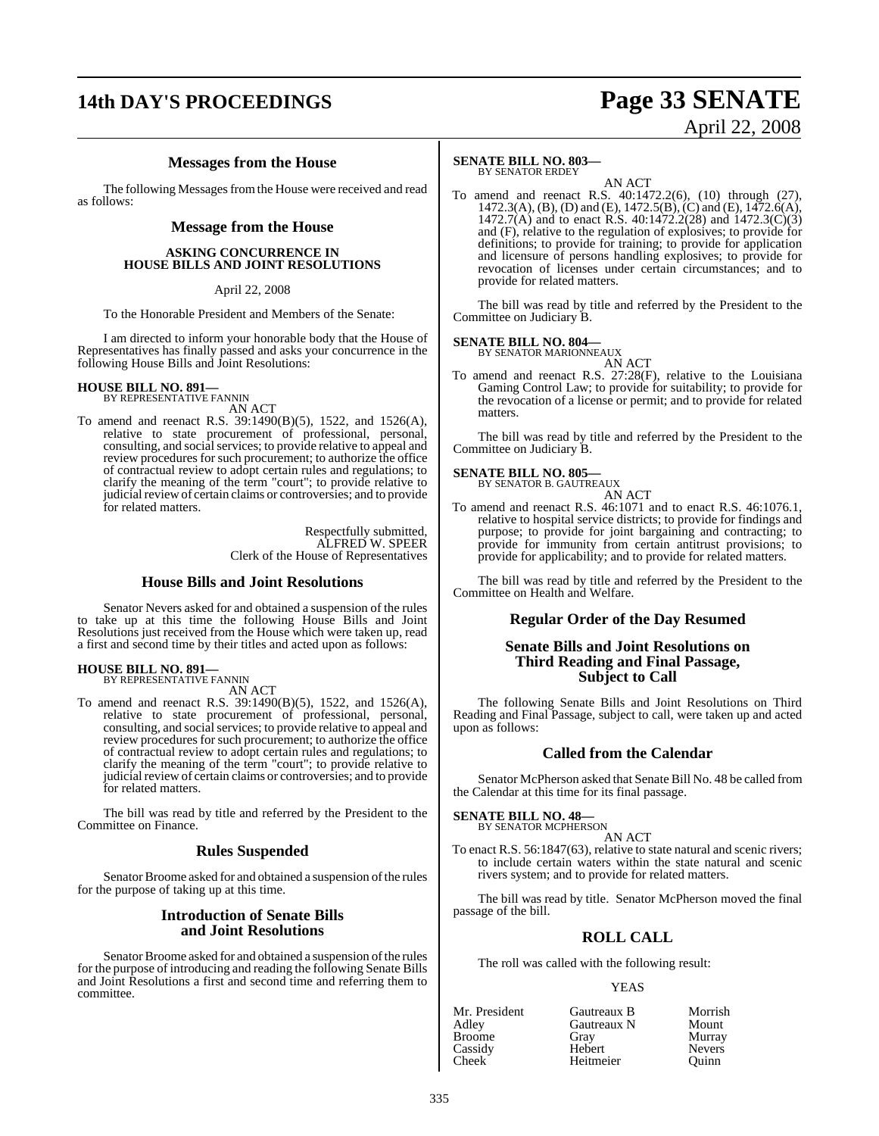## **14th DAY'S PROCEEDINGS Page 33 SENATE**

# April 22, 2008

#### **Messages from the House**

The following Messages from the House were received and read as follows:

#### **Message from the House**

#### **ASKING CONCURRENCE IN HOUSE BILLS AND JOINT RESOLUTIONS**

#### April 22, 2008

To the Honorable President and Members of the Senate:

I am directed to inform your honorable body that the House of Representatives has finally passed and asks your concurrence in the following House Bills and Joint Resolutions:

## **HOUSE BILL NO. 891—** BY REPRESENTATIVE FANNIN

AN ACT

To amend and reenact R.S. 39:1490(B)(5), 1522, and 1526(A), relative to state procurement of professional, personal, consulting, and social services; to provide relative to appeal and review procedures for such procurement; to authorize the office of contractual review to adopt certain rules and regulations; to clarify the meaning of the term "court"; to provide relative to judicial review of certain claims or controversies; and to provide for related matters.

> Respectfully submitted, ALFRED W. SPEER Clerk of the House of Representatives

#### **House Bills and Joint Resolutions**

Senator Nevers asked for and obtained a suspension of the rules to take up at this time the following House Bills and Joint Resolutions just received from the House which were taken up, read a first and second time by their titles and acted upon as follows:

#### **HOUSE BILL NO. 891—**

BY REPRESENTATIVE FANNIN

- AN ACT
- To amend and reenact R.S. 39:1490(B)(5), 1522, and 1526(A), relative to state procurement of professional, personal, consulting, and social services; to provide relative to appeal and review procedures for such procurement; to authorize the office of contractual review to adopt certain rules and regulations; to clarify the meaning of the term "court"; to provide relative to judicial review of certain claims or controversies; and to provide for related matters.

The bill was read by title and referred by the President to the Committee on Finance.

#### **Rules Suspended**

Senator Broome asked for and obtained a suspension of the rules for the purpose of taking up at this time.

#### **Introduction of Senate Bills and Joint Resolutions**

Senator Broome asked for and obtained a suspension of the rules for the purpose of introducing and reading the following Senate Bills and Joint Resolutions a first and second time and referring them to committee.

#### **SENATE BILL NO. 803—** BY SENATOR ERDEY

AN ACT

To amend and reenact R.S. 40:1472.2(6), (10) through (27), 1472.3(A), (B), (D) and (E), 1472.5(B), (C) and (E), 1472.6(A), 1472.7(A) and to enact R.S. 40:1472.2(28) and  $1472.3(C)(3)$ and (F), relative to the regulation of explosives; to provide for definitions; to provide for training; to provide for application and licensure of persons handling explosives; to provide for revocation of licenses under certain circumstances; and to provide for related matters.

The bill was read by title and referred by the President to the Committee on Judiciary B.

**SENATE BILL NO. 804—**<br>BY SENATOR MARIONNEAUX<br>AN ACT

To amend and reenact R.S. 27:28(F), relative to the Louisiana Gaming Control Law; to provide for suitability; to provide for the revocation of a license or permit; and to provide for related matters.

The bill was read by title and referred by the President to the Committee on Judiciary B.

#### **SENATE BILL NO. 805—**

BY SENATOR B. GAUTREAUX AN ACT

To amend and reenact R.S. 46:1071 and to enact R.S. 46:1076.1, relative to hospital service districts; to provide for findings and purpose; to provide for joint bargaining and contracting; to provide for immunity from certain antitrust provisions; to provide for applicability; and to provide for related matters.

The bill was read by title and referred by the President to the Committee on Health and Welfare.

#### **Regular Order of the Day Resumed**

#### **Senate Bills and Joint Resolutions on Third Reading and Final Passage, Subject to Call**

The following Senate Bills and Joint Resolutions on Third Reading and Final Passage, subject to call, were taken up and acted upon as follows:

#### **Called from the Calendar**

Senator McPherson asked that Senate Bill No. 48 be called from the Calendar at this time for its final passage.

#### **SENATE BILL NO. 48—**

BY SENATOR MCPHERSON AN ACT

To enact R.S. 56:1847(63), relative to state natural and scenic rivers; to include certain waters within the state natural and scenic rivers system; and to provide for related matters.

The bill was read by title. Senator McPherson moved the final passage of the bill.

#### **ROLL CALL**

The roll was called with the following result:

#### YEAS

| Mr. President | Gautreaux B | Morrish       |
|---------------|-------------|---------------|
| Adley         | Gautreaux N | Mount         |
| <b>Broome</b> | Grav        | Murray        |
| Cassidy       | Hebert      | <b>Nevers</b> |
| Cheek         | Heitmeier   | Ouinn         |